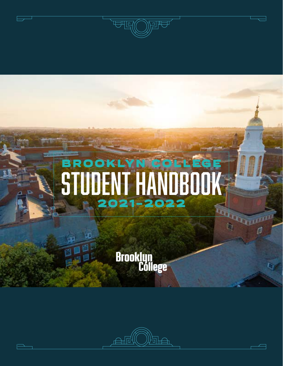

# BROOKLYN COLLEGE STUDENT HANDBOOK 2021-2022LG,

**UGALIAN** 

(b)

Brooklyn<br>Cóllege

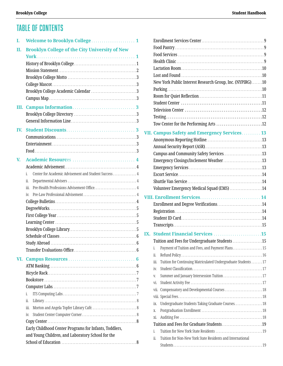# Table of Contents

| I.             |                                                                                                                                         |
|----------------|-----------------------------------------------------------------------------------------------------------------------------------------|
| П.             | <b>Brooklyn College of the City University of New</b>                                                                                   |
|                |                                                                                                                                         |
| IV.            |                                                                                                                                         |
| $\mathbf{V}$ . | Center for Academic Advisement and Student Success 4<br>i.<br>ii.<br>iii.<br>İV.                                                        |
| VI.            | i.<br>ii.<br>iіi.<br>iv.<br>Early Childhood Center Programs for Infants, Toddlers,<br>and Young Children, and Laboratory School for the |

|     | New York Public Interest Research Group, Inc. (NYPIRG)10               |  |
|-----|------------------------------------------------------------------------|--|
|     |                                                                        |  |
|     |                                                                        |  |
|     |                                                                        |  |
|     |                                                                        |  |
|     |                                                                        |  |
|     | Tow Center for the Performing Arts 12                                  |  |
|     | VII. Campus Safety and Emergency Services 13                           |  |
|     |                                                                        |  |
|     |                                                                        |  |
|     |                                                                        |  |
|     | Emergency Closings/Inclement Weather13                                 |  |
|     |                                                                        |  |
|     |                                                                        |  |
|     |                                                                        |  |
|     | Volunteer Emergency Medical Squad (EMS) 14                             |  |
|     |                                                                        |  |
|     |                                                                        |  |
|     |                                                                        |  |
|     |                                                                        |  |
|     |                                                                        |  |
|     |                                                                        |  |
| IX. | <b>Student Financial Services 15</b>                                   |  |
|     | Tuition and Fees for Undergraduate Students 15                         |  |
|     | Payment of Tuition and Fees, and Payment Plans. 15<br>ĺ.               |  |
|     | ii.                                                                    |  |
|     | Tuition for Continuing Matriculated Undergraduate Students  17<br>iii. |  |
|     | İV.                                                                    |  |
|     | Summer and January Intersession Tuition 17<br>V.                       |  |
|     | Vİ.                                                                    |  |
|     | Compensatory and Developmental Courses  18<br>Vİİ.                     |  |
|     |                                                                        |  |
|     | Undergraduate Students Taking Graduate Courses. 18<br>ix.              |  |
|     | Χ.                                                                     |  |
|     | хi.                                                                    |  |
|     |                                                                        |  |
|     | i.                                                                     |  |
|     | ii.<br>Tuition for Non-New York State Residents and International      |  |
|     |                                                                        |  |
|     |                                                                        |  |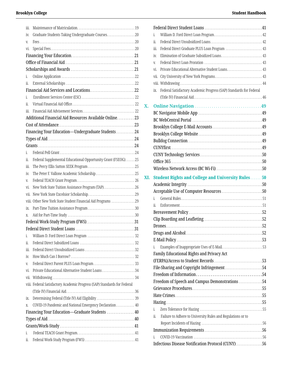<span id="page-2-0"></span>

| iii. |                                                                          |    |
|------|--------------------------------------------------------------------------|----|
| İV.  | Graduate Students Taking Undergraduate Courses. 20                       |    |
| V.   |                                                                          |    |
| Vİ.  |                                                                          |    |
|      |                                                                          |    |
|      |                                                                          |    |
|      |                                                                          |    |
| i.   |                                                                          |    |
| ii.  |                                                                          |    |
|      |                                                                          |    |
| i.   |                                                                          |    |
| ii.  |                                                                          |    |
| iii. |                                                                          |    |
|      | Additional Financial Aid Resources Available Online 23                   |    |
|      |                                                                          |    |
|      | Financing Your Education-Undergraduate Students24                        |    |
|      |                                                                          |    |
|      |                                                                          |    |
| i.   |                                                                          |    |
| ii.  | Federal Supplemental Educational Opportunity Grant (FSEOG)25             |    |
| Ш.   |                                                                          |    |
| İV.  | The Peter F. Vallone Academic Scholarship 25                             |    |
| V.   |                                                                          |    |
| vi.  | New York State Tuition Assistance Program (TAP)26                        |    |
|      |                                                                          |    |
|      | viii. Other New York State Student Financial Aid Programs  29            |    |
| ix.  |                                                                          |    |
| Х.   |                                                                          |    |
|      |                                                                          |    |
|      |                                                                          | 31 |
| i.   |                                                                          |    |
| ii.  |                                                                          |    |
| iіi. |                                                                          |    |
| İV.  |                                                                          |    |
| V.   |                                                                          |    |
| vi.  |                                                                          |    |
| vii. |                                                                          |    |
|      | viii. Federal Satisfactory Academic Progress (SAP) Standards for Federal |    |
|      |                                                                          |    |
| İХ.  |                                                                          |    |
| X.   | COVID-19 Pandemic and National Emergency Declaration 40                  |    |
|      | Financing Your Education-Graduate Students  40                           |    |
|      |                                                                          |    |
|      |                                                                          |    |
| i.   |                                                                          |    |
| ii.  |                                                                          |    |
|      |                                                                          |    |

|     | i.                                                                        |  |
|-----|---------------------------------------------------------------------------|--|
|     | ii.                                                                       |  |
|     | Federal Direct Graduate PLUS Loan Program  43<br>Ш.                       |  |
|     | Elimination of Graduate Subsidized Loans 43<br>iv.                        |  |
|     | V.                                                                        |  |
|     | Private Educational Alternative Student Loans 43<br>vi.                   |  |
|     | vii.                                                                      |  |
|     |                                                                           |  |
|     | Federal Satisfactory Academic Progress (SAP) Standards for Federal<br>ix. |  |
|     |                                                                           |  |
| X.  |                                                                           |  |
|     |                                                                           |  |
|     |                                                                           |  |
|     |                                                                           |  |
|     |                                                                           |  |
|     |                                                                           |  |
|     |                                                                           |  |
|     |                                                                           |  |
|     |                                                                           |  |
|     | Wireless Network Access (BC Wi-Fi)50                                      |  |
|     |                                                                           |  |
| XI. | <b>Student Rights and College and University Rules  50</b>                |  |
|     |                                                                           |  |
|     | Acceptable Use of Computer Resources 50                                   |  |
|     | i.                                                                        |  |
|     | ii.                                                                       |  |
|     |                                                                           |  |
|     |                                                                           |  |
|     |                                                                           |  |
|     |                                                                           |  |
|     |                                                                           |  |
|     | i.                                                                        |  |
|     | Family Educational Rights and Privacy Act                                 |  |
|     |                                                                           |  |
|     | File-Sharing and Copyright Infringement54                                 |  |
|     |                                                                           |  |
|     | Freedom of Speech and Campus Demonstrations 54                            |  |
|     |                                                                           |  |
|     |                                                                           |  |
|     |                                                                           |  |
|     | i.                                                                        |  |
|     | Failure to Adhere to University Rules and Regulations or to<br>ii.        |  |
|     |                                                                           |  |
|     |                                                                           |  |
|     | i.                                                                        |  |
|     | Infectious Disease Notification Protocol (CUNY)56                         |  |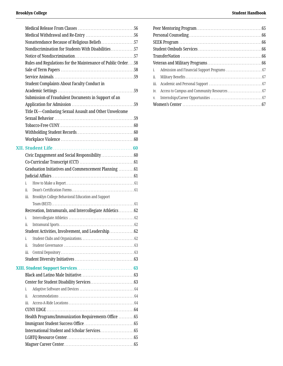<span id="page-3-0"></span>

| Nonattendance Because of Religious Beliefs57                |  |
|-------------------------------------------------------------|--|
| Nondiscrimination for Students With Disabilities57          |  |
|                                                             |  |
| Rules and Regulations for the Maintenance of Public Order58 |  |
|                                                             |  |
|                                                             |  |
| <b>Student Complaints About Faculty Conduct in</b>          |  |
|                                                             |  |
| Submission of Fraudulent Documents in Support of an         |  |
|                                                             |  |
| Title IX-Combating Sexual Assault and Other Unwelcome       |  |
|                                                             |  |
|                                                             |  |
|                                                             |  |
|                                                             |  |
|                                                             |  |
|                                                             |  |
| Civic Engagement and Social Responsibility 60               |  |
|                                                             |  |
| Graduation Initiatives and Commencement Planning 61         |  |
|                                                             |  |
| i.                                                          |  |
| ii.                                                         |  |
| Brooklyn College Behavioral Education and Support<br>iii.   |  |
|                                                             |  |
| Recreation, Intramurals, and Intercollegiate Athletics62    |  |
| i.                                                          |  |
| ii.                                                         |  |
| Student Activities, Involvement, and Leadership62           |  |
| i.                                                          |  |
| ii.                                                         |  |
| iіi.                                                        |  |
|                                                             |  |
|                                                             |  |
|                                                             |  |
|                                                             |  |
| i.                                                          |  |
| ii.                                                         |  |
| iii.                                                        |  |
|                                                             |  |
| Health Programs/Immunization Requirements Office  65        |  |
|                                                             |  |
|                                                             |  |
|                                                             |  |
|                                                             |  |
|                                                             |  |

| i.   |  |
|------|--|
| ii.  |  |
| iii. |  |
| İV.  |  |
| V.   |  |
|      |  |
|      |  |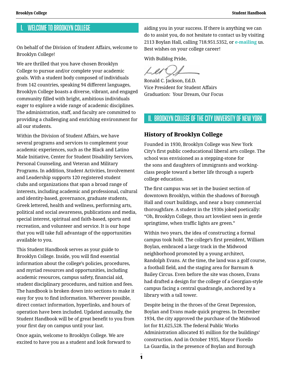# <span id="page-4-0"></span>I. Welcome to Brooklyn College

On behalf of the Division of Student Affairs, welcome to Brooklyn College!

We are thrilled that you have chosen Brooklyn College to pursue and/or complete your academic goals. With a student body composed of individuals from 142 countries, speaking 94 different languages, Brooklyn College boasts a diverse, vibrant, and engaged community filled with bright, ambitious individuals eager to explore a wide range of academic disciplines. The administration, staff, and faculty are committed to providing a challenging and enriching environment for all our students.

Within the Division of Student Affairs, we have several programs and services to complement your academic experiences, such as the Black and Latino Male Initiative, Center for Student Disability Services, Personal Counseling, and Veteran and Military Programs. In addition, Student Activities, Involvement and Leadership supports 120 registered student clubs and organizations that span a broad range of interests, including academic and professional, cultural and identity-based, governance, graduate students, Greek lettered, health and wellness, performing arts, political and social awareness, publications and media, special interest, spiritual and faith-based, sports and recreation, and volunteer and service. It is our hope that you will take full advantage of the opportunities available to you.

This Student Handbook serves as your guide to Brooklyn College. Inside, you will find essential information about the college's policies, procedures, and myriad resources and opportunities, including academic resources, campus safety, financial aid, student disciplinary procedures, and tuition and fees. The handbook is broken down into sections to make it easy for you to find information. Wherever possible, direct contact information, hyperlinks, and hours of operation have been included. Updated annually, the Student Handbook will be of great benefit to you from your first day on campus until your last.

Once again, welcome to Brooklyn College. We are excited to have you as a student and look forward to aiding you in your success. If there is anything we can do to assist you, do not hesitate to contact us by visiting 2113 Boylan Hall, calling 718.951.5352, or **[e-mailing](mailto:studentaffairs%40brooklyn.cuny.edu?subject=)** us. Best wishes on your college career!

With Bulldog Pride,

Ronald C. Jackson, Ed.D. Vice President for Student Affairs Graduation: Your Dream, Our Focus

# II. Brooklyn College of the City University of New York

### **History of Brooklyn College**

Founded in 1930, Brooklyn College was New York City's first public coeducational liberal arts college. The school was envisioned as a stepping-stone for the sons and daughters of immigrants and workingclass people toward a better life through a superb college education.

The first campus was set in the busiest section of downtown Brooklyn, within the shadows of Borough Hall and court buildings, and near a busy commercial thoroughfare. A student in the 1930s joked poetically: "Oh, Brooklyn College, thou art loveliest seen in gentle springtime, when traffic lights are green."

Within two years, the idea of constructing a formal campus took hold. The college's first president, William Boylan, embraced a large track in the Midwood neighborhood promoted by a young architect, Randolph Evans. At the time, the land was a golf course, a football field, and the staging area for Barnum & Bailey Circus. Even before the site was chosen, Evans had drafted a design for the college of a Georgian-style campus facing a central quadrangle, anchored by a library with a tall tower.

Despite being in the throes of the Great Depression, Boylan and Evans made quick progress. In December 1934, the city approved the purchase of the Midwood lot for \$1,625,528. The federal Public Works Administration allocated \$5 million for the buildings' construction. And in October 1935, Mayor Fiorello La Guardia, in the presence of Boylan and Borough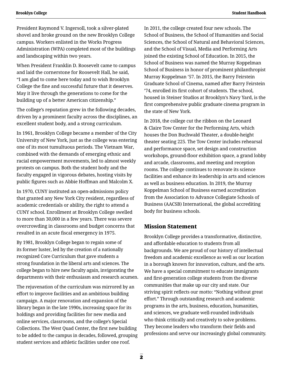President Raymond V. Ingersoll, took a silver-plated shovel and broke ground on the new Brooklyn College campus. Workers enlisted in the Works Progress Administration (WPA) completed most of the buildings and landscaping within two years.

When President Franklin D. Roosevelt came to campus and laid the cornerstone for Roosevelt Hall, he said, "I am glad to come here today and to wish Brooklyn College the fine and successful future that it deserves. May it live through the generations to come for the building up of a better American citizenship."

The college's reputation grew in the following decades, driven by a prominent faculty across the disciplines, an excellent student body, and a strong curriculum.

In 1961, Brooklyn College became a member of the City University of New York, just as the college was entering one of its most tumultuous periods. The Vietnam War, combined with the demands of emerging ethnic and racial empowerment movements, led to almost weekly protests on campus. Both the student body and the faculty engaged in vigorous debates, hosting visits by public figures such as Abbie Hoffman and Malcolm X.

In 1970, CUNY instituted an open-admissions policy that granted any New York City resident, regardless of academic credentials or ability, the right to attend a CUNY school. Enrollment at Brooklyn College swelled to more than 30,000 in a few years. There was severe overcrowding in classrooms and budget concerns that resulted in an acute fiscal emergency in 1975.

By 1981, Brooklyn College began to regain some of its former luster, led by the creation of a nationally recognized Core Curriculum that gave students a strong foundation in the liberal arts and sciences. The college began to hire new faculty again, invigorating the departments with their enthusiasm and research acumen.

The rejuvenation of the curriculum was mirrored by an effort to improve facilities and an ambitious building campaign. A major renovation and expansion of the library began in the late 1990s, increasing space for its holdings and providing facilities for new media and online services, classrooms, and the college's Special Collections. The West Quad Center, the first new building to be added to the campus in decades, followed, grouping student services and athletic facilities under one roof.

In 2011, the college created four new schools. The School of Business, the School of Humanities and Social Sciences, the School of Natural and Behavioral Sciences, and the School of Visual, Media and Performing Arts joined the existing School of Education. In 2015, the School of Business was named the Murray Koppelman School of Business in honor of prominent philanthropist Murray Koppelman '57. In 2015, the Barry Feirstein Graduate School of Cinema, named after Barry Feirstein '74, enrolled its first cohort of students. The school, housed in Steiner Studios at Brooklyn's Navy Yard, is the first comprehensive public graduate cinema program in the state of New York.

In 2018, the college cut the ribbon on the Leonard & Claire Tow Center for the Performing Arts, which houses the Don Buchwald Theater, a double-height theater seating 225. The Tow Center includes rehearsal and performance space, set design and construction workshops, ground-floor exhibition space, a grand lobby and arcade, classrooms, and meeting and reception rooms. The college continues to renovate its science facilities and enhance its leadership in arts and sciences as well as business education. In 2019, the Murray Koppelman School of Business earned accreditation from the Association to Advance Collegiate Schools of Business (AACSB) International, the global accrediting body for business schools.

### **Mission Statement**

Brooklyn College provides a transformative, distinctive, and affordable education to students from all backgrounds. We are proud of our history of intellectual freedom and academic excellence as well as our location in a borough known for innovation, culture, and the arts. We have a special commitment to educate immigrants and first-generation college students from the diverse communities that make up our city and state. Our striving spirit reflects our motto: "Nothing without great effort." Through outstanding research and academic programs in the arts, business, education, humanities, and sciences, we graduate well-rounded individuals who think critically and creatively to solve problems. They become leaders who transform their fields and professions and serve our increasingly global community.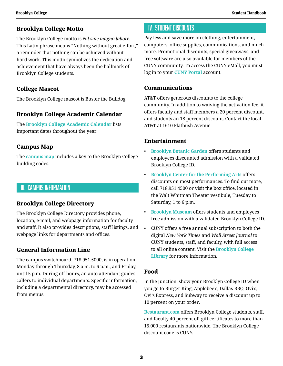### **Brooklyn College Motto**

The Brooklyn College motto is *Nil sine magno labore*. This Latin phrase means "Nothing without great effort," a reminder that nothing can be achieved without hard work. This motto symbolizes the dedication and achievement that have always been the hallmark of Brooklyn College students.

### **College Mascot**

The Brooklyn College mascot is Buster the Bulldog.

### **Brooklyn College Academic Calendar**

The **[Brooklyn College Academic Calendar](http://www.brooklyn.cuny.edu/web/about/administration/enrollment/registrar/bulletins.php)** lists important dates throughout the year.

### **Campus Map**

The **[campus map](http://www.brooklyn.cuny.edu/web/about/campus/visit/maps.php)** includes a key to the Brooklyn College building codes.

# III. Campus Information

### **Brooklyn College Directory**

The Brooklyn College Directory provides phone, location, e-mail, and webpage information for faculty and staff. It also provides descriptions, staff listings, and webpage links for departments and offices.

### **General Information Line**

The campus switchboard, 718.951.5000, is in operation Monday through Thursday, 8 a.m. to 6 p.m., and Friday, until 5 p.m. During off-hours, an auto attendant guides callers to individual departments. Specific information, including a departmental directory, may be accessed from menus.

# IV. Student Discounts

Pay less and save more on clothing, entertainment, computers, office supplies, communications, and much more. Promotional discounts, special giveaways, and free software are also available for members of the CUNY community. To access the CUNY eMall, you must log in to your **[CUNY Portal](https://ssologin.cuny.edu/cuny.html?resource_url=https%3A%2F%2Foffers.cuny.edu%252F)** account.

### **Communications**

AT&T offers generous discounts to the college community. In addition to waiving the activation fee, it offers faculty and staff members a 20 percent discount, and students an 18 percent discount. Contact the local AT&T at 1610 Flatbush Avenue.

### **Entertainment**

- **[Brooklyn Botanic Garden](https://www.bbg.org/)** offers students and employees discounted admission with a validated Brooklyn College ID.
- **[Brooklyn Center for the Performing Arts](http://www.brooklyncenter.org/)** offers discounts on most performances. To find out more, call 718.951.4500 or visit the box office, located in the Walt Whitman Theater vestibule, Tuesday to Saturday, 1 to 6 p.m.
- **[Brooklyn Museum](https://www.brooklynmuseum.org/)** offers students and employees free admission with a validated Brooklyn College ID.
- CUNY offers a free annual subscription to both the digital *New York Times* and *Wall Street Journal* to CUNY students, staff, and faculty, with full access to all online content. Visit the **[Brooklyn College](http://library.brooklyn.cuny.edu/resources/index.php?view=home)  [Library](http://library.brooklyn.cuny.edu/resources/index.php?view=home)** for more information.

### **Food**

In the Junction, show your Brooklyn College ID when you go to Burger King, Applebee's, Dallas BBQ, Ovi's, Ovi's Express, and Subway to receive a discount up to 10 percent on your order.

**[Restaurant.com](https://www.restaurant.com/)** offers Brooklyn College students, staff, and faculty 40 percent off gift certificates to more than 15,000 restaurants nationwide. The Brooklyn College discount code is CUNY.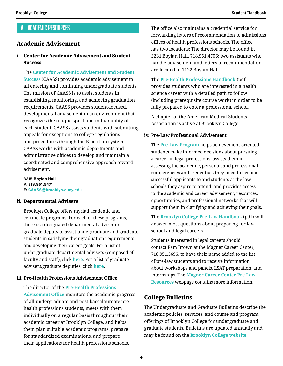# V. Academic Resources

### **Academic Advisement**

### i. Center for Academic Advisement and Student **Success**

 The **[Center for Academic Advisement and Student](http://www.brooklyn.cuny.edu/web/about/offices/caass.php)  [Success](http://www.brooklyn.cuny.edu/web/about/offices/caass.php)** (CAASS) provides academic advisement to all entering and continuing undergraduate students. The mission of CAASS is to assist students in establishing, monitoring, and achieving graduation requirements. CAASS provides student-focused, developmental advisement in an environment that recognizes the unique spirit and individuality of each student. CAASS assists students with submitting appeals for exceptions to college regulations and procedures through the E-petition system. CAASS works with academic departments and administrative offices to develop and maintain a coordinated and comprehensive approach toward advisement.

**3215 Boylan Hall P: 718.951.5471 E: [CAASS@brooklyn.cuny.edu](mailto:CAASS%40brooklyn.cuny.edu?subject=)**

#### ii. Departmental Advisers

Brooklyn College offers myriad academic and certificate programs. For each of these programs, there is a designated departmental adviser or graduate deputy to assist undergraduate and graduate students in satisfying their graduation requirements and developing their career goals. For a list of undergraduate departmental advisers (composed of faculty and staff), click **[here](http://www.brooklyn.cuny.edu/programs/displayAdvisors.ctl?div=U)**. For a list of graduate advisers/graduate deputies, click **[here](http://www.brooklyn.cuny.edu/programs/displayAdvisors.ctl?div=G)**.

### **iii. Pre-Health Professions Advisement Office**

The director of the **[Pre-Health Professions](http://www.brooklyn.cuny.edu/web/academics/special-programs/prehealth.php)  [Advisement Office](http://www.brooklyn.cuny.edu/web/academics/special-programs/prehealth.php)** monitors the academic progress of all undergraduate and post-baccalaureate prehealth professions students, meets with them individually on a regular basis throughout their academic career at Brooklyn College, and helps them plan suitable academic programs, prepare for standardized examinations, and prepare their applications for health professions schools.

The office also maintains a credential service for forwarding letters of recommendation to admissions offices of health professions schools. The office has two locations: The director may be found in 2231 Boylan Hall, 718.951.4706; two assistants who handle advisement and letters of recommendation are located in 1122 Boylan Hall.

 The **[Pre-Health Professions Handbook](http://www.brooklyn.cuny.edu/web/aca_honors/Pre-Health_Professions_Handbook.pdf)** (pdf) provides students who are interested in a health science career with a detailed path to follow (including prerequisite course work) in order to be fully prepared to enter a professional school.

A chapter of the American Medical Students Association is active at Brooklyn College.

#### **iv. Pre-Law Professional Advisement**

 The **[Pre-Law Program](http://www.brooklyn.cuny.edu/web/academics/special-programs/prelaw.php)** helps achievement-oriented students make informed decisions about pursuing a career in legal professions; assists them in assessing the academic, personal, and professional competencies and credentials they need to become successful applicants to and students at the law schools they aspire to attend; and provides access to the academic and career advisement, resources, opportunities, and professional networks that will support them in clarifying and achieving their goals.

 The **[Brooklyn College Pre-Law Handbook](http://info.brooklyn.cuny.edu/confluence/pages/viewpage.action?pageId=2588787&preview=/2588787/58884180/Pre-Law%20Handbook%202020-2021_.pdf)** (pdf) will answer most questions about preparing for law school and legal careers.

 Students interested in legal careers should contact Pam Brown at the Magner Career Center, 718.951.5696, to have their name added to the list of pre-law students and to receive information about workshops and panels, LSAT preparation, and internships. The **[Magner Career Center Pre-Law](http://info.brooklyn.cuny.edu/confluence/pages/viewpage.action?pageId=2588787&preview=/2588787/58884180/Pre-Law%20Handbook%202020-2021_.pdf)  [Resources](http://info.brooklyn.cuny.edu/confluence/pages/viewpage.action?pageId=2588787&preview=/2588787/58884180/Pre-Law%20Handbook%202020-2021_.pdf)** webpage contains more information.

### **College Bulletins**

The Undergraduate and Graduate Bulletins describe the academic policies, services, and course and program offerings of Brooklyn College for undergraduate and graduate students. Bulletins are updated annually and may be found on the **[Brooklyn College website](http://www.brooklyn.cuny.edu/web/about/administration/enrollment/registrar/bulletins.php)**.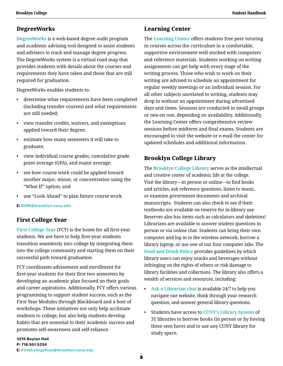### **DegreeWorks**

**[DegreeWorks](https://www.brooklyn.cuny.edu/web/about/offices/caass/degreeworks.php)** is a web-based degree audit program and academic advising tool designed to assist students and advisers to track and manage degree progress. The DegreeWorks system is a virtual road map that provides students with details about the courses and requirements they have taken and those that are still required for graduation.

DegreeWorks enables students to:

- determine what requirements have been completed (including transfer courses) and what requirements are still needed;
- view transfer credits, waivers, and exemptions applied toward their degree;
- estimate how many semesters it will take to graduate;
- view individual course grades, cumulative grade point average (GPA), and major average;
- see how course work could be applied toward another major, minor, or concentration using the "What If" option; and
- use "Look Ahead" to plan future course work.

**E: [DGW@brooklyn.cuny.edu](mailto:DGW%40brooklyn.cuny.edu?subject=)**

### **First College Year**

**[First College Year](http://www.brooklyn.cuny.edu/web/about/offices/caass/fcy.php)** (FCY) is the home for all first-year students. We are here to help first-year students transition seamlessly into college by integrating them into the college community and starting them on their successful path toward graduation.

FCY coordinates advisement and enrollment for first-year students for their first two semesters by developing an academic plan focused on their goals and career aspirations. Additionally, FCY offers various programming to support student success, such as the First Year Modules through Blackboard and a host of workshops. These initiatives not only help acclimate students to college, but also help students develop habits that are essential to their academic success and promotes self-awareness and self-reliance.

### **Learning Center**

The **[Learning Center](http://www.brooklyn.cuny.edu/web/academics/centers/learning.php)** offers students free peer tutoring in courses across the curriculum in a comfortable, supportive environment well stocked with computers and reference materials. Students working on writing assignments can get help with every stage of the writing process. Those who wish to work on their writing are advised to schedule an appointment for regular weekly meetings or an individual session. For all other subjects unrelated to writing, students may drop in without an appointment during advertised days and times. Sessions are conducted in small groups or one-on one, depending on availability. Additionally, the Learning Center offers comprehensive review sessions before midterm and final exams. Students are encouraged to visit the website or e-mail the center for updated schedules and additional information.

# **Brooklyn College Library**

The **[Brooklyn College Library](https://library.brooklyn.cuny.edu/resources/)** serves as the intellectual and creative center of academic life at the college. Visit the library—in person or online—to find books and articles, ask reference questions, listen to music, or examine government documents and archival manuscripts. Students can also check to see if their textbooks are available on reserve for in-library use. Reserves also has items such as calculators and skeletons! Librarians are available to answer student questions in person or via online chat. Students can bring their own computer and log in to the wireless network, borrow a library laptop, or use one of our four computer labs. The **[Food and Drink Policy](https://libguides.brooklyn.cuny.edu/publicpolicies/food)** provides guidelines by which library users can enjoy snacks and beverages without infringing on the rights of others or risk damage to library facilities and collections. The library also offers a wealth of services and resources, including:

- **[Ask a Librarian chat](https://libguides.brooklyn.cuny.edu/askalibrarian/)** is available 24/7 to help you navigate our website, think through your research question, and answer general library questions.
- Students have access to **[CUNY's Library System](https://www.cuny.edu/libraries/)** of 31 libraries to borrow books (in person or by having them sent here) and to use any CUNY library for study space.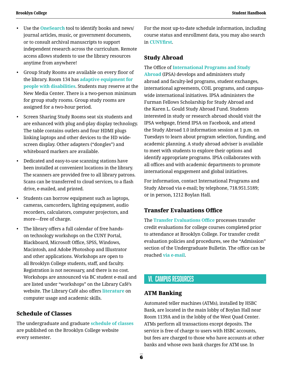- <span id="page-9-0"></span>• Use the **[OneSearch](https://library.brooklyn.cuny.edu/resources/)** tool to identify books and news/ journal articles, music, or government documents, or to consult archival manuscripts to support independent research across the curriculum. Remote access allows students to use the library resources anytime from anywhere!
- Group Study Rooms are available on every floor of the library. Room 134 has **[adaptive equipment for](https://libguides.brooklyn.cuny.edu/ada#c309)  [people with disabilities](https://libguides.brooklyn.cuny.edu/ada#c309)**. Students may reserve at the New Media Center. There is a two-person minimum for group study rooms. Group study rooms are assigned for a two-hour period.
- Screen Sharing Study Rooms seat six students and are enhanced with plug and-play display technology. The table contains outlets and four HDMI plugs linking laptops and other devices to the HD widescreen display. Other adapters ("dongles") and whiteboard markers are available.
- Dedicated and easy-to-use scanning stations have been installed at convenient locations in the library. The scanners are provided free to all library patrons. Scans can be transferred to cloud services, to a flash drive, e-mailed, and printed.
- Students can borrow equipment such as laptops, cameras, camcorders, lighting equipment, audio recorders, calculators, computer projectors, and more—free of charge.
- The library offers a full calendar of free handson technology workshops on the CUNY Portal, Blackboard, Microsoft Office, SPSS, Windows, Macintosh, and Adobe Photoshop and Illustrator and other applications. Workshops are open to all Brooklyn College students, staff, and faculty. Registration is not necessary, and there is no cost. Workshops are announced via BC student e-mail and are listed under "workshops" on the Library Café's website. The Library Café also offers **[literature](http://ait.brooklyn.cuny.edu/litrack/)** on computer usage and academic skills.

### **Schedule of Classes**

The undergraduate and graduate **[schedule of classes](http://www.brooklyn.cuny.edu/web/about/administration/enrollment/registrar/bulletins.php)** are published on the Brooklyn College website every semester.

For the most up-to-date schedule information, including course status and enrollment data, you may also search in **[CUNYfirst](https://ssologin.cuny.edu/cuny.html?resource_url=https%3A%2F%2Fhome.cunyfirst.cuny.edu%252Fpsp%252Fcnyepprd%252FEMPLOYEE%252FEMPL%252Fh%252F%3Ftab%253DDEFAULT)**.

### **Study Abroad**

#### The Office of **[International Programs and Study](http://www.brooklyn.cuny.edu/web/academics/studyabroad.php)**

**[Abroad](http://www.brooklyn.cuny.edu/web/academics/studyabroad.php)** (IPSA) develops and administers study abroad and faculty-led programs, student exchanges, international agreements, COIL programs, and campuswide international initiatives. IPSA administers the Furman Fellows Scholarship for Study Abroad and the Karen L. Gould Study Abroad Fund. Students interested in study or research abroad should visit the IPSA webpage, friend IPSA on Facebook, and attend the Study Abroad 1.0 information session at 1 p.m. on Tuesdays to learn about program selection, funding, and academic planning. A study abroad adviser is available to meet with students to explore their options and identify appropriate programs. IPSA collaborates with all offices and with academic departments to promote international engagement and global initiatives.

For information, contact International Programs and Study Abroad via e-mail; by telephone, 718.951.5189; or in person, 1212 Boylan Hall.

### **Transfer Evaluations Office**

The **[Transfer Evaluations Office](http://www.brooklyn.cuny.edu/web/about/administration/enrollment/teo.php)** processes transfer credit evaluations for college courses completed prior to attendance at Brooklyn College. For transfer credit evaluation policies and procedures, see the "Admission" section of the Undergraduate Bulletin. The office can be reached **[via e-mail](mailto:tcevaluation%40brooklyn.cuny.edu?subject=)**.

# VI. Campus Resources

### **ATM Banking**

Automated teller machines (ATMs), installed by HSBC Bank, are located in the main lobby of Boylan Hall near Room 1139A and in the lobby of the West Quad Center. ATMs perform all transactions except deposits. The service is free of charge to users with HSBC accounts, but fees are charged to those who have accounts at other banks and whose own bank charges for ATM use. In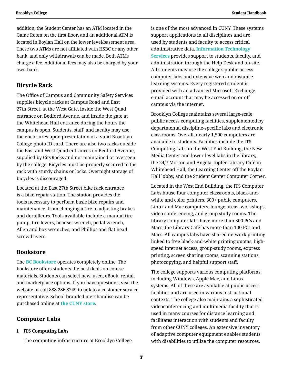addition, the Student Center has an ATM located in the Game Room on the first floor, and an additional ATM is located in Boylan Hall on the lower level/basement area. These two ATMs are not affiliated with HSBC or any other bank, and only withdrawals can be made. Both ATMs charge a fee. Additional fees may also be charged by your own bank.

### **Bicycle Rack**

The Office of Campus and Community Safety Services supplies bicycle racks at Campus Road and East 27th Street, at the West Gate, inside the West Quad entrance on Bedford Avenue, and inside the gate at the Whitehead Hall entrance during the hours the campus is open. Students, staff, and faculty may use the enclosures upon presentation of a valid Brooklyn College photo ID card. There are also two racks outside the East and West Quad entrances on Bedford Avenue, supplied by CityRacks and not maintained or overseen by the college. Bicycles must be properly secured to the rack with sturdy chains or locks. Overnight storage of bicycles is discouraged.

Located at the East 27th Street bike rack entrance is a bike repair station. The station provides the tools necessary to perform basic bike repairs and maintenance, from changing a tire to adjusting brakes and derailleurs. Tools available include a manual tire pump, tire levers, headset wrench, pedal wrench, Allen and box wrenches, and Phillips and flat head screwdrivers.

#### **Bookstore**

The **[BC Bookstore](https://brooklyn.textbookx.com/institutional/index.php)** operates completely online. The bookstore offers students the best deals on course materials. Students can select new, used, eBook, rental, and marketplace options. If you have questions, visit the website or call 888.286.8249 to talk to a customer service representative. School-branded merchandise can be purchased online at **[the CUNY store](https://thecunystore.merchorders.com/)**.

### **Computer Labs**

#### **i. ITS Computing Labs**

The computing infrastructure at Brooklyn College

is one of the most advanced in CUNY. These systems support applications in all disciplines and are used by students and faculty to access critical administrative data. **[Information Technology](http://www.brooklyn.cuny.edu/web/about/offices/technology.php)  [Services](http://www.brooklyn.cuny.edu/web/about/offices/technology.php)** provides support to students, faculty, and administration through the Help Desk and on-site. All students may use the college's public-access computer labs and extensive web and distance learning systems. Every registered student is provided with an advanced Microsoft Exchange e-mail account that may be accessed on or off campus via the internet.

Brooklyn College maintains several large-scale public access computing facilities, supplemented by departmental discipline-specific labs and electronic classrooms. Overall, nearly 1,500 computers are available to students. Facilities include the ITS Computing Labs in the West End Building, the New Media Center and lower-level labs in the library, the 24/7 Morton and Angela Topfer Library Café in Whitehead Hall, the Learning Center off the Boylan Hall lobby, and the Student Center Computer Corner.

Located in the West End Building, the ITS Computer Labs house four computer classrooms, black-andwhite and color printers, 300+ public computers, Linux and Mac computers, lounge areas, workshops, video conferencing, and group study rooms. The library computer labs have more than 500 PCs and Macs; the Library Café has more than 100 PCs and Macs. All campus labs have shared network printing linked to free black-and-white printing quotas, highspeed internet access, group-study rooms, express printing, screen sharing rooms, scanning stations, photocopying, and helpful support staff.

The college supports various computing platforms, including Windows, Apple Mac, and Linux systems. All of these are available at public-access facilities and are used in various instructional contexts. The college also maintains a sophisticated videoconferencing and multimedia facility that is used in many courses for distance learning and facilitates interaction with students and faculty from other CUNY colleges. An extensive inventory of adaptive computer equipment enables students with disabilities to utilize the computer resources.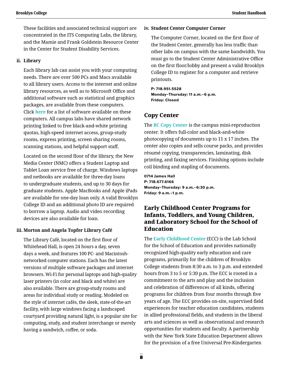These facilities and associated technical support are concentrated in the ITS Computing Labs, the library, and the Mamie and Frank Goldstein Resource Center in the Center for Student Disability Services.

#### **ii. Library**

Each library lab can assist you with your computing needs. There are over 500 PCs and Macs available to all library users. Access to the internet and online library resources, as well as to Microsoft Office and additional software such as statistical and graphics packages, are available from these computers. Click **[here](https://library.brooklyn.cuny.edu/resources/?view=public_software)** for a list of software available on these computers. All campus labs have shared network printing linked to free black-and-white printing quotas, high-speed internet access, group-study rooms, express printing, screen sharing rooms, scanning stations, and helpful support staff.

Located on the second floor of the library, the New Media Center (NMC) offers a Student Laptop and Tablet Loan service free of charge. Windows laptops and netbooks are available for three-day loans to undergraduate students, and up to 30 days for graduate students. Apple MacBooks and Apple iPads are available for one-day loan only. A valid Brooklyn College ID and an additional photo ID are required to borrow a laptop. Audio and video recording devices are also available for loan.

#### **iii. Morton and Angela Topfer Library Café**

 The Library Café, located on the first floor of Whitehead Hall, is open 24 hours a day, seven days a week, and features 100 PC- and Macintoshnetworked computer stations. Each has the latest versions of multiple software packages and internet browsers. Wi-Fi for personal laptops and high-quality laser printers (in color and black and white) are also available. There are group-study rooms and areas for individual study or reading. Modeled on the style of internet cafés, the sleek, state-of-the-art facility, with large windows facing a landscaped courtyard providing natural light, is a popular site for computing, study, and student interchange or merely having a sandwich, coffee, or soda.

#### **iv. Student Center Computer Corner**

The Computer Corner, located on the first floor of the Student Center, generally has less traffic than other labs on campus with the same bandwidth. You must go to the Student Center Administrative Office on the first floor/lobby and present a valid Brooklyn College ID to register for a computer and retrieve printouts.

**P: 718.951.5528 Monday–Thursday: 11 a.m.–6 p.m. Friday: Closed**

### **Copy Center**

The **[BC Copy Center](https://www.brooklyn.cuny.edu/web/about/offices/campus-support-service/printing.php)** is the campus mini-reproduction center. It offers full-color and black-and-white photocopying of documents up to 11 x 17 inches. The center also copies and sells course packs, and provides résumé copying, transparencies, laminating, disk printing, and faxing services. Finishing options include coil binding and stapling of documents.

**0714 James Hall P: 718.677.6166 Monday–Thursday: 9 a.m.–6:30 p.m. Friday: 9 a.m.–1 p.m.**

### **Early Childhood Center Programs for Infants, Toddlers, and Young Children, and Laboratory School for the School of Education**

The **[Early Childhood Center](http://www.brooklyn.cuny.edu/web/academics/schools/education/partnerships/ecc.php)** (ECC) is the Lab School for the School of Education and provides nationally recognized high-quality early education and care programs, primarily for the children of Brooklyn College students from 8:30 a.m. to 3 p.m. and extended hours from 3 to 5 or 5:30 p.m. The ECC is rooted in a commitment to the arts and play and the inclusion and celebration of differences of all kinds, offering programs for children from four months through five years of age. The ECC provides on-site, supervised field experiences for teacher education candidates, students in allied professional fields, and students in the liberal arts and sciences as well as observational and research opportunities for students and faculty. A partnership with the New York State Education Department allows for the provision of a free Universal Pre-Kindergarten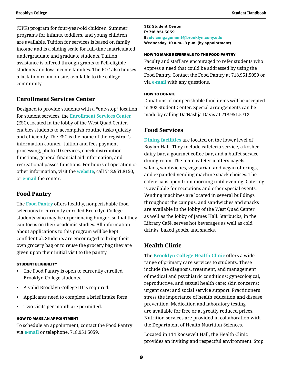(UPK) program for four-year-old children. Summer programs for infants, toddlers, and young children are available. Tuition for services is based on family income and is a sliding scale for full-time matriculated undergraduate and graduate students. Tuition assistance is offered through grants to Pell-eligible students and low-income families. The ECC also houses a lactation room on-site, available to the college community.

### **Enrollment Services Center**

Designed to provide students with a "one-stop" location for student services, the **[Enrollment Services Center](http://www.brooklyn.cuny.edu/web/about/administration/enrollment/esc.php)** (ESC), located in the lobby of the West Quad Center, enables students to accomplish routine tasks quickly and efficiently. The ESC is the home of the registrar's information counter, tuition and fees payment processing, photo ID services, check distribution functions, general financial aid information, and recreational passes functions. For hours of operation or other information, visit the **[website](http://www.brooklyn.cuny.edu/web/about/administration/enrollment/esc.php)**, call 718.951.8150, or **[e-mail](mailto:esc%40brooklyn.cuny.edu?subject=)** the center.

### **Food Pantry**

The **[Food Pantry](https://www.brooklyn.cuny.edu/web/about/offices/studentaffairs/student-support-services/food-pantry.php)** offers healthy, nonperishable food selections to currently enrolled Brooklyn College students who may be experiencing hunger, so that they can focus on their academic studies. All information about applications to this program will be kept confidential. Students are encouraged to bring their own grocery bag or to reuse the grocery bag they are given upon their initial visit to the pantry.

#### STUDENT ELIGIBILITY

- The Food Pantry is open to currently enrolled Brooklyn College students.
- A valid Brooklyn College ID is required.
- Applicants need to complete a brief intake form.
- Two visits per month are permitted.

#### HOW TO MAKE AN APPOINTMENT

To schedule an appointment, contact the Food Pantry via **[e-mail](mailto:civicengagement%40brooklyn.cuny.edu?subject=)** or telephone, 718.951.5059.

**312 Student Center P: 718.951.5059 E: [civicengagement@brooklyn.cuny.edu](mailto:civicengagement%40brooklyn.cuny.edu?subject=) Wednesday, 10 a.m.–3 p.m. (by appointment)**

#### HOW TO MAKE REFERRALS TO THE FOOD PANTRY

Faculty and staff are encouraged to refer students who express a need that could be addressed by using the Food Pantry. Contact the Food Pantry at 718.951.5059 or via **[e-mail](mailto:civicengagement%40brooklyn.cuny.edu?subject=)** with any questions.

#### HOW TO DONATE

Donations of nonperishable food items will be accepted in 302 Student Center. Special arrangements can be made by calling Da'Nashja Davis at 718.951.5712.

### **Food Services**

**[Dining facilities](http://www.brooklyn.cuny.edu/web/about/offices/metropolitan.php)** are located on the lower level of Boylan Hall. They include cafeteria service, a kosher dairy bar, a gourmet coffee bar, and a buffet service dining room. The main cafeteria offers bagels, salads, sandwiches, vegetarian and vegan offerings, and expanded vending machine snack choices. The cafeteria is open from morning until evening. Catering is available for receptions and other special events. Vending machines are located in several buildings throughout the campus, and sandwiches and snacks are available in the lobby of the West Quad Center as well as the lobby of James Hall. Starbucks, in the Library Café, serves hot beverages as well as cold drinks, baked goods, and snacks.

### **Health Clinic**

The **[Brooklyn College Health Clinic](http://www.brooklyn.cuny.edu/web/about/offices/studentaffairs/health-wellness/healthclinic.php?utm_source=Website&utm_medium=StudentAffairs&utm_campaign=HealthClinicRedirect)** offers a wide range of primary care services to students. These include the diagnosis, treatment, and management of medical and psychiatric conditions; gynecological, reproductive, and sexual health care; skin concerns; urgent care; and social service support. Practitioners stress the importance of health education and disease prevention. Medication and laboratory testing are available for free or at greatly reduced prices. Nutrition services are provided in collaboration with the Department of Health Nutrition Sciences.

Located in 114 Roosevelt Hall, the Health Clinic provides an inviting and respectful environment. Stop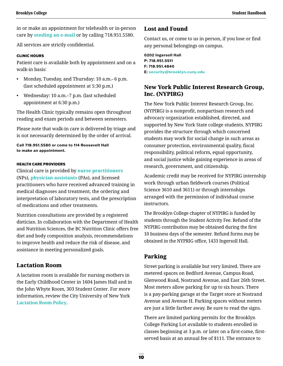in or make an appointment for telehealth or in-person care by **[sending an e-mail](mailto:BCHealthClinic%40gmail.com?subject=)** or by calling 718.951.5580.

All services are strictly confidential.

#### CLINIC HOURS

Patient care is available both by appointment and on a walk-in basis:

- Monday, Tuesday, and Thursday: 10 a.m.–6 p.m. (last scheduled appointment at 5:30 p.m.)
- Wednesday: 10 a.m.–7 p.m. (last scheduled appointment at 6:30 p.m.)

The Health Clinic typically remains open throughout reading and exam periods and between semesters.

Please note that walk-in care is delivered by triage and is not necessarily determined by the order of arrival.

**Call 718.951.5580 or come to 114 Roosevelt Hall to make an appointment.** 

#### HEALTH CARE PROVIDERS

Clinical care is provided by **[nurse practitioners](https://www.aanp.org/about/all-about-nps/whats-a-nurse-practitioner)** (NPs), **[physician assistants](https://www.aapa.org/what-is-a-pa/)** (PAs), and licensed practitioners who have received advanced training in medical diagnoses and treatment, the ordering and interpretation of laboratory tests, and the prescription of medications and other treatments.

Nutrition consultations are provided by a registered dietician. In collaboration with the Department of Health and Nutrition Sciences, the BC Nutrition Clinic offers free diet and body composition analysis, recommendations to improve health and reduce the risk of disease, and assistance in meeting personalized goals.

### **Lactation Room**

A lactation room is available for nursing mothers in the Early Childhood Center in 1604 James Hall and in the John Whyte Room, 303 Student Center. For more information, review the City University of New York **[Lactation Room Policy](https://www.cuny.edu/wp-content/uploads/sites/4/page-assets/about/administration/offices/hr/policies-and-procedures/Lactation-Room-Policy-03.18.19.pdf)**.

### **Lost and Found**

Contact us, or come to us in person, if you lose or find any personal belongings on campus.

**0202 Ingersoll Hall P: 718.951.5511 F: 718.951.4840 E: [security@brooklyn.cuny.edu](mailto:security%40brooklyn.cuny.edu?subject=)**

## **New York Public Interest Research Group, Inc. (NYPIRG)**

The New York Public Interest Research Group, Inc. (NYPIRG) is a nonprofit, nonpartisan research and advocacy organization established, directed, and supported by New York State college students. NYPIRG provides the structure through which concerned students may work for social change in such areas as consumer protection, environmental quality, fiscal responsibility, political reform, equal opportunity, and social justice while gaining experience in areas of research, government, and citizenship.

Academic credit may be received for NYPIRG internship work through urban fieldwork courses (Political Science 3610 and 3611) or through internships arranged with the permission of individual course instructors.

The Brooklyn College chapter of NYPIRG is funded by students through the Student Activity Fee. Refund of the NYPIRG contribution may be obtained during the first 10 business days of the semester. Refund forms may be obtained in the NYPRIG office, 1433 Ingersoll Hall.

### **Parking**

Street parking is available but very limited. There are metered spaces on Bedford Avenue, Campus Road, Glenwood Road, Nostrand Avenue, and East 26th Street. Most meters allow parking for up to six hours. There is a pay-parking garage at the Target store at Nostrand Avenue and Avenue H. Parking spaces without meters are just a little farther away. Be sure to read the signs.

There are limited parking permits for the Brooklyn College Parking Lot available to students enrolled in classes beginning at 3 p.m. or later on a first-come, firstserved basis at an annual fee of \$111. The entrance to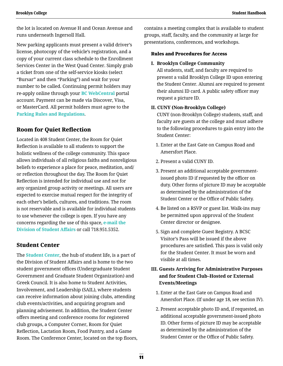the lot is located on Avenue H and Ocean Avenue and runs underneath Ingersoll Hall.

New parking applicants must present a valid driver's license, photocopy of the vehicle's registration, and a copy of your current class schedule to the Enrollment Services Center in the West Quad Center. Simply grab a ticket from one of the self-service kiosks (select "Bursar" and then "Parking") and wait for your number to be called. Continuing permit holders may re-apply online through your **[BC WebCentral](https://portal.brooklyn.edu/uPortal/f/welcome/normal/render.uP)** portal account. Payment can be made via Discover, Visa, or MasterCard. All permit holders must agree to the **[Parking Rules and Regulations](https://websql.brooklyn.cuny.edu/bcparking/showInstructions.jsp)**.

### **Room for Quiet Reflection**

Located in 408 Student Center, the Room for Quiet Reflection is available to all students to support the holistic wellness of the college community. This space allows individuals of all religious faiths and nonreligious beliefs to experience a place for peace, meditation, and/ or reflection throughout the day. The Room for Quiet Reflection is intended for individual use and not for any organized group activity or meetings. All users are expected to exercise mutual respect for the integrity of each other's beliefs, cultures, and traditions. The room is not reservable and is available for individual students to use whenever the college is open. If you have any concerns regarding the use of this space, **[e-mail the](mailto:studentaffairs%40brooklyn.cuny.edu?subject=)  [Division of Student Affairs](mailto:studentaffairs%40brooklyn.cuny.edu?subject=)** or call 718.951.5352.

### **Student Center**

The **[Student Center](http://www.brooklyn.cuny.edu/web/about/offices/studentaffairs/administrative-services/studentcenter.php)**, the hub of student life, is a part of the Division of Student Affairs and is home to the two student government offices (Undergraduate Student Government and Graduate Student Organization) and Greek Council. It is also home to Student Activities, Involvement, and Leadership (SAIL), where students can receive information about joining clubs, attending club events/activities, and acquiring program and planning advisement. In addition, the Student Center offers meeting and conference rooms for registered club groups, a Computer Corner, Room for Quiet Reflection, Lactation Room, Food Pantry, and a Game Room. The Conference Center, located on the top floors,

contains a meeting complex that is available to student groups, staff, faculty, and the community at large for presentations, conferences, and workshops.

#### Rules and Procedures for Access

#### **I. Brooklyn College Community**

All students, staff, and faculty are required to present a valid Brooklyn College ID upon entering the Student Center. Alumni are required to present their alumni ID card. A public safety officer may request a picture ID.

#### **II. CUNY (Non-Brooklyn College)**

CUNY (non-Brooklyn College) students, staff, and faculty are guests at the college and must adhere to the following procedures to gain entry into the Student Center:

- 1. Enter at the East Gate on Campus Road and Amersfort Place.
- 2. Present a valid CUNY ID.
- 3. Present an additional acceptable governmentissued photo ID if requested by the officer on duty. Other forms of picture ID may be acceptable as determined by the administration of the Student Center or the Office of Public Safety.
- 4. Be listed on a RSVP or guest list. Walk-ins may be permitted upon approval of the Student Center director or designee.
- 5. Sign and complete Guest Registry. A BCSC Visitor's Pass will be issued if the above procedures are satisfied. This pass is valid only for the Student Center. It must be worn and visible at all times.

### **III. Guests Arriving for Administrative Purposes and for Student Club–Hosted or External Events/Meetings**

- 1. Enter at the East Gate on Campus Road and Amersfort Place. (If under age 18, see section IV).
- 2. Present acceptable photo ID and, if requested, an additional acceptable government-issued photo ID. Other forms of picture ID may be acceptable as determined by the administration of the Student Center or the Office of Public Safety.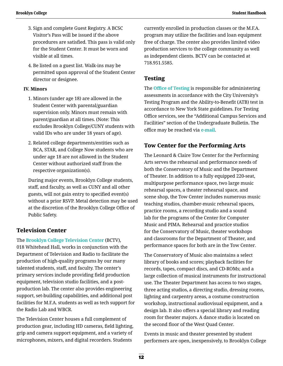- 3. Sign and complete Guest Registry. A BCSC Visitor's Pass will be issued if the above procedures are satisfied. This pass is valid only for the Student Center. It must be worn and visible at all times.
- 4. Be listed on a guest list. Walk-ins may be permitted upon approval of the Student Center director or designee.

### **IV. Minors**

- 1. Minors (under age 18) are allowed in the Student Center with parental/guardian supervision only. Minors must remain with parent/guardian at all times. (Note: This excludes Brooklyn College/CUNY students with valid IDs who are under 18 years of age).
- 2. Related college departments/entities such as BCA, STAR, and College Now students who are under age 18 are not allowed in the Student Center without authorized staff from the respective organization(s).

During major events, Brooklyn College students, staff, and faculty, as well as CUNY and all other guests, will not gain entry to specified event(s) without a prior RSVP. Metal detection may be used at the discretion of the Brooklyn College Office of Public Safety.

# **Television Center**

The **[Brooklyn College Television Center](https://libguides.brooklyn.cuny.edu/aboutlibrary/AboutTVCenter)** (BCTV), 018 Whitehead Hall, works in conjunction with the Department of Television and Radio to facilitate the production of high-quality programs by our many talented students, staff, and faculty. The center's primary services include providing field production equipment, television studio facilities, and a postproduction lab. The center also provides engineering support, set-building capabilities, and additional post facilities for M.F.A. students as well as tech support for the Radio Lab and WBCR.

The Television Center houses a full complement of production gear, including HD cameras, field lighting, grip and camera support equipment, and a variety of microphones, mixers, and digital recorders. Students

currently enrolled in production classes or the M.F.A. program may utilize the facilities and loan equipment free of charge. The center also provides limited video production services to the college community as well as independent clients. BCTV can be contacted at 718.951.5585.

# **Testing**

The **[Office of Testing](http://www.brooklyn.cuny.edu/web/about/administration/enrollment/testing.php)** is responsible for administering assessments in accordance with the City University's Testing Program and the Ability-to-Benefit (ATB) test in accordance to New York State guidelines. For Testing Office services, see the "Additional Campus Services and Facilities" section of the Undergraduate Bulletin. The office may be reached via **[e-mail](mailto:testing%40brooklyn.cuny.edu?subject=)**.

# **Tow Center for the Performing Arts**

The Leonard & Claire Tow Center for the Performing Arts serves the rehearsal and performance needs of both the Conservatory of Music and the Department of Theater. In addition to a fully equipped 220-seat, multipurpose performance space, two large music rehearsal spaces, a theater rehearsal space, and scene shop, the Tow Center includes numerous music teaching studios, chamber-music rehearsal spaces, practice rooms, a recording studio and a sound lab for the programs of the Center for Computer Music and PIMA. Rehearsal and practice studios for the Conservatory of Music, theater workshops and classrooms for the Department of Theater, and performance spaces for both are in the Tow Center.

The Conservatory of Music also maintains a select library of books and scores; playback facilities for records, tapes, compact discs, and CD-ROMs; and a large collection of musical instruments for instructional use. The Theater Department has access to two stages, three acting studios, a directing studio, dressing rooms, lighting and carpentry areas, a costume construction workshop, instructional audiovisual equipment, and a design lab. It also offers a special library and reading room for theater majors. A dance studio is located on the second floor of the West Quad Center.

Events in music and theater presented by student performers are open, inexpensively, to Brooklyn College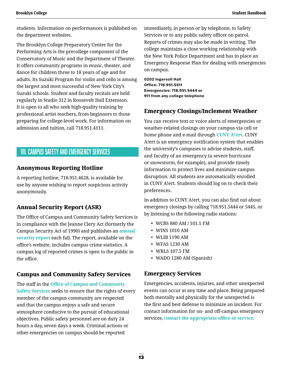<span id="page-16-0"></span>students. Information on performances is published on the department websites.

The Brooklyn College Preparatory Center for the Performing Arts is the precollege component of the Conservatory of Music and the Department of Theater. It offers community programs in music, theater, and dance for children three to 18 years of age and for adults. Its Suzuki Program for violin and cello is among the largest and most successful of New York City's Suzuki schools. Student and faculty recitals are held regularly in Studio 312 in Roosevelt Hall Extension. It is open to all who seek high-quality training by professional artist teachers, from beginners to those preparing for college-level work. For information on admission and tuition, call 718.951.4111.

# VII. Campus Safety and Emergency Services

### **Anonymous Reporting Hotline**

A reporting hotline, 718.951.4628, is available for use by anyone wishing to report suspicious activity anonymously.

# **Annual Security Report (ASR)**

The Office of Campus and Community Safety Services is in compliance with the Jeanne Clery Act (formerly the Campus Security Act of 1990) and publishes an **[annual](http://www.brooklyn.cuny.edu/web/about/offices/safety/security.php)  [security report](http://www.brooklyn.cuny.edu/web/about/offices/safety/security.php)** each fall. The report, available on the office's website, includes campus crime statistics. A campus log of reported crimes is open to the public in the office.

# **Campus and Community Safety Services**

The staff in the **[Office of Campus and Community](http://www.brooklyn.cuny.edu/web/about/offices/safety.php)  [Safety Services](http://www.brooklyn.cuny.edu/web/about/offices/safety.php)** seeks to ensure that the rights of every member of the campus community are respected and that the campus enjoys a safe and secure atmosphere conducive to the pursuit of educational objectives. Public safety personnel are on duty 24 hours a day, seven days a week. Criminal actions or other emergencies on campus should be reported

immediately, in person or by telephone, to Safety Services or to any public safety officer on patrol. Reports of crimes may also be made in writing. The college maintains a close working relationship with the New York Police Department and has in place an Emergency Response Plan for dealing with emergencies on campus.

**0202 Ingersoll Hall Office: 718.951.5511 Emergencies: 718.951.5444 or 911 from any college telephone**

### **Emergency Closings/Inclement Weather**

You can receive text or voice alerts of emergencies or weather-related closings on your campus via cell or home phone and e-mail through **[CUNY A!ert](http://www.brooklyn.cuny.edu/web/about/offices/safety/alert.php)**. CUNY A!ert is an emergency notification system that enables the university's campuses to advise students, staff, and faculty of an emergency (a severe hurricane or snowstorm, for example), and provide timely information to protect lives and minimize campus disruption. All students are automatically enrolled in CUNY A!ert. Students should log on to check their preferences.

In addition to CUNY A!ert, you can also find out about emergency closings by calling 718.951.5444 or 5445, or by listening to the following radio stations:

- WCBS 880 AM / 101.1 FM
- WINS 1010 AM
- WLIB 1190 AM
- WFAS 1230 AM
- WBLS 107.5 FM
- WADO 1280 AM (Spanish)

### **Emergency Services**

Emergencies, accidents, injuries, and other unexpected events can occur at any time and place. Being prepared both mentally and physically for the unexpected is the first and best defense to minimize an incident. For contact information for on- and off-campus emergency services, **[contact the appropriate office or service](http://www.brooklyn.cuny.edu/web/about/offices/safety/emergency/numbers.php)**.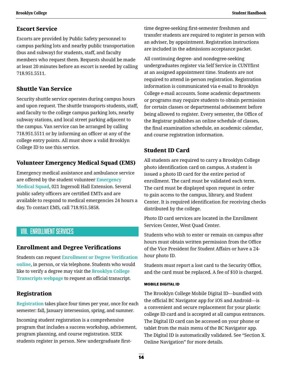### <span id="page-17-0"></span>**Escort Service**

Escorts are provided by Public Safety personnel to campus parking lots and nearby public transportation (bus and subway) for students, staff, and faculty members who request them. Requests should be made at least 20 minutes before an escort is needed by calling 718.951.5511.

# **Shuttle Van Service**

Security shuttle service operates during campus hours and upon request. The shuttle transports students, staff, and faculty to the college campus parking lots, nearby subway stations, and local street parking adjacent to the campus. Van service can be arranged by calling 718.951.5511 or by informing an officer at any of the college entry points. All must show a valid Brooklyn College ID to use this service.

# **Volunteer Emergency Medical Squad (EMS)**

Emergency medical assistance and ambulance service are offered by the student volunteer **[Emergency](https://www.brooklyn.cuny.edu/web/about/offices/studentaffairs/health-wellness/ems.php)  [Medical Squad](https://www.brooklyn.cuny.edu/web/about/offices/studentaffairs/health-wellness/ems.php)**, 021 Ingersoll Hall Extension. Several public safety officers are certified EMTs and are available to respond to medical emergencies 24 hours a day. To contact EMS, call 718.951.5858.

# VIII. Enrollment Services

# **Enrollment and Degree Verifications**

Students can request **[Enrollment or Degree Verification](http://www.brooklyn.cuny.edu/web/about/administration/enrollment/registrar/verifications.php)  [online](http://www.brooklyn.cuny.edu/web/about/administration/enrollment/registrar/verifications.php)**, in person, or via telephone. Students who would like to verify a degree may visit the **[Brooklyn College](http://www.brooklyn.cuny.edu/web/about/administration/enrollment/registrar/transcripts.php)  [Transcripts webpage](http://www.brooklyn.cuny.edu/web/about/administration/enrollment/registrar/transcripts.php)** to request an official transcript.

# **Registration**

**[Registration](http://www.brooklyn.cuny.edu/web/about/administration/enrollment/registrar/registration.php)** takes place four times per year, once for each semester: fall, January intersession, spring, and summer.

Incoming student registration is a comprehensive program that includes a success workshop, advisement, program planning, and course registration. SEEK students register in person. New undergraduate firsttime degree-seeking first-semester freshmen and transfer students are required to register in person with an adviser, by appointment. Registration instructions are included in the admissions acceptance packet.

All continuing degree- and nondegree-seeking undergraduates register via Self Service in CUNYfirst at an assigned appointment time. Students are not required to attend in-person registration. Registration information is communicated via e-mail to Brooklyn College e-mail accounts. Some academic departments or programs may require students to obtain permission for certain classes or departmental advisement before being allowed to register. Every semester, the Office of the Registrar publishes an online schedule of classes, the final examination schedule, an academic calendar, and course registration information.

# **Student ID Card**

All students are required to carry a Brooklyn College photo identification card on campus. A student is issued a photo ID card for the entire period of enrollment. The card must be validated each term. The card must be displayed upon request in order to gain access to the campus, library, and Student Center. It is required identification for receiving checks distributed by the college.

Photo ID card services are located in the Enrollment Services Center, West Quad Center.

Students who wish to enter or remain on campus after hours must obtain written permission from the Office of the Vice President for Student Affairs or have a 24 hour photo ID.

Students must report a lost card to the Security Office, and the card must be replaced. A fee of \$10 is charged.

### MOBILE DIGITAL ID

The Brooklyn College Mobile Digital ID—bundled with the official BC Navigator app for iOS and Android—is a convenient and secure replacement for your plastic college ID card and is accepted at all campus entrances. The Digital ID card can be accessed on your phone or tablet from the main menu of the BC Navigator app. The Digital ID is automatically validated. See "Section X. Online Navigation" for more details.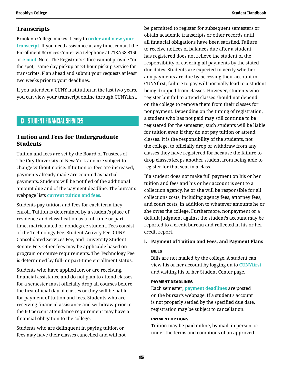### <span id="page-18-0"></span>**Transcripts**

Brooklyn College makes it easy to **[order and view your](http://www.brooklyn.cuny.edu/web/about/administration/enrollment/registrar/transcripts.php)  [transcript](http://www.brooklyn.cuny.edu/web/about/administration/enrollment/registrar/transcripts.php)**. If you need assistance at any time, contact the Enrollment Services Center via telephone at 718.758.8150 or **[e-mail](mailto:Transcript%40brooklyn.cuny.edu?subject=)**. Note: The Registrar's Office cannot provide "on the spot," same-day pickup or 24-hour pickup service for transcripts. Plan ahead and submit your requests at least two weeks prior to your deadlines.

If you attended a CUNY institution in the last two years, you can view your transcript online through CUNYfirst.

# IX. Student Financial Services

### **Tuition and Fees for Undergraduate Students**

Tuition and fees are set by the Board of Trustees of The City University of New York and are subject to change without notice. If tuition or fees are increased, payments already made are counted as partial payments. Students will be notified of the additional amount due and of the payment deadline. The bursar's webpage lists **[current tuition and fees](http://www.brooklyn.cuny.edu/web/about/offices/bursar/tuition.php)**.

Students pay tuition and fees for each term they enroll. Tuition is determined by a student's place of residence and classification as a full-time or parttime, matriculated or nondegree student. Fees consist of the Technology Fee, Student Activity Fee, CUNY Consolidated Services Fee, and University Student Senate Fee. Other fees may be applicable based on program or course requirements. The Technology Fee is determined by full- or part-time enrollment status.

Students who have applied for, or are receiving, financial assistance and do not plan to attend classes for a semester must officially drop all courses before the first official day of classes or they will be liable for payment of tuition and fees. Students who are receiving financial assistance and withdraw prior to the 60 percent attendance requirement may have a financial obligation to the college.

Students who are delinquent in paying tuition or fees may have their classes cancelled and will not be permitted to register for subsequent semesters or obtain academic transcripts or other records until all financial obligations have been satisfied. Failure to receive notices of balances due after a student has registered does not relieve the student of the responsibility of covering all payments by the stated due dates. Students are expected to verify whether any payments are due by accessing their account in CUNYfirst; failure to pay will normally lead to a student being dropped from classes. However, students who register but fail to attend classes should not depend on the college to remove them from their classes for nonpayment. Depending on the timing of registration, a student who has not paid may still continue to be registered for the semester; such students will be liable for tuition even if they do not pay tuition or attend classes. It is the responsibility of the students, not the college, to officially drop or withdraw from any classes they have registered for because the failure to drop classes keeps another student from being able to register for that seat in a class.

If a student does not make full payment on his or her tuition and fees and his or her account is sent to a collection agency, he or she will be responsible for all collections costs, including agency fees, attorney fees, and court costs, in addition to whatever amounts he or she owes the college. Furthermore, nonpayment or a default judgment against the student's account may be reported to a credit bureau and reflected in his or her credit report.

#### **i. Payment of Tuition and Fees, and Payment Plans**

#### BILLS

 Bills are not mailed by the college. A student can view his or her account by logging on to **[CUNYfirst](https://ssologin.cuny.edu/cuny.html?resource_url=https%3A%2F%2Fhome.cunyfirst.cuny.edu%252Fpsp%252Fcnyepprd%252FEMPLOYEE%252FEMPL%252Fh%252F%3Ftab%253DDEFAULT)** and visiting his or her Student Center page.

#### PAYMENT DEADLINES

 Each semester, **[payment deadlines](http://www.brooklyn.cuny.edu/web/about/offices/bursar/duedates.php)** are posted on the bursar's webpage. If a student's account is not properly settled by the specified due date, registration may be subject to cancellation.

#### PAYMENT OPTIONS

Tuition may be paid online, by mail, in person, or under the terms and conditions of an approved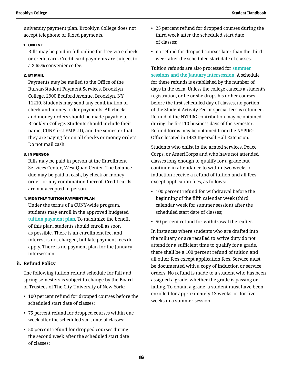university payment plan. Brooklyn College does not accept telephone or faxed payments.

#### 1. ONLINE

Bills may be paid in full online for free via e-check or credit card. Credit card payments are subject to a 2.65% convenience fee.

#### 2. BY MAIL

Payments may be mailed to the Office of the Bursar/Student Payment Services, Brooklyn College, 2900 Bedford Avenue, Brooklyn, NY 11210. Students may send any combination of check and money order payments. All checks and money orders should be made payable to Brooklyn College. Students should include their name, CUNYfirst EMPLID, and the semester that they are paying for on all checks or money orders. Do not mail cash.

#### 3. IN PERSON

Bills may be paid in person at the Enrollment Services Center, West Quad Center. The balance due may be paid in cash, by check or money order, or any combination thereof. Credit cards are not accepted in person.

#### 4. MONTHLY TUITION PAYMENT PLAN

Under the terms of a CUNY-wide program, students may enroll in the approved budgeted **[tuition payment plan](http://www.brooklyn.cuny.edu/web/about/offices/bursar/payment/personal/cardpaymentprocess.php)**. To maximize the benefit of this plan, students should enroll as soon as possible. There is an enrollment fee, and interest is not charged, but late payment fees do apply. There is no payment plan for the January intersession.

### **ii. Refund Policy**

The following tuition refund schedule for fall and spring semesters is subject to change by the Board of Trustees of The City University of New York:

- 100 percent refund for dropped courses before the scheduled start date of classes;
- 75 percent refund for dropped courses within one week after the scheduled start date of classes;
- 50 percent refund for dropped courses during the second week after the scheduled start date of classes;
- 25 percent refund for dropped courses during the third week after the scheduled start date of classes;
- no refund for dropped courses later than the third week after the scheduled start date of classes.

Tuition refunds are also processed for **[summer](http://www.brooklyn.cuny.edu/web/about/offices/bursar/drop.php)  [sessions and the January intersession](http://www.brooklyn.cuny.edu/web/about/offices/bursar/drop.php)**. A schedule for these refunds is established by the number of days in the term. Unless the college cancels a student's registration, or he or she drops his or her courses before the first scheduled day of classes, no portion of the Student Activity Fee or special fees is refunded. Refund of the NYPIRG contribution may be obtained during the first 10 business days of the semester. Refund forms may be obtained from the NYPIRG Office located in 1433 Ingersoll Hall Extension.

Students who enlist in the armed services, Peace Corps, or AmeriCorps and who have not attended classes long enough to qualify for a grade but continue in attendance to within two weeks of induction receive a refund of tuition and all fees, except application fees, as follows:

- 100 percent refund for withdrawal before the beginning of the fifth calendar week (third calendar week for summer session) after the scheduled start date of classes;
- 50 percent refund for withdrawal thereafter.

In instances where students who are drafted into the military or are recalled to active duty do not attend for a sufficient time to qualify for a grade, there shall be a 100 percent refund of tuition and all other fees except application fees. Service must be documented with a copy of induction or service orders. No refund is made to a student who has been assigned a grade, whether the grade is passing or failing. To obtain a grade, a student must have been enrolled for approximately 13 weeks, or for five weeks in a summer session.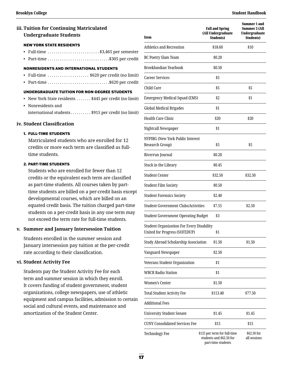### **iii. Tuition for Continuing Matriculated Undergraduate Students**

#### NEW YORK STATE RESIDENTS

- Full-time  $\ldots$ ......................\$3,465 per semester
- Part-time  $\ldots$ .............................\$305 per credit

#### NONRESIDENTS AND INTERNATIONAL STUDENTS

- Full-time  $\dots\dots\dots\dots\dots$ . \$620 per credit (no limit)
- Part-time.................................\$620 per credit

#### UNDERGRADUATE TUITION FOR NON-DEGREE STUDENTS

- New York State residents  $\dots \dots$  \$445 per credit (no limit)
- Nonresidents and international students.........\$915 per credit (no limit)

#### **iv. Student Classification**

#### 1. FULL-TIME STUDENTS

Matriculated students who are enrolled for 12 credits or more each term are classified as fulltime students.

#### 2. PART-TIME STUDENTS

Students who are enrolled for fewer than 12 credits or the equivalent each term are classified as part-time students. All courses taken by parttime students are billed on a per-credit basis except developmental courses, which are billed on an equated credit basis. The tuition charged part-time students on a per-credit basis in any one term may not exceed the term rate for full-time students.

#### **v. Summer and January Intersession Tuition**

Students enrolled in the summer session and January intersession pay tuition at the per-credit rate according to their classification.

#### **vi. Student Activity Fee**

 Students pay the Student Activity Fee for each term and summer session in which they enroll. It covers funding of student government, student organizations, college newspapers, use of athletic equipment and campus facilities, admission to certain social and cultural events, and maintenance and amortization of the Student Center.

| Item                                                                              | <b>Fall and Spring</b><br>(All Undergraduate<br><b>Students)</b>               | Summer 1 and<br>Summer 2 (All<br><b>Undergraduate</b><br><b>Students)</b> |
|-----------------------------------------------------------------------------------|--------------------------------------------------------------------------------|---------------------------------------------------------------------------|
| <b>Athletics and Recreation</b>                                                   | \$18.60                                                                        | \$10                                                                      |
| BC Poetry Slam Team                                                               | \$0.20                                                                         |                                                                           |
| Broeklundian Yearbook                                                             | \$0.50                                                                         |                                                                           |
| <b>Career Services</b>                                                            | \$5                                                                            |                                                                           |
| Child Care                                                                        | \$5                                                                            | \$5                                                                       |
| Emergency Medical Squad (EMS)                                                     | \$2                                                                            | \$1                                                                       |
| <b>Global Medical Brigades</b>                                                    | \$1                                                                            |                                                                           |
| <b>Health Care Clinic</b>                                                         | \$20                                                                           | \$20                                                                      |
| Nightcall Newspaper                                                               | \$1                                                                            |                                                                           |
| NYPIRG (New York Public Interest<br>Research Group)                               | \$5                                                                            | \$5                                                                       |
| Riverrun Journal                                                                  | \$0.20                                                                         |                                                                           |
| Stuck in the Library                                                              | \$0.45                                                                         |                                                                           |
| Student Center                                                                    | \$32.50                                                                        | \$32.50                                                                   |
| <b>Student Film Society</b>                                                       | \$0.50                                                                         |                                                                           |
| <b>Student Forensics Society</b>                                                  | \$2.40                                                                         |                                                                           |
| Student Government Clubs/Activities                                               | \$7.55                                                                         | \$2.50                                                                    |
| Student Government Operating Budget                                               | \$3                                                                            |                                                                           |
| <b>Student Organization For Every Disability</b><br>United for Progress (SOFEDUP) | \$1                                                                            |                                                                           |
| Study Abroad Scholarship Association                                              | \$1.50                                                                         | \$1.50                                                                    |
| Vanguard Newspaper                                                                | \$2.50                                                                         |                                                                           |
| Veterans Student Organization                                                     | \$1                                                                            |                                                                           |
| WBCR Radio Station                                                                | \$1                                                                            |                                                                           |
| Women's Center                                                                    | \$1.50                                                                         |                                                                           |
| Total Student Activity Fee                                                        | \$113.40                                                                       | \$77.50                                                                   |
| Additional Fees                                                                   |                                                                                |                                                                           |
| University Student Senate                                                         | \$1.45                                                                         | \$1.45                                                                    |
| CUNY Consolidated Services Fee                                                    | \$15                                                                           | \$15                                                                      |
| Technology Fee                                                                    | \$125 per term for full-time<br>students and \$62.50 for<br>part-time students | \$62.50 for<br>all sessions                                               |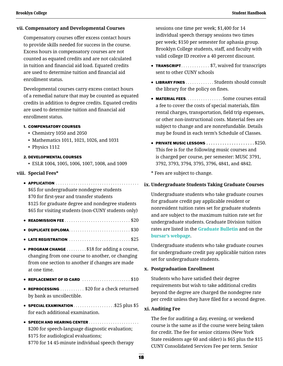#### **vii. Compensatory and Developmental Courses**

Compensatory courses offer excess contact hours to provide skills needed for success in the course. Excess hours in compensatory courses are not counted as equated credits and are not calculated in tuition and financial aid load. Equated credits are used to determine tuition and financial aid enrollment status.

Developmental courses carry excess contact hours of a remedial nature that may be counted as equated credits in addition to degree credits. Equated credits are used to determine tuition and financial aid enrollment status.

#### 1. COMPENSATORY COURSES

- Chemistry 1050 and 2050
- Mathematics 1011, 1021, 1026, and 1031
- Physics 1112

#### 2. DEVELOPMENTAL COURSES

• ESLR 1004, 1005, 1006, 1007, 1008, and 1009

#### **viii. Special Fees\***

• APPLICATION . . . . . . . . . . . . . . . . . . . . . . . . . . . . . . . . . . . . . \$65 for undergraduate nondegree students \$70 for first-year and transfer students

\$125 for graduate degree and nondegree students \$65 for visiting students (non-CUNY students only)

- $\bullet$  READMISSION FEE  $\ldots \ldots \ldots \ldots \ldots \ldots \ldots \ldots \ldots \$
- DUPLICATE DIPLOMA . . . . . . . . . . . . . . . . . . . . . . . . . . . . \$30
- $\bullet$  LATE REGISTRATION  $\ldots \ldots \ldots \ldots \ldots \ldots \ldots \ldots \$ \$25
- PROGRAM CHANGE . . . . . . . . \$18 for adding a course, changing from one course to another, or changing from one section to another if changes are made at one time.
- $\bullet$  REPLACEMENT OF ID CARD  $\ldots \ldots \ldots \ldots \ldots \ldots \$ \$10
- REPROCESSING . . . . . . . . . . \$20 for a check returned by bank as uncollectible.
- SPECIAL EXAMINATION  $\dots \dots \dots \dots \dots \dots$ \$25 plus \$5 for each additional examination.
- SPEECH AND HEARING CENTER . . . . . . . . . . . . . . . . . . . . . . \$200 for speech-language diagnostic evaluation; \$175 for audiological evaluations; \$770 for 14 45-minute individual speech therapy

sessions one time per week; \$1,400 for 14 individual speech therapy sessions two times per week; \$150 per semester for aphasia group. Brooklyn College students, staff, and faculty with valid college ID receive a 40 percent discount.

- TRANSCRIPT. . . . . . . . . . . . \$7, waived for transcripts sent to other CUNY schools
- LIBRARY FINES . . . . . . . . . . . . Students should consult the library for the policy on fines.
- **MATERIAL FEES** . . . . . . . . . . . . . . . . Some courses entail a fee to cover the costs of special materials, film rental charges, transportation, field trip expenses, or other non-instructional costs. Material fees are subject to change and are nonrefundable. Details may be found in each term's Schedule of Classes.
- $\bullet$  PRIVATE MUSIC LESSONS  $\ldots$ ,,,,,,,,,,,,,,,,,,,, $$250$ . This fee is for the following music courses and is charged per course, per semester: MUSC 3791, 3792, 3793, 3794, 3795, 3796, 4841, and 4842.

\* Fees are subject to change.

#### **ix. Undergraduate Students Taking Graduate Courses**

Undergraduate students who take graduate courses for graduate credit pay applicable resident or nonresident tuition rates set for graduate students and are subject to the maximum tuition rate set for undergraduate students. Graduate Division tuition rates are listed in the **[Graduate Bulletin](http://www.brooklyn.cuny.edu/web/about/administration/enrollment/registrar/bulletins.php)** and on the **[bursar's webpage](http://www.brooklyn.cuny.edu/web/about/offices/bursar/tuition/graduate.php)**.

Undergraduate students who take graduate courses for undergraduate credit pay applicable tuition rates set for undergraduate students.

#### **x. Postgraduation Enrollment**

Students who have satisfied their degree requirements but wish to take additional credits beyond the degree are charged the nondegree rate per credit unless they have filed for a second degree.

#### **xi. Auditing Fee**

The fee for auditing a day, evening, or weekend course is the same as if the course were being taken for credit. The fee for senior citizens (New York State residents age 60 and older) is \$65 plus the \$15 CUNY Consolidated Services Fee per term. Senior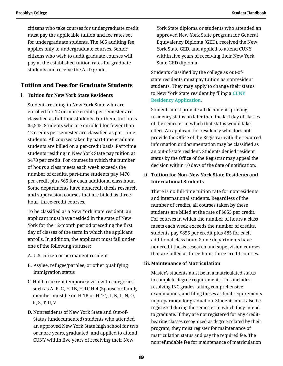citizens who take courses for undergraduate credit must pay the applicable tuition and fee rates set for undergraduate students. The \$65 auditing fee applies only to undergraduate courses. Senior citizens who wish to audit graduate courses will pay at the established tuition rates for graduate students and receive the AUD grade.

### **Tuition and Fees for Graduate Students**

#### **i. Tuition for New York State Residents**

Students residing in New York State who are enrolled for 12 or more credits per semester are classified as full-time students. For them, tuition is \$5,545. Students who are enrolled for fewer than 12 credits per semester are classified as part-time students. All courses taken by part-time graduate students are billed on a per-credit basis. Part-time students residing in New York State pay tuition at \$470 per credit. For courses in which the number of hours a class meets each week exceeds the number of credits, part-time students pay \$470 per credit plus \$65 for each additional class hour. Some departments have noncredit thesis research and supervision courses that are billed as threehour, three-credit courses.

To be classified as a New York State resident, an applicant must have resided in the state of New York for the 12-month period preceding the first day of classes of the term in which the applicant enrolls. In addition, the applicant must fall under one of the following statuses:

- A. U.S. citizen or permanent resident
- B. Asylee, refugee/parolee, or other qualifying immigration status
- C. Hold a current temporary visa with categories such as A, E, G, H-1B, H-1C H-4 (Spouse or family member must be on H-1B or H-1C), I, K, L, N, O, R, S, T, U, V
- D. Nonresidents of New York State and Out-of-Status (undocumented) students who attended an approved New York State high school for two or more years, graduated, and applied to attend CUNY within five years of receiving their New

York State diploma or students who attended an approved New York State program for General Equivalency Diploma (GED), received the New York State GED, and applied to attend CUNY within five years of receiving their New York State GED diploma.

Students classified by the college as out-ofstate residents must pay tuition as nonresident students. They may apply to change their status to New York State resident by filing a **[CUNY](http://www.brooklyn.cuny.edu/web/about/administration/enrollment/registrar/residency.php)  [Residency Application](http://www.brooklyn.cuny.edu/web/about/administration/enrollment/registrar/residency.php)**.

Students must provide all documents proving residency status no later than the last day of classes of the semester in which that status would take effect. An applicant for residency who does not provide the Office of the Registrar with the required information or documentation may be classified as an out-of-state resident. Students denied resident status by the Office of the Registrar may appeal the decision within 10 days of the date of notification.

### **ii. Tuition for Non–New York State Residents and International Students**

There is no full-time tuition rate for nonresidents and international students. Regardless of the number of credits, all courses taken by these students are billed at the rate of \$855 per credit. For courses in which the number of hours a class meets each week exceeds the number of credits, students pay \$855 per credit plus \$85 for each additional class hour. Some departments have noncredit thesis research and supervision courses that are billed as three-hour, three-credit courses.

### **iii. Maintenance of Matriculation**

Master's students must be in a matriculated status to complete degree requirements. This includes resolving INC grades, taking comprehensive examinations, and filing theses as final requirements in preparation for graduation. Students must also be registered during the semester in which they intend to graduate. If they are not registered for any creditbearing classes recognized as degree-related by their program, they must register for maintenance of matriculation status and pay the required fee. The nonrefundable fee for maintenance of matriculation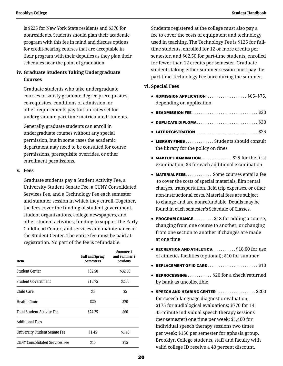is \$225 for New York State residents and \$370 for nonresidents. Students should plan their academic program with this fee in mind and discuss options for credit-bearing courses that are acceptable in their program with their deputies as they plan their schedules near the point of graduation.

### **iv. Graduate Students Taking Undergraduate Courses**

Graduate students who take undergraduate courses to satisfy graduate degree prerequisites, co-requisites, conditions of admission, or other requirements pay tuition rates set for undergraduate part-time matriculated students.

Generally, graduate students can enroll in undergraduate courses without any special permission, but in some cases the academic department may need to be consulted for course permissions, prerequisite overrides, or other enrollment permissions.

#### **v. Fees**

Graduate students pay a Student Activity Fee, a University Student Senate Fee, a CUNY Consolidated Services Fee, and a Technology Fee each semester and summer session in which they enroll. Together, the fees cover the funding of student government, student organizations, college newspapers, and other student activities; funding to support the Early Childhood Center; and services and maintenance of the Student Center. The entire fee must be paid at registration. No part of the fee is refundable.

| Item                                  | <b>Fall and Spring</b><br><b>Semesters</b> | Summer 1<br>and Summer 2<br><b>Sessions</b> |
|---------------------------------------|--------------------------------------------|---------------------------------------------|
| Student Center                        | \$32.50                                    | \$32.50                                     |
| <b>Student Government</b>             | \$16.75                                    | \$2.50                                      |
| Child Care                            | \$5                                        | \$5                                         |
| Health Clinic                         | \$20                                       | \$20                                        |
| <b>Total Student Activity Fee</b>     | \$74.25                                    | \$60                                        |
| <b>Additional Fees</b>                |                                            |                                             |
| <b>University Student Senate Fee</b>  | \$1.45                                     | \$1.45                                      |
| <b>CUNY Consolidated Services Fee</b> | \$15                                       | \$15                                        |

Students registered at the college must also pay a fee to cover the costs of equipment and technology used in teaching. The Technology Fee is \$125 for fulltime students, enrolled for 12 or more credits per semester, and \$62.50 for part-time students, enrolled for fewer than 12 credits per semester. Graduate students taking either summer session must pay the part-time Technology Fee once during the summer.

#### **vi. Special Fees**

- ADMISSION APPLICATION  $\ldots$ ...............\$65-\$75, depending on application
- READMISSION FEE . . . . . . . . . . . . . . . . . . . . . . . . . . . . . . \$20
- DUPLICATE DIPLOMA . . . . . . . . . . . . . . . . . . . . . . . . . . . . \$30
- $\bullet$  LATE REGISTRATION  $\ldots \ldots \ldots \ldots \ldots \ldots \ldots \ldots \$ \$25
- LIBRARY FINES . . . . . . . . . . . . Students should consult the library for the policy on fines.
- MAKEUP EXAMINATION  $\ldots$  . . . . . . . . . . \$25 for the first examination; \$5 for each additional examination
- **MATERIAL FEES** . . . . . . . . . . . Some courses entail a fee to cover the costs of special materials, film rental charges, transportation, field trip expenses, or other non-instructional costs. Material fees are subject to change and are nonrefundable. Details may be found in each semester's Schedule of Classes.
- **PROGRAM CHANGE** ........\$18 for adding a course, changing from one course to another, or changing from one section to another if changes are made at one time
- $\bullet$  RECREATION AND ATHLETICS. . . . . . . . . . \$18.60 for use of athletics facilities (optional); \$10 for summer
- REPLACEMENT OF ID CARD . . . . . . . . . . . . . . . . . . . . . . . \$10
- REPROCESSING . . . . . . . . . . \$20 for a check returned by bank as uncollectible
- $\bullet$  SPEECH AND HEARING CENTER  $\ldots$ ...............\$200 for speech-language diagnostic evaluation; \$175 for audiological evaluations; \$770 for 14 45-minute individual speech therapy sessions (per semester) one time per week; \$1,400 for individual speech therapy sessions two times per week; \$150 per semester for aphasia group. Brooklyn College students, staff and faculty with valid college ID receive a 40 percent discount.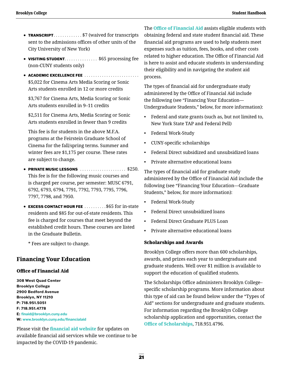- TRANSCRIPT. . . . . . . . . . . . \$7 (waived for transcripts sent to the admissions offices of other units of the City University of New York)
- VISITING STUDENT. . . . . . . . . . . . . \$65 processing fee (non-CUNY students only)
- ACADEMIC EXCELLENCE FEE . . . . . . . . . . . . . . . . . . . . . . . . \$5,022 for Cinema Arts Media Scoring or Sonic Arts students enrolled in 12 or more credits

\$3,767 for Cinema Arts, Media Scoring or Sonic Arts students enrolled in 9–11 credits

\$2,511 for Cinema Arts, Media Scoring or Sonic Arts students enrolled in fewer than 9 credits

This fee is for students in the above M.F.A. programs at the Feirstein Graduate School of Cinema for the fall/spring terms. Summer and winter fees are \$1,175 per course. These rates are subject to change.

- $\bullet$  PRIVATE MUSIC LESSONS  $\ldots$  . . . . . . . . . . . . . . . \$250. This fee is for the following music courses and is charged per course, per semester: MUSC 6791, 6792, 6793, 6794, 7791, 7792, 7793, 7795, 7796, 7797, 7798, and 7950.
- **EXCESS CONTACT HOUR FEE**  $\dots \dots \dots$ \$65 for in-state residents and \$85 for out-of-state residents. This fee is charged for courses that meet beyond the established credit hours. These courses are listed in the Graduate Bulletin.

\* Fees are subject to change.

### **Financing Your Education**

#### Office of Financial Aid

**308 West Quad Center Brooklyn College 2900 Bedford Avenue Brooklyn, NY 11210 P: 718.951.5051 F: 718.951.4778 E: [finaid@brooklyn.cuny.edu](mailto:finaid%40brooklyn.cuny.edu?subject=) W: [www.brooklyn.cuny.edu/financialaid](http://www.brooklyn.cuny.edu/financialaid)**

Please visit the **[financial aid website](http://www.brooklyn.cuny.edu/web/about/offices/financial.php)** for updates on available financial aid services while we continue to be impacted by the COVID-19 pandemic.

The **[Office of Financial Aid](http://www.brooklyn.cuny.edu/web/about/offices/financial.php)** assists eligible students with obtaining federal and state student financial aid. These financial aid programs are used to help students meet expenses such as tuition, fees, books, and other costs related to higher education. The Office of Financial Aid is here to assist and educate students in understanding their eligibility and in navigating the student aid process.

The types of financial aid for undergraduate study administered by the Office of Financial Aid include the following (see "Financing Your Education— Undergraduate Students," below, for more information):

- Federal and state grants (such as, but not limited to, New York State TAP and Federal Pell)
- Federal Work-Study
- CUNY-specific scholarships
- Federal Direct subsidized and unsubsidized loans
- Private alternative educational loans

The types of financial aid for graduate study administered by the Office of Financial Aid include the following (see "Financing Your Education—Graduate Students," below, for more information):

- Federal Work-Study
- Federal Direct unsubsidized loans
- Federal Direct Graduate PLUS Loan
- Private alternative educational loans

#### Scholarships and Awards

Brooklyn College offers more than 600 scholarships, awards, and prizes each year to undergraduate and graduate students. Well over \$1 million is available to support the education of qualified students.

The Scholarships Office administers Brooklyn College– specific scholarship programs. More information about this type of aid can be found below under the "Types of Aid" sections for undergraduate and graduate students. For information regarding the Brooklyn College scholarship application and opportunities, contact the **[Office of Scholarships](http://www.brooklyn.cuny.edu/web/about/offices/scholarships.php)**, 718.951.4796.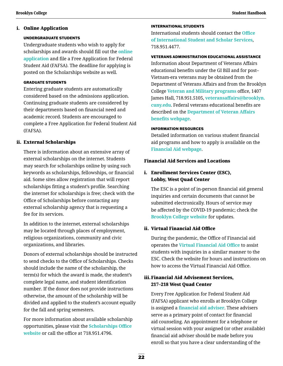#### i. Online Application

#### UNDERGRADUATE STUDENTS

Undergraduate students who wish to apply for scholarships and awards should fill out the **[online](https://www.brooklyn.cuny.edu/web/about/offices/scholarships/apply.php)  [application](https://www.brooklyn.cuny.edu/web/about/offices/scholarships/apply.php)** and file a Free Application for Federal Student Aid (FAFSA). The deadline for applying is posted on the Scholarships website as well.

#### GRADUATE STUDENTS

Entering graduate students are automatically considered based on the admissions application. Continuing graduate students are considered by their departments based on financial need and academic record. Students are encouraged to complete a Free Application for Federal Student Aid (FAFSA).

### ii. External Scholarships

There is information about an extensive array of external scholarships on the internet. Students may search for scholarships online by using such keywords as scholarships, fellowships, or financial aid. Some sites allow registration that will report scholarships fitting a student's profile. Searching the internet for scholarships is free; check with the Office of Scholarships before contacting any external scholarship agency that is requesting a fee for its services.

In addition to the internet, external scholarships may be located through places of employment, religious organizations, community and civic organizations, and libraries.

 Donors of external scholarships should be instructed to send checks to the Office of Scholarships. Checks should include the name of the scholarship, the term(s) for which the award is made, the student's complete legal name, and student identification number. If the donor does not provide instructions otherwise, the amount of the scholarship will be divided and applied to the student's account equally for the fall and spring semesters.

For more information about available scholarship opportunities, please visit the **[Scholarships Office](https://www.brooklyn.cuny.edu/web/about/offices/scholarships.php)  [website](https://www.brooklyn.cuny.edu/web/about/offices/scholarships.php)** or call the office at 718.951.4796.

#### INTERNATIONAL STUDENTS

International students should contact the **[Office](http://www.brooklyn.cuny.edu/web/about/offices/iss.php?utm_source=Website&utm_medium=ITS&utm_campaign=ISSRedirect)  [of International Student and Scholar Services](http://www.brooklyn.cuny.edu/web/about/offices/iss.php?utm_source=Website&utm_medium=ITS&utm_campaign=ISSRedirect)**, 718.951.4477.

#### VETERANS ADMINISTRATION EDUCATIONAL ASSISTANCE

Information about Department of Veterans Affairs educational benefits under the GI Bill and for post– Vietnam-era veterans may be obtained from the Department of Veterans Affairs and from the Brooklyn College **[Veteran and Military programs](http://www.brooklyn.cuny.edu/web/about/offices/studentaffairs/student-support-services/veterans.php)** office, 1407 James Hall, 718.951.5105, **[veteransaffairs@brooklyn.](mailto:veteransaffairs%40brooklyn.cuny.edu?subject=) [cuny.edu](mailto:veteransaffairs%40brooklyn.cuny.edu?subject=)**. Federal veterans educational benefits are described on the **[Department of Veteran Affairs](https://www.benefits.va.gov/benefits/)  [benefits webpage](https://www.benefits.va.gov/benefits/)**.

#### INFORMATION RESOURCES

Detailed information on various student financial aid programs and how to apply is available on the **[Financial Aid webpage](http://www.brooklyn.cuny.edu/web/about/offices/financial.php)**.

#### Financial Aid Services and Locations

### i. Enrollment Services Center (ESC), Lobby, West Quad Center

The ESC is a point of in-person financial aid general inquiries and certain documents that cannot be submitted electronically. Hours of service may be affected by the COVID-19 pandemic; check the **[Brooklyn College website](https://www.brooklyn.cuny.edu/web/about/administration/enrollment/esc.php)** for updates.

### ii. Virtual Financial Aid Office

During the pandemic, the Office of Financial aid operates the **[Virtual Financial Aid Office](https://www.brooklyn.cuny.edu/web/about/offices/financial/advisement/virtual-office.php)** to assist students with inquiries in a similar manner to the ESC. Check the website for hours and instructions on how to access the Virtual Financial Aid Office.

### iii.Financial Aid Advisement Services, 217–218 West Quad Center

Every Free Application for Federal Student Aid (FAFSA) applicant who enrolls at Brooklyn College is assigned a **[financial aid adviser](http://www.brooklyn.cuny.edu/web/about/offices/financial/guides/advisor.php)**. These advisers serve as a primary point of contact for financial aid counseling. An appointment for a telephone or virtual session with your assigned (or other available) financial aid adviser should be made before you enroll so that you have a clear understanding of the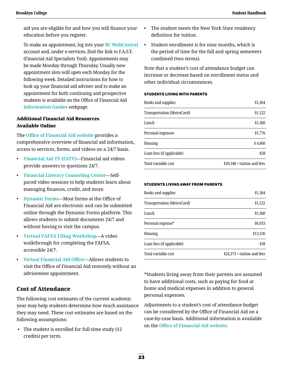aid you are eligible for and how you will finance your education before you register.

To make an appointment, log into your **[BC WebCentral](https://portal.brooklyn.edu/uPortal/f/welcome/normal/render.uP)**  account and, under e-services, find the link to F.A.S.T. (Financial Aid Specialists Tool). Appointments may be made Monday through Thursday. Usually new appointment slots will open each Monday for the following week. Detailed instructions for how to look up your financial aid adviser and to make an appointment for both continuing and prospective students is available on the Office of Financial Aid **[Information Guides](https://www.brooklyn.cuny.edu/web/about/offices/financial/guides.php)** webpage.

### Additional Financial Aid Resources Available Online

The **[Office of Financial Aid website](https://www.brooklyn.cuny.edu/web/about/offices/financial.php)** provides a comprehensive overview of financial aid information, access to services, forms, and videos on a 24/7 basis.

- **[Financial Aid TV \(FATV\)](https://www.brooklyn.cuny.edu/web/about/offices/financial/fatv.php)**—Financial aid videos provide answers to questions 24/7.
- **[Financial Literacy Counseling Center](https://www.brooklyn.cuny.edu/web/about/offices/financial/understanding-your-finances.php)**—Selfpaced video sessions to help students learn about managing finances, credit, and more.
- **[Dynamic Forms](https://www.brooklyn.cuny.edu/web/about/offices/financial/forms.php)**—Most forms at the Office of Financial Aid are electronic and can be submitted online through the Dynamic Forms platform. This allows students to submit documents 24/7 and without having to visit the campus.
- **[Virtual FAFSA Filing Workshop](https://www.brooklyn.cuny.edu/web/about/offices/financial/advisement/fafsa-workshops.php)**—A video walkthrough for completing the FAFSA, accessible 24/7.
- **[Virtual Financial Aid Office](https://www.brooklyn.cuny.edu/web/about/offices/financial/advisement/virtual-office.php)**—Allows students to visit the Office of Financial Aid remotely without an advisement appointment.

### **Cost of Attendance**

The following cost estimates of the current academic year may help students determine how much assistance they may need. These cost estimates are based on the following assumptions:

 • The student is enrolled for full-time study (12 credits) per term.

- The student meets the New York State residency definition for tuition.
- Student enrollment is for nine months, which is the period of time for the fall and spring semesters combined (two terms).

Note that a student's cost of attendance budget can increase or decrease based on enrollment status and other individual circumstances.

#### STUDENTS LIVING WITH PARENTS

| Books and supplies         | \$1,364                      |
|----------------------------|------------------------------|
| Transportation (MetroCard) | \$1,122                      |
| Lunch                      | \$1,360                      |
| Personal expenses          | \$1,776                      |
| Housing                    | \$4,660                      |
| Loan fees (if applicable)  | \$58                         |
| Total variable cost        | $$10,340 +$ tuition and fees |

#### STUDENTS LIVING AWAY FROM PARENTS

| Books and supplies         | \$1,364                      |
|----------------------------|------------------------------|
| Transportation (MetroCard) | \$1,122                      |
| Lunch                      | \$1,360                      |
| Personal expense*          | \$6,933                      |
| Housing                    | \$13,536                     |
| Loan fees (if applicable)  | \$58                         |
| Total variable cost        | $$24,373 +$ tuition and fees |

\*Students living away from their parents are assumed to have additional costs, such as paying for food at home and medical expenses in addition to general personal expenses.

Adjustments to a student's cost of attendance budget can be considered by the Office of Financial Aid on a case-by-case basis. Additional information is available on the **[Office of Financial Aid website](http://www.brooklyn.cuny.edu/web/about/offices/financial/advisement/special-circumstances-for-federal-aid-programs/expense-adjustment.php)**.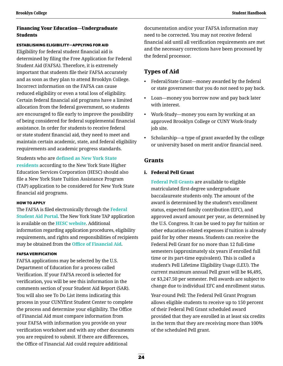### Financing Your Education—Undergraduate **Students**

ESTABLISHING ELIGIBILITY—APPLYING FOR AID

Eligibility for federal student financial aid is determined by filing the Free Application for Federal Student Aid (FAFSA). Therefore, it is extremely important that students file their FAFSA accurately and as soon as they plan to attend Brooklyn College. Incorrect information on the FAFSA can cause reduced eligibility or even a total loss of eligibility. Certain federal financial aid programs have a limited allocation from the federal government, so students are encouraged to file early to improve the possibility of being considered for federal supplemental financial assistance. In order for students to receive federal or state student financial aid, they need to meet and maintain certain academic, state, and federal eligibility requirements and academic progress standards.

Students who are **[defined as New York State](https://www.hesc.ny.gov/partner-access/financial-aid-professionals/tap-and-scholarship-resources/tap-coach/92-residency.html)  [residents](https://www.hesc.ny.gov/partner-access/financial-aid-professionals/tap-and-scholarship-resources/tap-coach/92-residency.html)** according to the New York State Higher Education Services Corporation (HESC) should also file a New York State Tuition Assistance Program (TAP) application to be considered for New York State financial aid programs.

#### HOW TO APPLY

The FAFSA is filed electronically through the **[Federal](https://studentaid.gov/h/apply-for-aid/fafsa)  [Student Aid Portal](https://studentaid.gov/h/apply-for-aid/fafsa)**. The New York State TAP application is available on the **[HESC website](https://www.hesc.ny.gov/pay-for-college/apply-for-financial-aid/nys-tap/apply-for-tap.html)**. Additional information regarding application procedures, eligibility requirements, and rights and responsibilities of recipients may be obtained from the **[Office of Financial Aid](http://www.brooklyn.cuny.edu/web/about/offices/financial.php)**.

#### FAFSA VERIFICATION

FAFSA applications may be selected by the U.S. Department of Education for a process called Verification. If your FAFSA record is selected for verification, you will be see this information in the comments section of your Student Aid Report (SAR). You will also see To Do List items indicating this process in your CUNYfirst Student Center to complete the process and determine your eligibility. The Office of Financial Aid must compare information from your FAFSA with information you provide on your verification worksheet and with any other documents you are required to submit. If there are differences, the Office of Financial Aid could require additional

documentation and/or your FAFSA information may need to be corrected. You may not receive federal financial aid until all verification requirements are met and the necessary corrections have been processed by the federal processor.

# **Types of Aid**

- Federal/State Grant—money awarded by the federal or state government that you do not need to pay back.
- Loan—money you borrow now and pay back later with interest.
- Work-Study—money you earn by working at an approved Brooklyn College or CUNY Work-Study job site.
- Scholarship—a type of grant awarded by the college or university based on merit and/or financial need.

### **Grants**

### i. Federal Pell Grant

 **[Federal Pell Grants](https://studentaid.gov/understand-aid/types/grants/pell)** are available to eligible matriculated first-degree undergraduate baccalaureate students only. The amount of the award is determined by the student's enrollment status, expected family contribution (EFC), and approved award amount per year, as determined by the U.S. Congress. It can be used to pay for tuition or other education-related expenses if tuition is already paid for by other means. Students can receive the Federal Pell Grant for no more than 12 full-time semesters (approximately six years if enrolled full time or its part-time equivalent). This is called a student's Pell Lifetime Eligibility Usage (LEU). The current maximum annual Pell grant will be \$6,495, or \$3,247.50 per semester. Pell awards are subject to change due to individual EFC and enrollment status.

Year-round Pell: The Federal Pell Grant Program allows eligible students to receive up to 150 percent of their Federal Pell Grant scheduled award provided that they are enrolled in at least six credits in the term that they are receiving more than 100% of the scheduled Pell grant.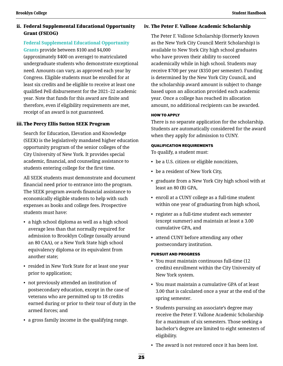### ii. Federal Supplemental Educational Opportunity Grant (FSEOG)

### **[Federal Supplemental Educational Opportunity](https://studentaid.gov/understand-aid/types/grants/fseog)**

**[Grants](https://studentaid.gov/understand-aid/types/grants/fseog)** provide between \$100 and \$4,000 (approximately \$400 on average) to matriculated undergraduate students who demonstrate exceptional need. Amounts can vary, as approved each year by Congress. Eligible students must be enrolled for at least six credits and be eligible to receive at least one qualified Pell disbursement for the 2021–22 academic year. Note that funds for this award are finite and therefore, even if eligibility requirements are met, receipt of an award is not guaranteed.

### iii.The Percy Ellis Sutton SEEK Program

 Search for Education, Elevation and Knowledge (SEEK) is the legislatively mandated higher education opportunity program of the senior colleges of the City University of New York. It provides special academic, financial, and counseling assistance to students entering college for the first time.

All SEEK students must demonstrate and document financial need prior to entrance into the program. The SEEK program awards financial assistance to economically eligible students to help with such expenses as books and college fees. Prospective students must have:

- a high school diploma as well as a high school average less than that normally required for admission to Brooklyn College (usually around an 80 CAA), or a New York State high school equivalency diploma or its equivalent from another state;
- resided in New York State for at least one year prior to application;
- not previously attended an institution of postsecondary education, except in the case of veterans who are permitted up to 18 credits earned during or prior to their tour of duty in the armed forces; and
- a gross family income in the qualifying range.

### iv. The Peter F. Vallone Academic Scholarship

The Peter F. Vallone Scholarship (formerly known as the New York City Council Merit Scholarship) is available to New York City high school graduates who have proven their ability to succeed academically while in high school. Students may receive \$700 per year (\$350 per semester). Funding is determined by the New York City Council, and the scholarship award amount is subject to change based upon an allocation provided each academic year. Once a college has reached its allocation amount, no additional recipients can be awarded.

#### HOW TO APPLY

There is no separate application for the scholarship. Students are automatically considered for the award when they apply for admission to CUNY.

#### QUALIFICATION REQUIREMENTS

To qualify, a student must:

- be a U.S. citizen or eligible noncitizen,
- be a resident of New York City,
- graduate from a New York City high school with at least an 80 (B) GPA,
- enroll at a CUNY college as a full-time student within one year of graduating from high school,
- register as a full-time student each semester (except summer) and maintain at least a 3.00 cumulative GPA, and
- attend CUNY before attending any other postsecondary institution.

### PURSUIT AND PROGRESS

- You must maintain continuous full-time (12 credits) enrollment within the City University of New York system.
- You must maintain a cumulative GPA of at least 3.00 that is calculated once a year at the end of the spring semester.
- Students pursuing an associate's degree may receive the Peter F. Vallone Academic Scholarship for a maximum of six semesters. Those seeking a bachelor's degree are limited to eight semesters of eligibility.
- The award is not restored once it has been lost.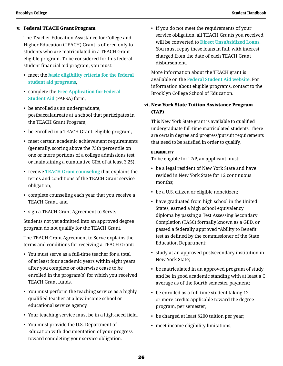#### v. Federal TEACH Grant Program

The Teacher Education Assistance for College and Higher Education (TEACH) Grant is offered only to students who are matriculated in a TEACH Grant– eligible program. To be considered for this federal student financial aid program, you must:

- meet the **[basic eligibility criteria for the federal](https://studentaid.gov/understand-aid/eligibility/requirements)  [student aid programs](https://studentaid.gov/understand-aid/eligibility/requirements)**,
- complete the **[Free Application for Federal](https://studentaid.gov/h/apply-for-aid/fafsa)  [Student Aid](https://studentaid.gov/h/apply-for-aid/fafsa)** (FAFSA) form,
- be enrolled as an undergraduate, postbaccalaureate at a school that participates in the TEACH Grant Program,
- be enrolled in a TEACH Grant–eligible program,
- meet certain academic achievement requirements (generally, scoring above the 75th percentile on one or more portions of a college admissions test or maintaining a cumulative GPA of at least 3.25),
- receive **[TEACH Grant counseling](https://studentaid.gov/teach-grant-program)** that explains the terms and conditions of the TEACH Grant service obligation,
- complete counseling each year that you receive a TEACH Grant, and
- sign a TEACH Grant Agreement to Serve.

Students not yet admitted into an approved degree program do not qualify for the TEACH Grant.

The TEACH Grant Agreement to Serve explains the terms and conditions for receiving a TEACH Grant:

- You must serve as a full-time teacher for a total of at least four academic years within eight years after you complete or otherwise cease to be enrolled in the program(s) for which you received TEACH Grant funds.
- You must perform the teaching service as a highly qualified teacher at a low-income school or educational service agency.
- Your teaching service must be in a high-need field.
- You must provide the U.S. Department of Education with documentation of your progress toward completing your service obligation.

• If you do not meet the requirements of your service obligation, all TEACH Grants you received will be converted to **[Direct Unsubsidized Loans](https://studentaid.gov/understand-aid/types/loans/subsidized-unsubsidized)**. You must repay these loans in full, with interest charged from the date of each TEACH Grant disbursement.

More information about the TEACH grant is available on the **[Federal Student Aid website](https://studentaid.gov/understand-aid/types/loans/plus/parent)**. For information about eligible programs, contact to the Brooklyn College School of Education.

### vi. New York State Tuition Assistance Program (TAP)

 This New York State grant is available to qualified undergraduate full-time matriculated students. There are certain degree and progress/pursuit requirements that need to be satisfied in order to qualify.

#### **ELIGIBILITY**

To be eligible for TAP, an applicant must:

- be a legal resident of New York State and have resided in New York State for 12 continuous months;
- be a U.S. citizen or eligible noncitizen;
- have graduated from high school in the United States, earned a high school equivalency diploma by passing a Test Assessing Secondary Completion (TASC) formally known as a GED, or passed a federally approved "Ability to Benefit" test as defined by the commissioner of the State Education Department;
- study at an approved postsecondary institution in New York State;
- be matriculated in an approved program of study and be in good academic standing with at least a C average as of the fourth semester payment;
- be enrolled as a full-time student taking 12 or more credits applicable toward the degree program, per semester;
- be charged at least \$200 tuition per year;
- meet income eligibility limitations;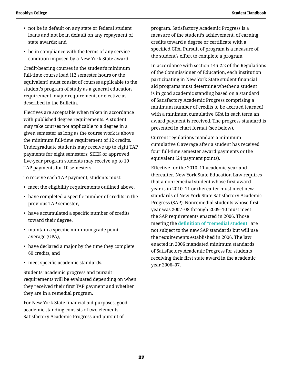- not be in default on any state or federal student loans and not be in default on any repayment of state awards; and
- be in compliance with the terms of any service condition imposed by a New York State award.

Credit-bearing courses in the student's minimum full-time course load (12 semester hours or the equivalent) must consist of courses applicable to the student's program of study as a general education requirement, major requirement, or elective as described in the Bulletin.

Electives are acceptable when taken in accordance with published degree requirements. A student may take courses not applicable to a degree in a given semester as long as the course work is above the minimum full-time requirement of 12 credits. Undergraduate students may receive up to eight TAP payments for eight semesters; SEEK or approved five-year program students may receive up to 10 TAP payments for 10 semesters.

To receive each TAP payment, students must:

- meet the eligibility requirements outlined above,
- have completed a specific number of credits in the previous TAP semester,
- have accumulated a specific number of credits toward their degree,
- maintain a specific minimum grade point average (GPA),
- have declared a major by the time they complete 60 credits, and
- meet specific academic standards.

Students' academic progress and pursuit requirements will be evaluated depending on when they received their first TAP payment and whether they are in a remedial program.

For New York State financial aid purposes, good academic standing consists of two elements: Satisfactory Academic Progress and pursuit of

program. Satisfactory Academic Progress is a measure of the student's achievement, of earning credits toward a degree or certificate with a specified GPA. Pursuit of program is a measure of the student's effort to complete a program.

In accordance with section 145-2.2 of the Regulations of the Commissioner of Education, each institution participating in New York State student financial aid programs must determine whether a student is in good academic standing based on a standard of Satisfactory Academic Progress comprising a minimum number of credits to be accrued (earned) with a minimum cumulative GPA in each term an award payment is received. The progress standard is presented in chart format (see below).

Current regulations mandate a minimum cumulative C average after a student has received four full-time semester award payments or the equivalent (24 payment points).

Effective for the 2010–11 academic year and thereafter, New York State Education Law requires that a nonremedial student whose first award year is in 2010–11 or thereafter must meet new standards of New York State Satisfactory Academic Progress (SAP). Nonremedial students whose first year was 2007–08 through 2009–10 must meet the SAP requirements enacted in 2006. Those meeting the **[definition of "remedial student"](https://www.hesc.ny.gov/partner-access/financial-aid-professionals/tap-and-scholarship-resources/tap-coach/.html)** are not subject to the new SAP standards but will use the requirements established in 2006. The law enacted in 2006 mandated minimum standards of Satisfactory Academic Progress for students receiving their first state award in the academic year 2006–07.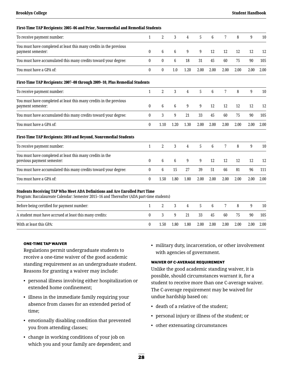| First-Time TAP Recipients: 2005–06 and Prior, Nonremedial and Remedial Students                                                                                                |              |                  |                 |                |      |                |      |      |        |      |
|--------------------------------------------------------------------------------------------------------------------------------------------------------------------------------|--------------|------------------|-----------------|----------------|------|----------------|------|------|--------|------|
| To receive payment number:                                                                                                                                                     | 1            | $\overline{2}$   | 3               | 4              | 5    | 6              | 7    | 8    | 9      | 10   |
| You must have completed at least this many credits in the previous<br>payment semester:                                                                                        | $\mathbf{0}$ | $\,6\,$          | $6\phantom{.}6$ | 9              | 9    | 12             | 12   | 12   | 12     | 12   |
| You must have accumulated this many credits toward your degree:                                                                                                                | 0            | $\boldsymbol{0}$ | 6               | 18             | 31   | 45             | 60   | 75   | 90     | 105  |
| You must have a GPA of:                                                                                                                                                        | $\bf{0}$     | $\bf{0}$         | 1.0             | 1.20           | 2.00 | 2.00           | 2.00 | 2.00 | 2.00   | 2.00 |
| First-Time TAP Recipients: 2007-08 through 2009-10, Plus Remedial Students                                                                                                     |              |                  |                 |                |      |                |      |      |        |      |
| To receive payment number:                                                                                                                                                     | 1            | $\overline{2}$   | 3               | 4              | 5    | 6              | 7    | 8    | 9      | 10   |
| You must have completed at least this many credits in the previous<br>payment semester:                                                                                        | 0            | 6                | 6               | 9              | 9    | 12             | 12   | 12   | 12     | 12   |
| You must have accumulated this many credits toward your degree:                                                                                                                | 0            | 3                | 9               | 21             | 33   | 45             | 60   | 75   | $90\,$ | 105  |
| You must have a GPA of:                                                                                                                                                        | 0            | 1.10             | 1.20            | 1.30           | 2.00 | 2.00           | 2.00 | 2.00 | 2.00   | 2.00 |
| First-Time TAP Recipients: 2010 and Beyond, Nonremedial Students                                                                                                               |              |                  |                 |                |      |                |      |      |        |      |
| To receive payment number:                                                                                                                                                     | 1            | $\overline{2}$   | 3               | $\overline{4}$ | 5    | 6              | 7    | 8    | 9      | 10   |
| You must have completed at least this many credits in the<br>previous payment semester:                                                                                        | $\bf{0}$     | 6                | $6\phantom{1}6$ | 9              | 9    | 12             | 12   | 12   | 12     | 12   |
| You must have accumulated this many credits toward your degree:                                                                                                                | 0            | 6                | 15              | 27             | 39   | 51             | 66   | 81   | 96     | 111  |
| You must have a GPA of:                                                                                                                                                        | 0            | 1.50             | 1.80            | 1.80           | 2.00 | 2.00           | 2.00 | 2.00 | 2.00   | 2.00 |
| <b>Students Receiving TAP Who Meet ADA Definitions and Are Enrolled Part Time</b><br>Program: Baccalaureate Calendar: Semester 2015-16 and Thereafter (ADA part-time students) |              |                  |                 |                |      |                |      |      |        |      |
| Before being certified for payment number:                                                                                                                                     | 1            | 2                | 3               | $\overline{4}$ | 5    | $6\phantom{1}$ | 7    | 8    | 9      | 10   |
| A student must have accrued at least this many credits:                                                                                                                        | 0            | 3                | 9               | 21             | 33   | 45             | 60   | 75   | 90     | 105  |
| With at least this GPA:                                                                                                                                                        | 0            | 1.50             | 1.80            | 1.80           | 2.00 | 2.00           | 2.00 | 2.00 | 2.00   | 2.00 |

#### ONE-TIME TAP WAIVER

Regulations permit undergraduate students to receive a one-time waiver of the good academic standing requirement as an undergraduate student. Reasons for granting a waiver may include:

- personal illness involving either hospitalization or extended home confinement;
- illness in the immediate family requiring your absence from classes for an extended period of time;
- emotionally disabling condition that prevented you from attending classes;
- change in working conditions of your job on which you and your family are dependent; and

• military duty, incarceration, or other involvement with agencies of government.

#### WAIVER OF C-AVERAGE REQUIREMENT

Unlike the good academic standing waiver, it is possible, should circumstances warrant it, for a student to receive more than one C-average waiver. The C-average requirement may be waived for undue hardship based on:

- death of a relative of the student;
- personal injury or illness of the student; or
- other extenuating circumstances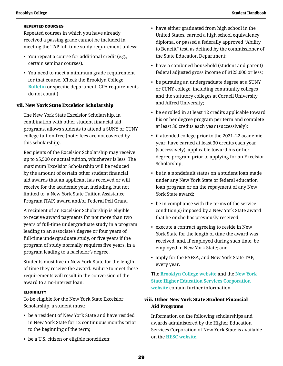#### REPEATED COURSES

Repeated courses in which you have already received a passing grade cannot be included in meeting the TAP full-time study requirement unless:

- You repeat a course for additional credit (e.g., certain seminar courses).
- You need to meet a minimum grade requirement for that course. (Check the Brooklyn College **[Bulletin](http://www.brooklyn.cuny.edu/web/about/administration/enrollment/registrar/bulletins.php)** or specific department. GPA requirements do not count.)

#### vii. New York State Excelsior Scholarship

The New York State Excelsior Scholarship, in combination with other student financial aid programs, allows students to attend a SUNY or CUNY college tuition-free (note: fees are not covered by this scholarship).

Recipients of the Excelsior Scholarship may receive up to \$5,500 or actual tuition, whichever is less. The maximum Excelsior Scholarship will be reduced by the amount of certain other student financial aid awards that an applicant has received or will receive for the academic year, including, but not limited to, a New York State Tuition Assistance Program (TAP) award and/or Federal Pell Grant.

A recipient of an Excelsior Scholarship is eligible to receive award payments for not more than two years of full-time undergraduate study in a program leading to an associate's degree or four years of full-time undergraduate study, or five years if the program of study normally requires five years, in a program leading to a bachelor's degree.

Students must live in New York State for the length of time they receive the award. Failure to meet these requirements will result in the conversion of the award to a no-interest loan.

#### **ELIGIBILITY**

To be eligible for the New York State Excelsior Scholarship, a student must:

- be a resident of New York State and have resided in New York State for 12 continuous months prior to the beginning of the term;
- be a U.S. citizen or eligible noncitizen;
- have either graduated from high school in the United States, earned a high school equivalency diploma, or passed a federally approved "Ability to Benefit" test, as defined by the commissioner of the State Education Department;
- have a combined household (student and parent) federal adjusted gross income of \$125,000 or less;
- be pursuing an undergraduate degree at a SUNY or CUNY college, including community colleges and the statutory colleges at Cornell University and Alfred University;
- be enrolled in at least 12 credits applicable toward his or her degree program per term and complete at least 30 credits each year (successively);
- if attended college prior to the 2021–22 academic year, have earned at least 30 credits each year (successively), applicable toward his or her degree program prior to applying for an Excelsior Scholarship;
- be in a nondefault status on a student loan made under any New York State or federal education loan program or on the repayment of any New York State award;
- be in compliance with the terms of the service condition(s) imposed by a New York State award that he or she has previously received;
- execute a contract agreeing to reside in New York State for the length of time the award was received, and, if employed during such time, be employed in New York State; and
- apply for the FAFSA, and New York State TAP, every year.

 The **[Brooklyn College website](http://www.brooklyn.cuny.edu/web/about/offices/financial/undergraduate/grants/excelsior.php)** and the **[New York](https://www.hesc.ny.gov/pay-for-college/financial-aid/types-of-financial-aid/nys-grants-scholarships-awards/the-excelsior-scholarship.html)  [State Higher Education Services Corporation](https://www.hesc.ny.gov/pay-for-college/financial-aid/types-of-financial-aid/nys-grants-scholarships-awards/the-excelsior-scholarship.html)  [website](https://www.hesc.ny.gov/pay-for-college/financial-aid/types-of-financial-aid/nys-grants-scholarships-awards/the-excelsior-scholarship.html)** contain further information.

### viii. Other New York State Student Financial Aid Programs

Information on the following scholarships and awards administered by the Higher Education Services Corporation of New York State is available on the **[HESC website](https://www.hesc.ny.gov./)**.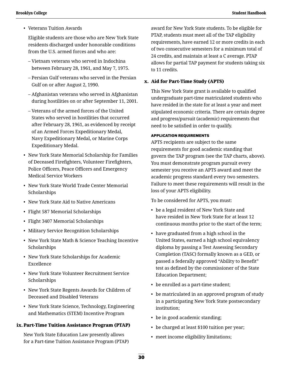• Veterans Tuition Awards

Eligible students are those who are New York State residents discharged under honorable conditions from the U.S. armed forces and who are:

- Vietnam veterans who served in Indochina between February 28, 1961, and May 7, 1975.
- Persian Gulf veterans who served in the Persian Gulf on or after August 2, 1990.
- Afghanistan veterans who served in Afghanistan during hostilities on or after September 11, 2001.
- Veterans of the armed forces of the United States who served in hostilities that occurred after February 28, 1961, as evidenced by receipt of an Armed Forces Expeditionary Medal, Navy Expeditionary Medal, or Marine Corps Expeditionary Medal.
- New York State Memorial Scholarship for Families of Deceased Firefighters, Volunteer Firefighters, Police Officers, Peace Officers and Emergency Medical Service Workers
- New York State World Trade Center Memorial Scholarships
- New York State Aid to Native Americans
- Flight 587 Memorial Scholarships
- Flight 3407 Memorial Scholarships
- Military Service Recognition Scholarships
- New York State Math & Science Teaching Incentive Scholarships
- New York State Scholarships for Academic Excellence
- New York State Volunteer Recruitment Service Scholarships
- New York State Regents Awards for Children of Deceased and Disabled Veterans
- New York State Science, Technology, Engineering and Mathematics (STEM) Incentive Program

### ix.Part-Time Tuition Assistance Program (PTAP)

New York State Education Law presently allows for a Part-time Tuition Assistance Program (PTAP) award for New York State students. To be eligible for PTAP, students must meet all of the TAP eligibility requirements, have earned 12 or more credits in each of two consecutive semesters for a minimum total of 24 credits, and maintain at least a C average. PTAP allows for partial TAP payment for students taking six to 11 credits.

### x. Aid for Part-Time Study (APTS)

This New York State grant is available to qualified undergraduate part-time matriculated students who have resided in the state for at least a year and meet stipulated economic criteria. There are certain degree and progress/pursuit (academic) requirements that need to be satisfied in order to qualify.

#### APPLICATION REQUIREMENTS

APTS recipients are subject to the same requirements for good academic standing that govern the TAP program (see the TAP charts, above). You must demonstrate program pursuit every semester you receive an APTS award and meet the academic progress standard every two semesters. Failure to meet these requirements will result in the loss of your APTS eligibility.

To be considered for APTS, you must:

- be a legal resident of New York State and have resided in New York State for at least 12 continuous months prior to the start of the term;
- have graduated from a high school in the United States, earned a high school equivalency diploma by passing a Test Assessing Secondary Completion (TASC) formally known as a GED, or passed a federally approved "Ability to Benefit" test as defined by the commissioner of the State Education Department;
- be enrolled as a part-time student;
- be matriculated in an approved program of study in a participating New York State postsecondary institution;
- be in good academic standing;
- be charged at least \$100 tuition per year;
- meet income eligibility limitations;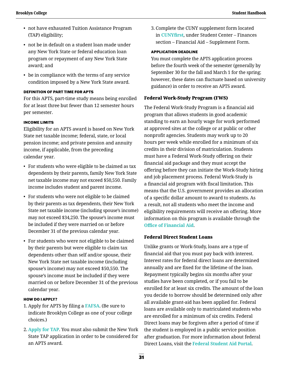- not have exhausted Tuition Assistance Program (TAP) eligibility;
- not be in default on a student loan made under any New York State or federal education loan program or repayment of any New York State award; and
- be in compliance with the terms of any service condition imposed by a New York State award.

#### DEFINITION OF PART TIME FOR APTS

For this APTS, part-time study means being enrolled for at least three but fewer than 12 semester hours per semester.

#### INCOME LIMITS

Eligibility for an APTS award is based on New York State net taxable income; federal, state, or local pension income; and private pension and annuity income, if applicable, from the preceding calendar year.

- For students who were eligible to be claimed as tax dependents by their parents, family New York State net taxable income may not exceed \$50,550. Family income includes student and parent income.
- For students who were not eligible to be claimed by their parents as tax dependents, their New York State net taxable income (including spouse's income) may not exceed \$34,250. The spouse's income must be included if they were married on or before December 31 of the previous calendar year.
- For students who were not eligible to be claimed by their parents but were eligible to claim tax dependents other than self and/or spouse, their New York State net taxable income (including spouse's income) may not exceed \$50,550. The spouse's income must be included if they were married on or before December 31 of the previous calendar year.

#### HOW DO I APPLY?

- 1. Apply for APTS by filing a **[FAFSA](https://studentaid.gov/h/apply-for-aid/fafsa)**. (Be sure to indicate Brooklyn College as one of your college choices.)
- 2. **[Apply for TAP](https://www.hesc.ny.gov/)**. You must also submit the New York State TAP application in order to be considered for an APTS award.

3. Complete the CUNY supplement form located in **[CUNYfirst](https://home.cunyfirst.cuny.edu/)**, under Student Center – Finances section – Financial Aid – Supplement Form.

#### APPLICATION DEADLINE

You must complete the APTS application process before the fourth week of the semester (generally by September 30 for the fall and March 1 for the spring; however, these dates can fluctuate based on university guidance) in order to receive an APTS award.

#### Federal Work-Study Program (FWS)

The Federal Work-Study Program is a financial aid program that allows students in good academic standing to earn an hourly wage for work performed at approved sites at the college or at public or other nonprofit agencies. Students may work up to 20 hours per week while enrolled for a minimum of six credits in their division of matriculation. Students must have a Federal Work-Study offering on their financial aid package and they must accept the offering before they can initiate the Work-Study hiring and job placement process. Federal Work-Study is a financial aid program with fiscal limitation. This means that the U.S. government provides an allocation of a specific dollar amount to award to students. As a result, not all students who meet the income and eligibility requirements will receive an offering. More information on this program is available through the **[Office of Financial Aid](http://www.brooklyn.cuny.edu/web/about/offices/financial.php)**.

#### Federal Direct Student Loans

Unlike grants or Work-Study, loans are a type of financial aid that you must pay back with interest. Interest rates for federal direct loans are determined annually and are fixed for the lifetime of the loan. Repayment typically begins six months after your studies have been completed, or if you fail to be enrolled for at least six credits. The amount of the loan you decide to borrow should be determined only after all available grant-aid has been applied for. Federal loans are available only to matriculated students who are enrolled for a minimum of six credits. Federal Direct loans may be forgiven after a period of time if the student is employed in a public service position after graduation. For more information about federal Direct Loans, visit the **[Federal Student Aid Portal](https://studentaid.gov/)**.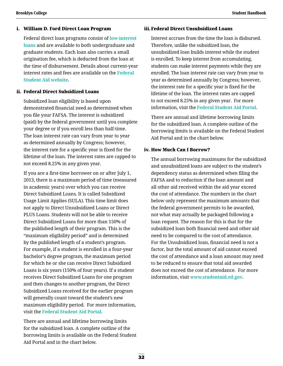#### i. William D. Ford Direct Loan Program

Federal direct loan programs consist of **[low-interest](https://studentaid.gov/understand-aid/types/loans/interest-rates)  [loans](https://studentaid.gov/understand-aid/types/loans/interest-rates)** and are available to both undergraduate and graduate students. Each loan also carries a small origination fee, which is deducted from the loan at the time of disbursement. Details about current-year interest rates and fees are available on the **[Federal](https://studentaid.gov/)  [Student Aid website](https://studentaid.gov/)**.

#### ii. Federal Direct Subsidized Loans

Subsidized loan eligibility is based upon demonstrated financial need as determined when you file your FAFSA. The interest is subsidized (paid) by the federal government until you complete your degree or if you enroll less than half-time. The loan interest rate can vary from year to year as determined annually by Congress; however, the interest rate for a specific year is fixed for the lifetime of the loan. The interest rates are capped to not exceed 8.25% in any given year.

If you are a first-time borrower on or after July 1, 2013, there is a maximum period of time (measured in academic years) over which you can receive Direct Subsidized Loans. It is called Subsidized Usage Limit Applies (SULA). This time limit does not apply to Direct Unsubsidized Loans or Direct PLUS Loans. Students will not be able to receive Direct Subsidized Loans for more than 150% of the published length of their program. This is the "maximum eligibility period" and is determined by the published length of a student's program. For example, if a student is enrolled in a four-year bachelor's degree program, the maximum period for which he or she can receive Direct Subsidized Loans is six years (150% of four years). If a student receives Direct Subsidized Loans for one program and then changes to another program, the Direct Subsidized Loans received for the earlier program will generally count toward the student's new maximum eligibility period. For more information, visit the **[Federal Student Aid Portal](https://studentaid.gov/)**.

There are annual and lifetime borrowing limits for the subsidized loan. A complete outline of the borrowing limits is available on the Federal Student Aid Portal and in the chart below.

#### iii.Federal Direct Unsubsidized Loans

 Interest accrues from the time the loan is disbursed. Therefore, unlike the subsidized loan, the unsubsidized loan builds interest while the student is enrolled. To keep interest from accumulating, students can make interest payments while they are enrolled. The loan interest rate can vary from year to year as determined annually by Congress; however, the interest rate for a specific year is fixed for the lifetime of the loan. The interest rates are capped to not exceed 8.25% in any given year. For more information, visit the **[Federal Student Aid Portal](https://studentaid.gov/)**.

There are annual and lifetime borrowing limits for the subsidized loan. A complete outline of the borrowing limits is available on the Federal Student Aid Portal and in the chart below.

### iv. How Much Can I Borrow?

The annual borrowing maximums for the subsidized and unsubsidized loans are subject to the student's dependency status as determined when filing the FAFSA and to reduction if the loan amount and all other aid received within the aid year exceed the cost of attendance. The numbers in the chart below only represent the maximum amounts that the federal government permits to be awarded, not what may actually be packaged following a loan request. The reason for this is that for the subsidized loan both financial need and other aid need to be compared to the cost of attendance. For the Unsubsidized loan, financial need is not a factor, but the total amount of aid cannot exceed the cost of attendance and a loan amount may need to be reduced to ensure that total aid awarded does not exceed the cost of attendance. For more information, visit **[www.studentaid.ed.gov](https://studentaid.gov/)**.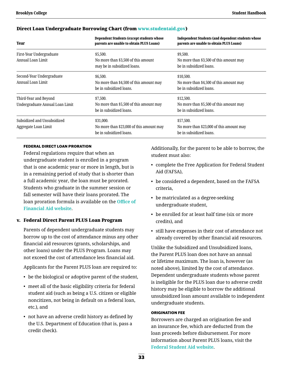| <b>Year</b>                                              | <b>Dependent Students (except students whose</b><br>parents are unable to obtain PLUS Loans) | <b>Independent Students (and dependent students whose</b><br>parents are unable to obtain PLUS Loans)<br>\$9,500.<br>No more than \$3,500 of this amount may<br>be in subsidized loans. |  |  |  |  |
|----------------------------------------------------------|----------------------------------------------------------------------------------------------|-----------------------------------------------------------------------------------------------------------------------------------------------------------------------------------------|--|--|--|--|
| First-Year Undergraduate<br>Annual Loan Limit            | \$5,500.<br>No more than \$3,500 of this amount<br>may be in subsidized loans.               |                                                                                                                                                                                         |  |  |  |  |
| Second-Year Undergraduate<br>Annual Loan Limit           | \$6,500.<br>No more than \$4,500 of this amount may<br>be in subsidized loans.               | \$10,500.<br>No more than \$4,500 of this amount may<br>be in subsidized loans.                                                                                                         |  |  |  |  |
| Third-Year and Beyond<br>Undergraduate Annual Loan Limit | \$7,500.<br>No more than \$5,500 of this amount may<br>be in subsidized loans.               | \$12,500.<br>No more than \$5,500 of this amount may<br>be in subsidized loans.                                                                                                         |  |  |  |  |
| Subsidized and Unsubsidized<br>Aggregate Loan Limit      | \$31,000.<br>No more than \$23,000 of this amount may<br>be in subsidized loans.             | \$57,500.<br>No more than \$23,000 of this amount may<br>be in subsidized loans.                                                                                                        |  |  |  |  |

#### Direct Loan Undergraduate Borrowing Chart (from [www.studentaid.gov](https://studentaid.gov/))

#### FEDERAL DIRECT LOAN PRORATION

Federal regulations require that when an undergraduate student is enrolled in a program that is one academic year or more in length, but is in a remaining period of study that is shorter than a full academic year, the loan must be prorated. Students who graduate in the summer session or fall semester will have their loans prorated. The loan proration formula is available on the **[Office of](http://www.brooklyn.cuny.edu/web/about/offices/financial/undergraduate/loans/direct.php)  [Financial Aid website](http://www.brooklyn.cuny.edu/web/about/offices/financial/undergraduate/loans/direct.php)**.

#### v. Federal Direct Parent PLUS Loan Program

Parents of dependent undergraduate students may borrow up to the cost of attendance minus any other financial aid resources (grants, scholarships, and other loans) under the PLUS Program. Loans may not exceed the cost of attendance less financial aid.

Applicants for the Parent PLUS loan are required to:

- be the biological or adoptive parent of the student,
- meet all of the basic eligibility criteria for federal student aid (such as being a U.S. citizen or eligible noncitizen, not being in default on a federal loan, etc.), and
- not have an adverse credit history as defined by the U.S. Department of Education (that is, pass a credit check).

Additionally, for the parent to be able to borrow, the student must also:

- complete the Free Application for Federal Student Aid (FAFSA),
- be considered a dependent, based on the FAFSA criteria,
- be matriculated as a degree-seeking undergraduate student,
- be enrolled for at least half time (six or more credits), and
- still have expenses in their cost of attendance not already covered by other financial aid resources.

Unlike the Subsidized and Unsubsidized loans, the Parent PLUS loan does not have an annual or lifetime maximum. The loan is, however (as noted above), limited by the cost of attendance. Dependent undergraduate students whose parent is ineligible for the PLUS loan due to adverse credit history may be eligible to borrow the additional unsubsidized loan amount available to independent undergraduate students.

#### ORIGINATION FEE

Borrowers are charged an origination fee and an insurance fee, which are deducted from the loan proceeds before disbursement. For more information about Parent PLUS loans, visit the **[Federal Student Aid website](https://studentaid.gov/understand-aid/types/loans/plus/parent)**.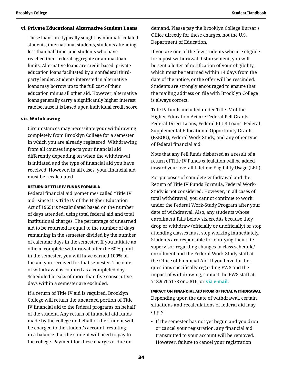#### vi. Private Educational Alternative Student Loans

 These loans are typically sought by nonmatriculated students, international students, students attending less than half time, and students who have reached their federal aggregate or annual loan limits. Alternative loans are credit-based, private education loans facilitated by a nonfederal thirdparty lender. Students interested in alternative loans may borrow up to the full cost of their education minus all other aid. However, alternative loans generally carry a significantly higher interest rate because it is based upon individual credit score.

#### vii. Withdrawing

Circumstances may necessitate your withdrawing completely from Brooklyn College for a semester in which you are already registered. Withdrawing from all courses impacts your financial aid differently depending on when the withdrawal is initiated and the type of financial aid you have received. However, in all cases, your financial aid must be recalculated.

#### RETURN OF TITLE IV FUNDS FORMULA

Federal financial aid (sometimes called "Title IV aid" since it is Title IV of the Higher Education Act of 1965) is recalculated based on the number of days attended, using total federal aid and total institutional charges. The percentage of unearned aid to be returned is equal to the number of days remaining in the semester divided by the number of calendar days in the semester. If you initiate an official complete withdrawal after the 60% point in the semester, you will have earned 100% of the aid you received for that semester. The date of withdrawal is counted as a completed day. Scheduled breaks of more than five consecutive days within a semester are excluded.

If a return of Title IV aid is required, Brooklyn College will return the unearned portion of Title IV financial aid to the federal programs on behalf of the student. Any return of financial aid funds made by the college on behalf of the student will be charged to the student's account, resulting in a balance that the student will need to pay to the college. Payment for these charges is due on

demand. Please pay the Brooklyn College Bursar's Office directly for these charges, not the U.S. Department of Education.

If you are one of the few students who are eligible for a post-withdrawal disbursement, you will be sent a letter of notification of your eligibility, which must be returned within 14 days from the date of the notice, or the offer will be rescinded. Students are strongly encouraged to ensure that the mailing address on file with Brooklyn College is always correct.

Title IV funds included under Title IV of the Higher Education Act are Federal Pell Grants, Federal Direct Loans, Federal PLUS Loans, Federal Supplemental Educational Opportunity Grants (FSEOG), Federal Work-Study, and any other type of federal financial aid.

 Note that any Pell funds disbursed as a result of a return of Title IV Funds calculation will be added toward your overall Lifetime Eligibility Usage (LEU).

For purposes of complete withdrawal and the Return of Title IV Funds Formula, Federal Work-Study is not considered. However, in all cases of total withdrawal, you cannot continue to work under the Federal Work-Study Program after your date of withdrawal. Also, any students whose enrollment falls below six credits because they drop or withdraw (officially or unofficially) or stop attending classes must stop working immediately. Students are responsible for notifying their site supervisor regarding changes in class schedule/ enrollment and the Federal Work-Study staff at the Office of Financial Aid. If you have further questions specifically regarding FWS and the impact of withdrawing, contact the FWS staff at 718.951.5178 or .5816, or **[via e-mail](mailto:fws%40brooklyn.cuny.edu?subject=)**.

#### IMPACT ON FINANCIAL AID FROM OFFICIAL WITHDRAWAL

Depending upon the date of withdrawal, certain situations and recalculations of federal aid may apply:

• If the semester has not yet begun and you drop or cancel your registration, any financial aid transmitted to your account will be removed. However, failure to cancel your registration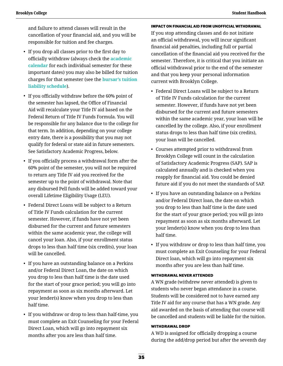and failure to attend classes will result in the cancellation of your financial aid, and you will be responsible for tuition and fee charges.

- If you drop all classes prior to the first day to officially withdraw (always check the **[academic](http://www.brooklyn.cuny.edu/web/about/administration/enrollment/registrar/bulletins.php)  [calendar](http://www.brooklyn.cuny.edu/web/about/administration/enrollment/registrar/bulletins.php)** for each individual semester for these important dates) you may also be billed for tuition charges for that semester (see the **[bursar's tuition](http://www.brooklyn.cuny.edu/web/about/offices/bursar/drop.php)  [liability schedule](http://www.brooklyn.cuny.edu/web/about/offices/bursar/drop.php)**).
- If you officially withdraw before the 60% point of the semester has lapsed, the Office of Financial Aid will recalculate your Title IV aid based on the Federal Return of Title IV Funds Formula. You will be responsible for any balance due to the college for that term. In addition, depending on your college entry date, there is a possibility that you may not qualify for federal or state aid in future semesters. See Satisfactory Academic Progress, below.
- If you officially process a withdrawal form after the 60% point of the semester, you will not be required to return any Title IV aid you received for the semester up to the point of withdrawal. Note that any disbursed Pell funds will be added toward your overall Lifetime Eligibility Usage (LEU).
- Federal Direct Loans will be subject to a Return of Title IV Funds calculation for the current semester. However, if funds have not yet been disbursed for the current and future semesters within the same academic year, the college will cancel your loan. Also, if your enrollment status drops to less than half time (six credits), your loan will be cancelled.
- If you have an outstanding balance on a Perkins and/or Federal Direct Loan, the date on which you drop to less than half time is the date used for the start of your grace period; you will go into repayment as soon as six months afterward. Let your lender(s) know when you drop to less than half time.
- If you withdraw or drop to less than half-time, you must complete an Exit Counseling for your Federal Direct Loan, which will go into repayment six months after you are less than half time.

 IMPACT ON FINANCIAL AID FROM UNOFFICIAL WITHDRAWAL If you stop attending classes and do not initiate an official withdrawal, you will incur significant financial aid penalties, including full or partial cancellation of the financial aid you received for the semester. Therefore, it is critical that you initiate an official withdrawal prior to the end of the semester and that you keep your personal information current with Brooklyn College.

- Federal Direct Loans will be subject to a Return of Title IV Funds calculation for the current semester. However, if funds have not yet been disbursed for the current and future semesters within the same academic year, your loan will be cancelled by the college. Also, if your enrollment status drops to less than half time (six credits), your loan will be cancelled.
- Courses attempted prior to withdrawal from Brooklyn College will count in the calculation of Satisfactory Academic Progress (SAP). SAP is calculated annually and is checked when you reapply for financial aid. You could be denied future aid if you do not meet the standards of SAP.
- If you have an outstanding balance on a Perkins and/or Federal Direct loan, the date on which you drop to less than half time is the date used for the start of your grace period; you will go into repayment as soon as six months afterward. Let your lender(s) know when you drop to less than half time.
- If you withdraw or drop to less than half time, you must complete an Exit Counseling for your Federal Direct loan, which will go into repayment six months after you are less than half time.

#### WITHDRAWAL NEVER ATTENDED

A WN grade (withdrew never attended) is given to students who never began attendance in a course. Students will be considered not to have earned any Title IV aid for any course that has a WN grade. Any aid awarded on the basis of attending that course will be cancelled and students will be liable for the tuition.

#### WITHDRAWAL DROP

A WD is assigned for officially dropping a course during the add/drop period but after the seventh day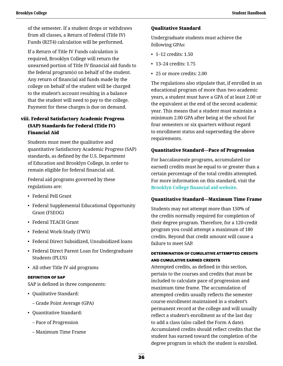of the semester. If a student drops or withdraws from all classes, a Return of Federal (Title IV) Funds (R2T4) calculation will be performed.

If a Return of Title IV Funds calculation is required, Brooklyn College will return the unearned portion of Title IV financial aid funds to the federal program(s) on behalf of the student. Any return of financial aid funds made by the college on behalf of the student will be charged to the student's account resulting in a balance that the student will need to pay to the college. Payment for these charges is due on demand.

### viii. Federal Satisfactory Academic Progress (SAP) Standards for Federal (Title IV) Financial Aid

Students must meet the qualitative and quantitative Satisfactory Academic Progress (SAP) standards, as defined by the U.S. Department of Education and Brooklyn College, in order to remain eligible for federal financial aid.

Federal aid programs governed by these regulations are:

- Federal Pell Grant
- Federal Supplemental Educational Opportunity Grant (FSEOG)
- Federal TEACH Grant
- Federal Work-Study (FWS)
- Federal Direct Subsidized, Unsubsidized loans
- Federal Direct Parent Loan for Undergraduate Students (PLUS)
- All other Title IV aid programs

#### DEFINITION OF SAP

SAP is defined in three components:

- Qualitative Standard:
	- Grade Point Average (GPA)
- Quantitative Standard:
	- Pace of Progression
	- Maximum Time Frame

#### Qualitative Standard

Undergraduate students must achieve the following GPAs:

- 1–12 credits: 1.50
- 13–24 credits: 1.75
- 25 or more credits: 2.00

The regulations also stipulate that, if enrolled in an educational program of more than two academic years, a student must have a GPA of at least 2.00 or the equivalent at the end of the second academic year. This means that a student must maintain a minimum 2.00 GPA after being at the school for four semesters or six quarters without regard to enrollment status and superseding the above requirements.

#### Quantitative Standard—Pace of Progression

For baccalaureate programs, accumulated (or earned) credits must be equal to or greater than a certain percentage of the total credits attempted. For more information on this standard, visit the **[Brooklyn College financial aid website](http://www.brooklyn.cuny.edu/web/about/offices/financial/standards.php)**.

#### Quantitative Standard—Maximum Time Frame

Students may not attempt more than 150% of the credits normally required for completion of their degree program. Therefore, for a 120-credit program you could attempt a maximum of 180 credits. Beyond that credit amount will cause a failure to meet SAP.

#### DETERMINATION OF CUMULATIVE ATTEMPTED CREDITS AND CUMULATIVE EARNED CREDITS

Attempted credits, as defined in this section, pertain to the courses and credits that must be included to calculate pace of progression and maximum time frame. The accumulation of attempted credits usually reflects the semester course enrollment maintained in a student's permanent record at the college and will usually reflect a student's enrollment as of the last day to add a class (also called the Form A date). Accumulated credits should reflect credits that the student has earned toward the completion of the degree program in which the student is enrolled.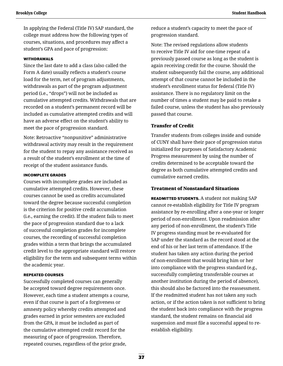In applying the Federal (Title IV) SAP standard, the college must address how the following types of courses, situations, and procedures may affect a student's GPA and pace of progression:

#### WITHDRAWALS

Since the last date to add a class (also called the Form A date) usually reflects a student's course load for the term, net of program adjustments, withdrawals as part of the program adjustment period (i.e., "drops") will not be included as cumulative attempted credits. Withdrawals that are recorded on a student's permanent record will be included as cumulative attempted credits and will have an adverse effect on the student's ability to meet the pace of progression standard.

Note: Retroactive "nonpunitive" administrative withdrawal activity may result in the requirement for the student to repay any assistance received as a result of the student's enrollment at the time of receipt of the student assistance funds.

#### INCOMPLETE GRADES

Courses with incomplete grades are included as cumulative attempted credits. However, these courses cannot be used as credits accumulated toward the degree because successful completion is the criterion for positive credit accumulation (i.e., earning the credit). If the student fails to meet the pace of progression standard due to a lack of successful completion grades for incomplete courses, the recording of successful completion grades within a term that brings the accumulated credit level to the appropriate standard will restore eligibility for the term and subsequent terms within the academic year.

#### REPEATED COURSES

Successfully completed courses can generally be accepted toward degree requirements once. However, each time a student attempts a course, even if that course is part of a forgiveness or amnesty policy whereby credits attempted and grades earned in prior semesters are excluded from the GPA, it must be included as part of the cumulative attempted credit record for the measuring of pace of progression. Therefore, repeated courses, regardless of the prior grade,

reduce a student's capacity to meet the pace of progression standard.

Note: The revised regulations allow students to receive Title IV aid for one-time repeat of a previously passed course as long as the student is again receiving credit for the course. Should the student subsequently fail the course, any additional attempt of that course cannot be included in the student's enrollment status for federal (Title IV) assistance. There is no regulatory limit on the number of times a student may be paid to retake a failed course, unless the student has also previously passed that course.

#### Transfer of Credit

 Transfer students from colleges inside and outside of CUNY shall have their pace of progression status initialized for purposes of Satisfactory Academic Progress measurement by using the number of credits determined to be acceptable toward the degree as both cumulative attempted credits and cumulative earned credits.

#### Treatment of Nonstandard Situations

 READMITTED STUDENTS. A student not making SAP cannot re-establish eligibility for Title IV program assistance by re-enrolling after a one-year or longer period of non-enrollment. Upon readmission after any period of non-enrollment, the student's Title IV progress standing must be re-evaluated for SAP under the standard as the record stood at the end of his or her last term of attendance. If the student has taken any action during the period of non-enrollment that would bring him or her into compliance with the progress standard (e.g., successfully completing transferable courses at another institution during the period of absence), this should also be factored into the reassessment. If the readmitted student has not taken any such action, or if the action taken is not sufficient to bring the student back into compliance with the progress standard, the student remains on financial aid suspension and must file a successful appeal to reestablish eligibility.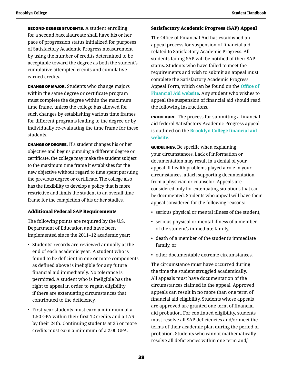SECOND-DEGREE STUDENTS. A student enrolling for a second baccalaureate shall have his or her pace of progression status initialized for purposes of Satisfactory Academic Progress measurement by using the number of credits determined to be acceptable toward the degree as both the student's cumulative attempted credits and cumulative earned credits.

 CHANGE OF MAJOR. Students who change majors within the same degree or certificate program must complete the degree within the maximum time frame, unless the college has allowed for such changes by establishing various time frames for different programs leading to the degree or by individually re-evaluating the time frame for these students.

 CHANGE OF DEGREE. If a student changes his or her objective and begins pursuing a different degree or certificate, the college may make the student subject to the maximum time frame it establishes for the new objective without regard to time spent pursuing the previous degree or certificate. The college also has the flexibility to develop a policy that is more restrictive and limits the student to an overall time frame for the completion of his or her studies.

#### Additional Federal SAP Requirements

The following points are required by the U.S. Department of Education and have been implemented since the 2011–12 academic year:

- Students' records are reviewed annually at the end of each academic year. A student who is found to be deficient in one or more components as defined above is ineligible for any future financial aid immediately. No tolerance is permitted. A student who is ineligible has the right to appeal in order to regain eligibility if there are extenuating circumstances that contributed to the deficiency.
- First-year students must earn a minimum of a 1.50 GPA within their first 12 credits and a 1.75 by their 24th. Continuing students at 25 or more credits must earn a minimum of a 2.00 GPA.

### Satisfactory Academic Progress (SAP) Appeal

The Office of Financial Aid has established an appeal process for suspension of financial aid related to Satisfactory Academic Progress. All students failing SAP will be notified of their SAP status. Students who have failed to meet the requirements and wish to submit an appeal must complete the Satisfactory Academic Progress Appeal Form, which can be found on the **[Office of](http://www.brooklyn.cuny.edu/web/about/offices/financial.php)  [Financial Aid website](http://www.brooklyn.cuny.edu/web/about/offices/financial.php)**. Any student who wishes to appeal the suspension of financial aid should read the following instructions.

**PROCEDURE.** The process for submitting a financial aid federal Satisfactory Academic Progress appeal is outlined on the **[Brooklyn College financial aid](http://www.brooklyn.cuny.edu/web/about/offices/financial/standards.php)  [website](http://www.brooklyn.cuny.edu/web/about/offices/financial/standards.php)**.

**GUIDELINES.** Be specific when explaining your circumstances. Lack of information or documentation may result in a denial of your appeal. If health problems played a role in your circumstances, attach supporting documentation from a physician or counselor. Appeals are considered only for extenuating situations that can be documented. Students who appeal will have their appeal considered for the following reasons:

- serious physical or mental illness of the student,
- serious physical or mental illness of a member of the student's immediate family,
- death of a member of the student's immediate family, or
- other documentable extreme circumstances.

The circumstance must have occurred during the time the student struggled academically. All appeals must have documentation of the circumstances claimed in the appeal. Approved appeals can result in no more than one term of financial aid eligibility. Students whose appeals are approved are granted one term of financial aid probation. For continued eligibility, students must resolve all SAP deficiencies and/or meet the terms of their academic plan during the period of probation. Students who cannot mathematically resolve all deficiencies within one term and/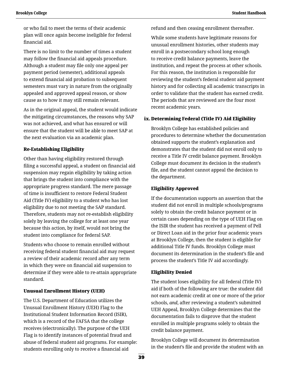or who fail to meet the terms of their academic plan will once again become ineligible for federal financial aid.

There is no limit to the number of times a student may follow the financial aid appeals procedure. Although a student may file only one appeal per payment period (semester), additional appeals to extend financial aid probation to subsequent semesters must vary in nature from the originally appealed and approved appeal reason, or show cause as to how it may still remain relevant.

As in the original appeal, the student would indicate the mitigating circumstances, the reasons why SAP was not achieved, and what has ensured or will ensure that the student will be able to meet SAP at the next evaluation via an academic plan.

#### Re-Establishing Eligibility

Other than having eligibility restored through filing a successful appeal, a student on financial aid suspension may regain eligibility by taking action that brings the student into compliance with the appropriate progress standard. The mere passage of time is insufficient to restore Federal Student Aid (Title IV) eligibility to a student who has lost eligibility due to not meeting the SAP standard. Therefore, students may not re-establish eligibility solely by leaving the college for at least one year because this action, by itself, would not bring the student into compliance for federal SAP.

Students who choose to remain enrolled without receiving federal student financial aid may request a review of their academic record after any term in which they were on financial aid suspension to determine if they were able to re-attain appropriate standard.

#### Unusual Enrollment History (UEH)

The U.S. Department of Education utilizes the Unusual Enrollment History (UEH) Flag to the Institutional Student Information Record (ISIR), which is a record of the FAFSA that the college receives (electronically). The purpose of the UEH Flag is to identify instances of potential fraud and abuse of federal student aid programs. For example: students enrolling only to receive a financial aid

refund and then ceasing enrollment thereafter.

While some students have legitimate reasons for unusual enrollment histories, other students may enroll in a postsecondary school long enough to receive credit balance payments, leave the institution, and repeat the process at other schools. For this reason, the institution is responsible for reviewing the student's federal student aid payment history and for collecting all academic transcripts in order to validate that the student has earned credit. The periods that are reviewed are the four most recent academic years.

#### ix.Determining Federal (Title IV) Aid Eligibility

Brooklyn College has established policies and procedures to determine whether the documentation obtained supports the student's explanation and demonstrates that the student did not enroll only to receive a Title IV credit balance payment. Brooklyn College must document its decision in the student's file, and the student cannot appeal the decision to the department.

#### Eligibility Approved

If the documentation supports an assertion that the student did not enroll in multiple schools/programs solely to obtain the credit balance payment or in certain cases depending on the type of UEH Flag on the ISIR the student has received a payment of Pell or Direct Loan aid in the prior four academic years at Brooklyn College, then the student is eligible for additional Title IV funds. Brooklyn College must document its determination in the student's file and process the student's Title IV aid accordingly.

#### Eligibility Denied

The student loses eligibility for all federal (Title IV) aid if both of the following are true: the student did not earn academic credit at one or more of the prior schools, *and*, after reviewing a student's submitted UEH Appeal, Brooklyn College determines that the documentation fails to disprove that the student enrolled in multiple programs solely to obtain the credit balance payment.

Brooklyn College will document its determination in the student's file and provide the student with an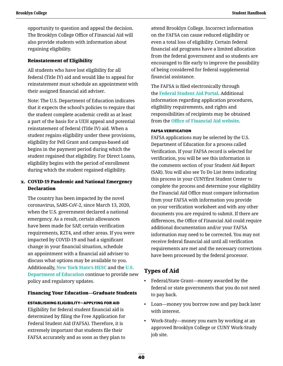opportunity to question and appeal the decision. The Brooklyn College Office of Financial Aid will also provide students with information about regaining eligibility.

#### Reinstatement of Eligibility

All students who have lost eligibility for all federal (Title IV) aid and would like to appeal for reinstatement must schedule an appointment with their assigned financial aid adviser.

Note: The U.S. Department of Education indicates that it expects the school's policies to require that the student complete academic credit as at least a part of the basis for a UEH appeal and potential reinstatement of federal (Title IV) aid. When a student regains eligibility under these provisions, eligibility for Pell Grant and campus-based aid begins in the payment period during which the student regained that eligibility. For Direct Loans, eligibility begins with the period of enrollment during which the student regained eligibility.

### x. COVID-19 Pandemic and National Emergency Declaration

The country has been impacted by the novel coronavirus, SARS-CoV-2, since March 13, 2020, when the U.S. government declared a national emergency. As a result, certain allowances have been made for SAP, certain verification requirements, R2T4, and other areas. If you were impacted by COVID-19 and had a significant change in your financial situation, schedule an appointment with a financial aid adviser to discuss what options may be available to you. Additionally, **[New York State's HESC](https://www.hesc.ny.gov/partner-access/financial-aid-professionals/recent-bulletins-and-announcements/53-partner-access/financial-aid-professionals.html)** and the **[U.S.](https://www.ed.gov/coronavirus)  [Department of Education](https://www.ed.gov/coronavirus)** continue to provide new policy and regulatory updates.

#### Financing Your Education—Graduate Students

#### ESTABLISHING ELIGIBILITY—APPLYING FOR AID

Eligibility for federal student financial aid is determined by filing the Free Application for Federal Student Aid (FAFSA). Therefore, it is extremely important that students file their FAFSA accurately and as soon as they plan to

attend Brooklyn College. Incorrect information on the FAFSA can cause reduced eligibility or even a total loss of eligibility. Certain federal financial aid programs have a limited allocation from the federal government and so students are encouraged to file early to improve the possibility of being considered for federal supplemental financial assistance.

The FAFSA is filed electronically through the **[Federal Student Aid Portal](https://studentaid.gov/h/apply-for-aid/fafsa)**. Additional information regarding application procedures, eligibility requirements, and rights and responsibilities of recipients may be obtained from the **[Office of Financial Aid website](http://www.brooklyn.cuny.edu/web/about/offices/financial.php)**.

#### FAFSA VERIFICATION

FAFSA applications may be selected by the U.S. Department of Education for a process called Verification. If your FAFSA record is selected for verification, you will be see this information in the comments section of your Student Aid Report (SAR). You will also see To Do List items indicating this process in your CUNYfirst Student Center to complete the process and determine your eligibility the Financial Aid Office must compare information from your FAFSA with information you provide on your verification worksheet and with any other documents you are required to submit. If there are differences, the Office of Financial Aid could require additional documentation and/or your FAFSA information may need to be corrected. You may not receive federal financial aid until all verification requirements are met and the necessary corrections have been processed by the federal processor.

# **Types of Aid**

- Federal/State Grant—money awarded by the federal or state governments that you do not need to pay back.
- Loan—money you borrow now and pay back later with interest.
- Work-Study—money you earn by working at an approved Brooklyn College or CUNY Work-Study job site.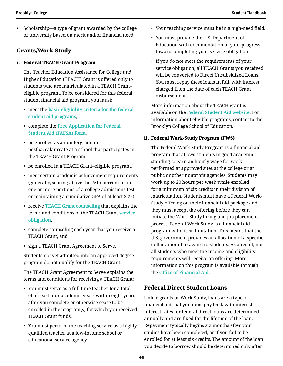• Scholarship—a type of grant awarded by the college or university based on merit and/or financial need.

### **Grants/Work-Study**

#### i. Federal TEACH Grant Program

The Teacher Education Assistance for College and Higher Education (TEACH) Grant is offered only to students who are matriculated in a TEACH Grant– eligible program. To be considered for this federal student financial aid program, you must:

- meet the **[basic eligibility criteria for the federal](https://studentaid.gov/understand-aid/eligibility/requirements)  [student aid programs](https://studentaid.gov/understand-aid/eligibility/requirements)**,
- complete the **[Free Application for Federal](https://studentaid.gov/h/apply-for-aid/fafsa)  [Student Aid \(FAFSA\) form](https://studentaid.gov/h/apply-for-aid/fafsa)**,
- be enrolled as an undergraduate, postbaccalaureate at a school that participates in the TEACH Grant Program,
- be enrolled in a TEACH Grant–eligible program,
- meet certain academic achievement requirements (generally, scoring above the 75th percentile on one or more portions of a college admissions test or maintaining a cumulative GPA of at least 3.25),
- receive **[TEACH Grant counseling](https://studentaid.gov/teach-grant-program)** that explains the terms and conditions of the TEACH Grant **[service](https://studentaid.gov/understand-aid/types/grants/teach)  [obligation](https://studentaid.gov/understand-aid/types/grants/teach)**,
- complete counseling each year that you receive a TEACH Grant, and
- sign a TEACH Grant Agreement to Serve.

Students not yet admitted into an approved degree program do not qualify for the TEACH Grant.

The TEACH Grant Agreement to Serve explains the terms and conditions for receiving a TEACH Grant:

- You must serve as a full-time teacher for a total of at least four academic years within eight years after you complete or otherwise cease to be enrolled in the program(s) for which you received TEACH Grant funds.
- You must perform the teaching service as a highly qualified teacher at a low-income school or educational service agency.
- Your teaching service must be in a high-need field.
- You must provide the U.S. Department of Education with documentation of your progress toward completing your service obligation.
- If you do not meet the requirements of your service obligation, all TEACH Grants you received will be converted to Direct Unsubsidized Loans. You must repay these loans in full, with interest charged from the date of each TEACH Grant disbursement.

More information about the TEACH grant is available on the **[Federal Student Aid website](https://studentaid.gov/understand-aid/types/loans/plus/parent)**. For information about eligible programs, contact to the Brooklyn College School of Education.

#### ii. Federal Work-Study Program (FWS)

The Federal Work-Study Program is a financial aid program that allows students in good academic standing to earn an hourly wage for work performed at approved sites at the college or at public or other nonprofit agencies. Students may work up to 20 hours per week while enrolled for a minimum of six credits in their division of matriculation. Students must have a Federal Work-Study offering on their financial aid package and they must accept the offering before they can initiate the Work-Study hiring and job placement process. Federal Work-Study is a financial aid program with fiscal limitation. This means that the U.S. government provides an allocation of a specific dollar amount to award to students. As a result, not all students who meet the income and eligibility requirements will receive an offering. More information on this program is available through the **[Office of Financial Aid](http://www.brooklyn.cuny.edu/web/about/offices/financial.php)**.

### **Federal Direct Student Loans**

Unlike grants or Work-Study, loans are a type of financial aid that you must pay back with interest. Interest rates for federal direct loans are determined annually and are fixed for the lifetime of the loan. Repayment typically begins six months after your studies have been completed, or if you fail to be enrolled for at least six credits. The amount of the loan you decide to borrow should be determined only after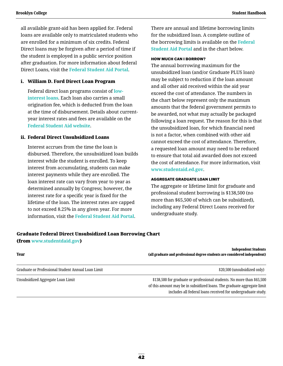all available grant-aid has been applied for. Federal loans are available only to matriculated students who are enrolled for a minimum of six credits. Federal Direct loans may be forgiven after a period of time if the student is employed in a public service position after graduation. For more information about federal Direct Loans, visit the **[Federal Student Aid Portal](https://studentaid.gov/)**.

#### i. William D. Ford Direct Loan Program

Federal direct loan programs consist of **[low](https://studentaid.gov/understand-aid/types/loans/interest-rates)[interest loans](https://studentaid.gov/understand-aid/types/loans/interest-rates)**. Each loan also carries a small origination fee, which is deducted from the loan at the time of disbursement. Details about currentyear interest rates and fees are available on the **[Federal Student Aid website](https://studentaid.gov/)**.

#### ii. Federal Direct Unsubsidized Loans

Interest accrues from the time the loan is disbursed. Therefore, the unsubsidized loan builds interest while the student is enrolled. To keep interest from accumulating, students can make interest payments while they are enrolled. The loan interest rate can vary from year to year as determined annually by Congress; however, the interest rate for a specific year is fixed for the lifetime of the loan. The interest rates are capped to not exceed 8.25% in any given year. For more information, visit the **[Federal Student Aid Portal](https://studentaid.gov/)**.

There are annual and lifetime borrowing limits for the subsidized loan. A complete outline of the borrowing limits is available on the **[Federal](https://studentaid.gov/)  [Student Aid Portal](https://studentaid.gov/)** and in the chart below.

#### HOW MUCH CAN I BORROW?

The annual borrowing maximum for the unsubsidized loan (and/or Graduate PLUS loan) may be subject to reduction if the loan amount and all other aid received within the aid year exceed the cost of attendance. The numbers in the chart below represent only the maximum amounts that the federal government permits to be awarded, not what may actually be packaged following a loan request. The reason for this is that the unsubsidized loan, for which financial need is not a factor, when combined with other aid cannot exceed the cost of attendance. Therefore, a requested loan amount may need to be reduced to ensure that total aid awarded does not exceed the cost of attendance. For more information, visit **[www.studentaid.ed.gov](https://studentaid.gov/)**.

#### AGGREGATE GRADUATE LOAN LIMIT

The aggregate or lifetime limit for graduate and professional student borrowing is \$138,500 (no more than \$65,500 of which can be subsidized), including any Federal Direct Loans received for undergraduate study.

### Graduate Federal Direct Unsubsidized Loan Borrowing Chart

(from **[www.studentdaid.gov](https://studentaid.gov/)**)

| Year                                               | <b>Independent Students</b><br>(all graduate and professional degree students are considered independent)                                                                                                         |
|----------------------------------------------------|-------------------------------------------------------------------------------------------------------------------------------------------------------------------------------------------------------------------|
| Graduate or Professional Student Annual Loan Limit | \$20,500 (unsubsidized only)                                                                                                                                                                                      |
| Unsubsidized Aggregate Loan Limit                  | \$138,500 for graduate or professional students. No more than \$65,500<br>of this amount may be in subsidized loans. The graduate aggregate limit<br>includes all federal loans received for undergraduate study. |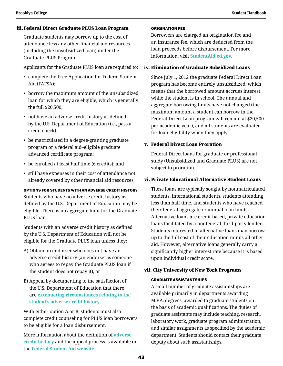#### iii.Federal Direct Graduate PLUS Loan Program

Graduate students may borrow up to the cost of attendance less any other financial aid resources (including the unsubsidized loan) under the Graduate PLUS Program.

Applicants for the Graduate PLUS loan are required to:

- complete the Free Application for Federal Student Aid (FAFSA);
- borrow the maximum amount of the unsubsidized loan for which they are eligible, which is generally the full \$20,500;
- not have an adverse credit history as defined by the U.S. Department of Education (i.e., pass a credit check);
- be matriculated in a degree-granting graduate program or a federal aid–eligible graduate advanced certificate program;
- be enrolled at least half time (6 credits); and
- still have expenses in their cost of attendance not already covered by other financial aid resources,

 OPTIONS FOR STUDENTS WITH AN ADVERSE CREDIT HISTORY Students who have no adverse credit history as defined by the U.S. Department of Education may be eligible. There is no aggregate limit for the Graduate PLUS loan.

Students with an adverse credit history as defined by the U.S. Department of Education will not be eligible for the Graduate PLUS loan unless they:

- A) Obtain an endorser who does not have an adverse credit history (an endorser is someone who agrees to repay the Graduate PLUS loan if the student does not repay it), or
- B) Appeal by documenting to the satisfaction of the U.S. Department of Education that there are **[extenuating circumstances relating to the](https://studentaid.gov/appeal-credit/demo)  [student's adverse credit history](https://studentaid.gov/appeal-credit/demo)**.

With either option A or B, students must also complete credit counseling for PLUS loan borrowers to be eligible for a loan disbursement.

More information about the definition of **[adverse](https://studentaid.gov/app/counselingInstructions.action?counselingType=plus)  [credit history](https://studentaid.gov/app/counselingInstructions.action?counselingType=plus)** and the appeal process is available on the **[Federal Student Aid website](https://studentaid.gov/understand-aid/types/loans/plus/grad)**.

#### ORIGINATION FEE

Borrowers are charged an origination fee and an insurance fee, which are deducted from the loan proceeds before disbursement. For more information, visit **[StudentAid.ed.gov](https://studentaid.gov/)**.

#### iv. Elimination of Graduate Subsidized Loans

Since July 1, 2012 the graduate Federal Direct Loan program has become entirely unsubsidized, which means that the borrowed amount accrues interest while the student is in school. The annual and aggregate borrowing limits have not changed (the maximum amount a student can borrow in the Federal Direct Loan program will remain at \$20,500 per academic year), and all students are evaluated for loan eligibility when they apply.

#### v. Federal Direct Loan Proration

Federal Direct loans for graduate or professional study (Unsubsidized and Graduate PLUS) are not subject to proration.

### vi. Private Educational Alternative Student Loans

These loans are typically sought by nonmatriculated students, international students, students attending less than half time, and students who have reached their federal aggregate or annual loan limits. Alternative loans are credit-based, private education loans facilitated by a nonfederal third-party lender. Students interested in alternative loans may borrow up to the full cost of their education minus all other aid. However, alternative loans generally carry a significantly higher interest rate because it is based upon individual credit score.

#### vii. City University of New York Programs

#### GRADUATE ASSISTANTSHIPS

A small number of graduate assistantships are available primarily in departments awarding M.F.A. degrees, awarded to graduate students on the basis of academic qualifications. The duties of graduate assistants may include teaching, research, laboratory work, graduate program administration, and similar assignments as specified by the academic department. Students should contact their graduate deputy about such assistantships.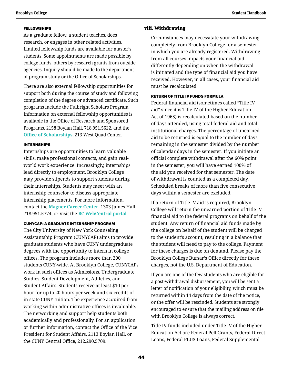#### **FELLOWSHIPS**

As a graduate fellow, a student teaches, does research, or engages in other related activities. Limited fellowship funds are available for master's students. Some appointments are made possible by college funds, others by research grants from outside agencies. Inquiry should be made to the department of program study or the Office of Scholarships.

There are also external fellowship opportunities for support both during the course of study and following completion of the degree or advanced certificate. Such programs include the Fulbright Scholars Program. Information on external fellowship opportunities is available in the Office of Research and Sponsored Programs, 2158 Boylan Hall, 718.951.5622, and the **[Office of Scholarships](http://www.brooklyn.cuny.edu/web/about/offices/scholarships.php)**, 213 West Quad Center.

#### INTERNSHIPS

Internships are opportunities to learn valuable skills, make professional contacts, and gain realworld work experience. Increasingly, internships lead directly to employment. Brooklyn College may provide stipends to support students during their internships. Students may meet with an internship counselor to discuss appropriate internship placements. For more information, contact the **[Magner Career Center](http://www.brooklyn.cuny.edu/web/academics/centers/magner.php)**, 1303 James Hall, 718.951.5774, or visit the **[BC WebCentral portal](https://portal.brooklyn.edu/uPortal/f/welcome/normal/render.uP)**.

#### CUNYCAP: A GRADUATE INTERNSHIP PROGRAM

The City University of New York Counseling Assistantship Program (CUNYCAP) aims to provide graduate students who have CUNY undergraduate degrees with the opportunity to intern in college offices. The program includes more than 200 students CUNY-wide. At Brooklyn College, CUNYCAPs work in such offices as Admissions, Undergraduate Studies, Student Development, Athletics, and Student Affairs. Students receive at least \$10 per hour for up to 20 hours per week and six credits of in-state CUNY tuition. The experience acquired from working within administrative offices is invaluable. The networking and support help students both academically and professionally. For an application or further information, contact the Office of the Vice President for Student Affairs, 2113 Boylan Hall, or the CUNY Central Office, 212.290.5709.

#### viii. Withdrawing

Circumstances may necessitate your withdrawing completely from Brooklyn College for a semester in which you are already registered. Withdrawing from all courses impacts your financial aid differently depending on when the withdrawal is initiated and the type of financial aid you have received. However, in all cases, your financial aid must be recalculated.

#### RETURN OF TITLE IV FUNDS FORMULA

Federal financial aid (sometimes called "Title IV aid" since it is Title IV of the Higher Education Act of 1965) is recalculated based on the number of days attended, using total federal aid and total institutional charges. The percentage of unearned aid to be returned is equal to the number of days remaining in the semester divided by the number of calendar days in the semester. If you initiate an official complete withdrawal after the 60% point in the semester, you will have earned 100% of the aid you received for that semester. The date of withdrawal is counted as a completed day. Scheduled breaks of more than five consecutive days within a semester are excluded.

If a return of Title IV aid is required, Brooklyn College will return the unearned portion of Title IV financial aid to the federal programs on behalf of the student. Any return of financial aid funds made by the college on behalf of the student will be charged to the student's account, resulting in a balance that the student will need to pay to the college. Payment for these charges is due on demand. Please pay the Brooklyn College Bursar's Office directly for these charges, not the U.S. Department of Education.

 If you are one of the few students who are eligible for a post-withdrawal disbursement, you will be sent a letter of notification of your eligibility, which must be returned within 14 days from the date of the notice, or the offer will be rescinded. Students are strongly encouraged to ensure that the mailing address on file with Brooklyn College is always correct.

Title IV funds included under Title IV of the Higher Education Act are Federal Pell Grants, Federal Direct Loans, Federal PLUS Loans, Federal Supplemental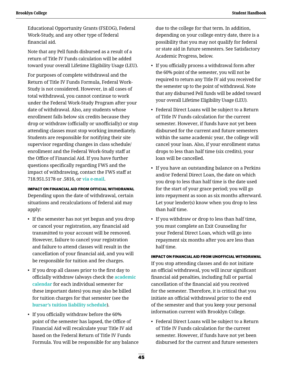Educational Opportunity Grants (FSEOG), Federal Work-Study, and any other type of federal financial aid.

 Note that any Pell funds disbursed as a result of a return of Title IV Funds calculation will be added toward your overall Lifetime Eligibility Usage (LEU).

For purposes of complete withdrawal and the Return of Title IV Funds Formula, Federal Work-Study is not considered. However, in all cases of total withdrawal, you cannot continue to work under the Federal Work-Study Program after your date of withdrawal. Also, any students whose enrollment falls below six credits because they drop or withdraw (officially or unofficially) or stop attending classes must stop working immediately. Students are responsible for notifying their site supervisor regarding changes in class schedule/ enrollment and the Federal Work-Study staff at the Office of Financial Aid. If you have further questions specifically regarding FWS and the impact of withdrawing, contact the FWS staff at 718.951.5178 or .5816, or **[via e-mail](mailto:fws%40brooklyn.cuny.edu?subject=)**.

#### IMPACT ON FINANCIAL AID FROM OFFICIAL WITHDRAWAL

Depending upon the date of withdrawal, certain situations and recalculations of federal aid may apply:

- If the semester has not yet begun and you drop or cancel your registration, any financial aid transmitted to your account will be removed. However, failure to cancel your registration and failure to attend classes will result in the cancellation of your financial aid, and you will be responsible for tuition and fee charges.
- If you drop all classes prior to the first day to officially withdraw (always check the **[academic](http://www.brooklyn.cuny.edu/web/about/administration/enrollment/registrar/bulletins.php)  [calendar](http://www.brooklyn.cuny.edu/web/about/administration/enrollment/registrar/bulletins.php)** for each individual semester for these important dates) you may also be billed for tuition charges for that semester (see the **[bursar's tuition liability schedule](http://www.brooklyn.cuny.edu/web/about/offices/bursar/drop.php)**).
- If you officially withdraw before the 60% point of the semester has lapsed, the Office of Financial Aid will recalculate your Title IV aid based on the Federal Return of Title IV Funds Formula. You will be responsible for any balance

due to the college for that term. In addition, depending on your college entry date, there is a possibility that you may not qualify for federal or state aid in future semesters. See Satisfactory Academic Progress, below.

- If you officially process a withdrawal form after the 60% point of the semester, you will not be required to return any Title IV aid you received for the semester up to the point of withdrawal. Note that any disbursed Pell funds will be added toward your overall Lifetime Eligibility Usage (LEU).
- Federal Direct Loans will be subject to a Return of Title IV Funds calculation for the current semester. However, if funds have not yet been disbursed for the current and future semesters within the same academic year, the college will cancel your loan. Also, if your enrollment status drops to less than half time (six credits), your loan will be cancelled.
- If you have an outstanding balance on a Perkins and/or Federal Direct Loan, the date on which you drop to less than half time is the date used for the start of your grace period; you will go into repayment as soon as six months afterward. Let your lender(s) know when you drop to less than half time.
- If you withdraw or drop to less than half time, you must complete an Exit Counseling for your Federal Direct Loan, which will go into repayment six months after you are less than half time.

### IMPACT ON FINANCIAL AID FROM UNOFFICIAL WITHDRAWAL

If you stop attending classes and do not initiate an official withdrawal, you will incur significant financial aid penalties, including full or partial cancellation of the financial aid you received for the semester. Therefore, it is critical that you initiate an official withdrawal prior to the end of the semester and that you keep your personal information current with Brooklyn College.

• Federal Direct Loans will be subject to a Return of Title IV Funds calculation for the current semester. However, if funds have not yet been disbursed for the current and future semesters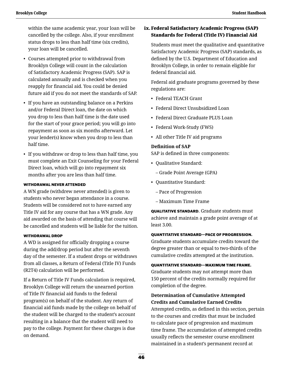within the same academic year, your loan will be cancelled by the college. Also, if your enrollment status drops to less than half time (six credits), your loan will be cancelled.

- Courses attempted prior to withdrawal from Brooklyn College will count in the calculation of Satisfactory Academic Progress (SAP). SAP is calculated annually and is checked when you reapply for financial aid. You could be denied future aid if you do not meet the standards of SAP.
- If you have an outstanding balance on a Perkins and/or Federal Direct loan, the date on which you drop to less than half time is the date used for the start of your grace period; you will go into repayment as soon as six months afterward. Let your lender(s) know when you drop to less than half time.
- If you withdraw or drop to less than half time, you must complete an Exit Counseling for your Federal Direct loan, which will go into repayment six months after you are less than half time.

#### WITHDRAWAL NEVER ATTENDED

A WN grade (withdrew never attended) is given to students who never began attendance in a course. Students will be considered not to have earned any Title IV aid for any course that has a WN grade. Any aid awarded on the basis of attending that course will be cancelled and students will be liable for the tuition.

#### WITHDRAWAL DROP

A WD is assigned for officially dropping a course during the add/drop period but after the seventh day of the semester. If a student drops or withdraws from all classes, a Return of Federal (Title IV) Funds (R2T4) calculation will be performed.

If a Return of Title IV Funds calculation is required, Brooklyn College will return the unearned portion of Title IV financial aid funds to the federal program(s) on behalf of the student. Any return of financial aid funds made by the college on behalf of the student will be charged to the student's account resulting in a balance that the student will need to pay to the college. Payment for these charges is due on demand.

# ix.Federal Satisfactory Academic Progress (SAP) Standards for Federal (Title IV) Financial Aid

Students must meet the qualitative and quantitative Satisfactory Academic Progress (SAP) standards, as defined by the U.S. Department of Education and Brooklyn College, in order to remain eligible for federal financial aid.

Federal aid graduate programs governed by these regulations are:

- Federal TEACH Grant
- Federal Direct Unsubsidized Loan
- Federal Direct Graduate PLUS Loan
- Federal Work-Study (FWS)
- All other Title IV aid programs

## **Definition of SAP**

SAP is defined in three components:

- Qualitative Standard:
	- Grade Point Average (GPA)
- Quantitative Standard:
	- Pace of Progression
	- Maximum Time Frame

 QUALITATIVE STANDARD. Graduate students must achieve and maintain a grade point average of at least 3.00.

#### QUANTITATIVE STANDARD—PACE OF PROGRESSION.

Graduate students accumulate credits toward the degree greater than or equal to two-thirds of the cumulative credits attempted at the institution.

#### QUANTITATIVE STANDARD—MAXIMUM TIME FRAME.

Graduate students may not attempt more than 150 percent of the credits normally required for completion of the degree.

### **Determination of Cumulative Attempted Credits and Cumulative Earned Credits**

Attempted credits, as defined in this section, pertain to the courses and credits that must be included to calculate pace of progression and maximum time frame. The accumulation of attempted credits usually reflects the semester course enrollment maintained in a student's permanent record at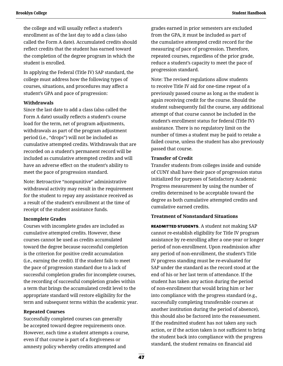the college and will usually reflect a student's enrollment as of the last day to add a class (also called the Form A date). Accumulated credits should reflect credits that the student has earned toward the completion of the degree program in which the student is enrolled.

In applying the Federal (Title IV) SAP standard, the college must address how the following types of courses, situations, and procedures may affect a student's GPA and pace of progression:

#### **Withdrawals**

Since the last date to add a class (also called the Form A date) usually reflects a student's course load for the term, net of program adjustments, withdrawals as part of the program adjustment period (i.e., "drops") will not be included as cumulative attempted credits. Withdrawals that are recorded on a student's permanent record will be included as cumulative attempted credits and will have an adverse effect on the student's ability to meet the pace of progression standard.

Note: Retroactive "nonpunitive" administrative withdrawal activity may result in the requirement for the student to repay any assistance received as a result of the student's enrollment at the time of receipt of the student assistance funds.

#### **Incomplete Grades**

Courses with incomplete grades are included as cumulative attempted credits. However, these courses cannot be used as credits accumulated toward the degree because successful completion is the criterion for positive credit accumulation (i.e., earning the credit). If the student fails to meet the pace of progression standard due to a lack of successful completion grades for incomplete courses, the recording of successful completion grades within a term that brings the accumulated credit level to the appropriate standard will restore eligibility for the term and subsequent terms within the academic year.

#### **Repeated Courses**

Successfully completed courses can generally be accepted toward degree requirements once. However, each time a student attempts a course, even if that course is part of a forgiveness or amnesty policy whereby credits attempted and

grades earned in prior semesters are excluded from the GPA, it must be included as part of the cumulative attempted credit record for the measuring of pace of progression. Therefore, repeated courses, regardless of the prior grade, reduce a student's capacity to meet the pace of progression standard.

Note: The revised regulations allow students to receive Title IV aid for one-time repeat of a previously passed course as long as the student is again receiving credit for the course. Should the student subsequently fail the course, any additional attempt of that course cannot be included in the student's enrollment status for federal (Title IV) assistance. There is no regulatory limit on the number of times a student may be paid to retake a failed course, unless the student has also previously passed that course.

#### **Transfer of Credit**

Transfer students from colleges inside and outside of CUNY shall have their pace of progression status initialized for purposes of Satisfactory Academic Progress measurement by using the number of credits determined to be acceptable toward the degree as both cumulative attempted credits and cumulative earned credits.

#### **Treatment of Nonstandard Situations**

 READMITTED STUDENTS. A student not making SAP cannot re-establish eligibility for Title IV program assistance by re-enrolling after a one-year or longer period of non-enrollment. Upon readmission after any period of non-enrollment, the student's Title IV progress standing must be re-evaluated for SAP under the standard as the record stood at the end of his or her last term of attendance. If the student has taken any action during the period of non-enrollment that would bring him or her into compliance with the progress standard (e.g., successfully completing transferable courses at another institution during the period of absence), this should also be factored into the reassessment. If the readmitted student has not taken any such action, or if the action taken is not sufficient to bring the student back into compliance with the progress standard, the student remains on financial aid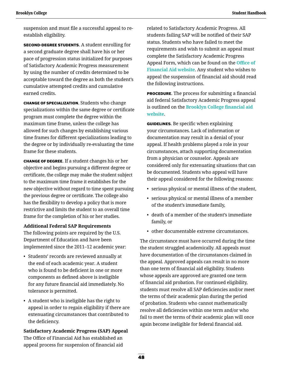suspension and must file a successful appeal to reestablish eligibility.

 SECOND-DEGREE STUDENTS. A student enrolling for a second graduate degree shall have his or her pace of progression status initialized for purposes of Satisfactory Academic Progress measurement by using the number of credits determined to be acceptable toward the degree as both the student's cumulative attempted credits and cumulative earned credits.

 CHANGE OF SPECIALIZATION. Students who change specializations within the same degree or certificate program must complete the degree within the maximum time frame, unless the college has allowed for such changes by establishing various time frames for different specializations leading to the degree or by individually re-evaluating the time frame for these students.

 CHANGE OF DEGREE. If a student changes his or her objective and begins pursuing a different degree or certificate, the college may make the student subject to the maximum time frame it establishes for the new objective without regard to time spent pursuing the previous degree or certificate. The college also has the flexibility to develop a policy that is more restrictive and limits the student to an overall time frame for the completion of his or her studies.

#### **Additional Federal SAP Requirements**

The following points are required by the U.S. Department of Education and have been implemented since the 2011–12 academic year:

- Students' records are reviewed annually at the end of each academic year. A student who is found to be deficient in one or more components as defined above is ineligible for any future financial aid immediately. No tolerance is permitted.
- A student who is ineligible has the right to appeal in order to regain eligibility if there are extenuating circumstances that contributed to the deficiency.

**Satisfactory Academic Progress (SAP) Appeal** The Office of Financial Aid has established an appeal process for suspension of financial aid

related to Satisfactory Academic Progress. All students failing SAP will be notified of their SAP status. Students who have failed to meet the requirements and wish to submit an appeal must complete the Satisfactory Academic Progress Appeal Form, which can be found on the **[Office of](http://www.brooklyn.cuny.edu/web/about/offices/financial.php)  [Financial Aid website](http://www.brooklyn.cuny.edu/web/about/offices/financial.php)**. Any student who wishes to appeal the suspension of financial aid should read the following instructions.

 PROCEDURE. The process for submitting a financial aid federal Satisfactory Academic Progress appeal is outlined on the **[Brooklyn College financial aid](http://www.brooklyn.cuny.edu/web/about/offices/financial/standards.php)  [website](http://www.brooklyn.cuny.edu/web/about/offices/financial/standards.php)**.

**GUIDELINES.** Be specific when explaining your circumstances. Lack of information or documentation may result in a denial of your appeal. If health problems played a role in your circumstances, attach supporting documentation from a physician or counselor. Appeals are considered only for extenuating situations that can be documented. Students who appeal will have their appeal considered for the following reasons:

- serious physical or mental illness of the student,
- serious physical or mental illness of a member of the student's immediate family,
- death of a member of the student's immediate family, or
- other documentable extreme circumstances.

The circumstance must have occurred during the time the student struggled academically. All appeals must have documentation of the circumstances claimed in the appeal. Approved appeals can result in no more than one term of financial aid eligibility. Students whose appeals are approved are granted one term of financial aid probation. For continued eligibility, students must resolve all SAP deficiencies and/or meet the terms of their academic plan during the period of probation. Students who cannot mathematically resolve all deficiencies within one term and/or who fail to meet the terms of their academic plan will once again become ineligible for federal financial aid.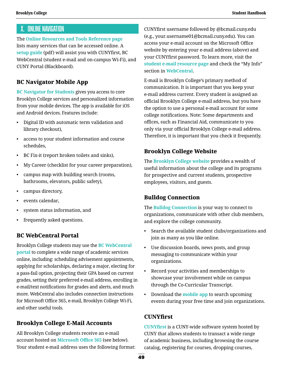# <span id="page-52-0"></span>X. Online Navigation

The **[Online Resources and Tools Reference page](https://www.brooklyn.cuny.edu/web/about/offices/technology/faculty/resources.php)** lists many services that can be accessed online. A **[setup guide](http://www.brooklyn.cuny.edu/web/off_iss/Student_Accounts_Setup_Guideline_update2_0.pdf)** (pdf) will assist you with CUNYfirst, BC WebCentral (student e-mail and on-campus Wi-Fi), and CUNY Portal (Blackboard).

# **BC Navigator Mobile App**

**[BC Navigator for Students](http://www.brooklyn.cuny.edu/portal/app/)** gives you access to core Brooklyn College services and personalized information from your mobile devices. The app is available for iOS and Android devices. Features include:

- Digital ID with automatic term validation and library checkout),
- access to your student information and course schedules,
- BC Fix-it (report broken toilets and sinks),
- My Career (checklist for your career preparation),
- campus map with building search (rooms, bathrooms, elevators, public safety),
- campus directory,
- events calendar,
- system status information, and
- frequently asked questions.

### **BC WebCentral Portal**

Brooklyn College students may use the **[BC WebCentral](https://portal.brooklyn.edu/uPortal/f/welcome/normal/render.uP)  [portal](https://portal.brooklyn.edu/uPortal/f/welcome/normal/render.uP)** to complete a wide range of academic services online, including: scheduling advisement appointments, applying for scholarships, declaring a major, electing for a pass-fail option, projecting their GPA based on current grades, setting their preferred e-mail address, enrolling in e-mail/text notifications for grades and alerts, and much more. WebCentral also includes connection instructions for Microsoft Office 365, e-mail, Brooklyn College Wi-Fi, and other useful tools.

# **Brooklyn College E-Mail Accounts**

All Brooklyn College students receive an e-mail account hosted on **[Microsoft Office 365](https://www.office.com/)** (see below). Your student e-mail address uses the following format: CUNYfirst username followed by @bcmail.cuny.edu (e.g., your.username01@bcmail.cuny.edu). You can access your e-mail account on the Microsoft Office website by entering your e-mail address (above) and your CUNYfirst password. To learn more, visit the **[student e-mail resource page](https://www.brooklyn.cuny.edu/web/academics/technology_students/CUNYcloudemail.php)** and check the "My Info" section in **[WebCentral](https://portal.brooklyn.edu/uPortal/f/welcome/normal/render.uP)**.

E-mail is Brooklyn College's primary method of communication. It is important that you keep your e-mail address current. Every student is assigned an official Brooklyn College e-mail address, but you have the option to use a personal e-mail account for some college notifications. Note: Some departments and offices, such as Financial Aid, communicate to you only via your official Brooklyn College e-mail address. Therefore, it is important that you check it frequently.

### **Brooklyn College Website**

The **[Brooklyn College website](http://www.brooklyn.cuny.edu/web/home.php)** provides a wealth of useful information about the college and its programs for prospective and current students, prospective employees, visitors, and guests.

### **Bulldog Connection**

The **[Bulldog Connection](https://cunybrooklyn.campuslabs.com/engage/)** is your way to connect to organizations, communicate with other club members, and explore the college community.

- Search the available student clubs/organizations and join as many as you like online.
- Use discussion boards, news posts, and group messaging to communicate within your organizations.
- Record your activities and memberships to showcase your involvement while on campus through the Co-Curricular Transcript.
- Download the **[mobile app](https://engagesupport.campuslabs.com/hc/en-us/articles/115000823166-Using-Corq)** to search upcoming events during your free time and join organizations.

### **CUNYfirst**

**[CUNYfirst](https://ssologin.cuny.edu/cuny.html?resource_url=https%3A%2F%2Fhome.cunyfirst.cuny.edu%252Fpsp%252Fcnyepprd%252FEMPLOYEE%252FEMPL%252Fh%252F%3Ftab%253DDEFAULT)** is a CUNY-wide software system hosted by CUNY that allows students to transact a wide range of academic business, including browsing the course catalog, registering for courses, dropping courses,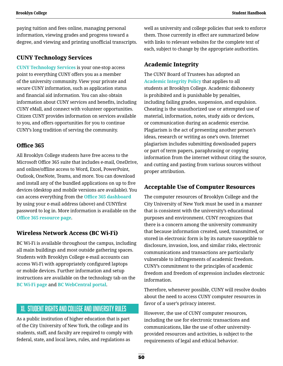paying tuition and fees online, managing personal information, viewing grades and progress toward a degree, and viewing and printing unofficial transcripts.

### **CUNY Technology Services**

**[CUNY Technology Services](https://www.cuny.edu/about/administration/offices/cis/technology-services/)** is your one-stop access point to everything CUNY offers you as a member of the university community. View your private and secure CUNY information, such as application status and financial aid information. You can also obtain information about CUNY services and benefits, including CUNY eMall, and connect with volunteer opportunities. Citizen CUNY provides information on services available to you, and offers opportunities for you to continue CUNY's long tradition of serving the community.

### **Office 365**

All Brooklyn College students have free access to the Microsoft Office 365 suite that includes e-mail, OneDrive, and online/offline access to Word, Excel, PowerPoint, Outlook, OneNote, Teams, and more. You can download and install any of the bundled applications on up to five devices (desktop and mobile versions are available). You can access everything from the **[Office 365 dashboard](https://www.office.com/)** by using your e-mail address (above) and CUNYfirst password to log in. More information is available on the **[Office 365 resource page](https://www.brooklyn.cuny.edu/web/academics/technology_students/MSOffice365students.php)**.

### **Wireless Network Access (BC Wi-Fi)**

BC Wi-Fi is available throughout the campus, including all main buildings and most outside gathering spaces. Students with Brooklyn College e-mail accounts can access Wi-Fi with appropriately configured laptops or mobile devices. Further information and setup instructions are available on the technology tab on the **[BC Wi-Fi page](https://www.brooklyn.cuny.edu/web/academics/technology_students/wifi_students.php)** and **[BC WebCentral portal](https://portal.brooklyn.edu/uPortal/f/welcome/normal/render.uP)**.

# XI. Student Rights and College and University Rules

As a public institution of higher education that is part of the City University of New York, the college and its students, staff, and faculty are required to comply with federal, state, and local laws, rules, and regulations as

well as university and college policies that seek to enforce them. Those currently in effect are summarized below with links to relevant websites for the complete text of each, subject to change by the appropriate authorities.

### **Academic Integrity**

The CUNY Board of Trustees has adopted an **[Academic Integrity Policy](http://www.cuny.edu/about/administration/offices/legal-affairs/policies-resources/academic-integrity-policy/)** that applies to all students at Brooklyn College. Academic dishonesty is prohibited and is punishable by penalties, including failing grades, suspension, and expulsion. Cheating is the unauthorized use or attempted use of material, information, notes, study aids or devices, or communication during an academic exercise. Plagiarism is the act of presenting another person's ideas, research or writing as one's own. Internet plagiarism includes submitting downloaded papers or part of term papers, paraphrasing or copying information from the internet without citing the source, and cutting and pasting from various sources without proper attribution.

### **Acceptable Use of Computer Resources**

The computer resources of Brooklyn College and the City University of New York must be used in a manner that is consistent with the university's educational purposes and environment. CUNY recognizes that there is a concern among the university community that because information created, used, transmitted, or stored in electronic form is by its nature susceptible to disclosure, invasion, loss, and similar risks, electronic communications and transactions are particularly vulnerable to infringements of academic freedom. CUNY's commitment to the principles of academic freedom and freedom of expression includes electronic information.

Therefore, whenever possible, CUNY will resolve doubts about the need to access CUNY computer resources in favor of a user's privacy interest.

However, the use of CUNY computer resources, including the use for electronic transactions and communications, like the use of other universityprovided resources and activities, is subject to the requirements of legal and ethical behavior.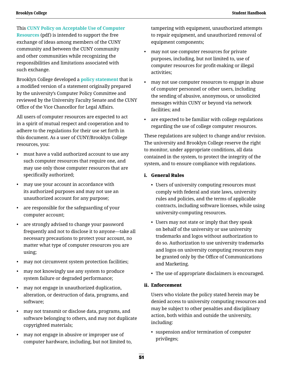This **[CUNY Policy on Acceptable Use of Computer](https://www.cuny.edu/wp-content/uploads/sites/4/page-assets/about/administration/offices/cis/it-policies/ComputerUsePolicy1.pdf)  [Resources](https://www.cuny.edu/wp-content/uploads/sites/4/page-assets/about/administration/offices/cis/it-policies/ComputerUsePolicy1.pdf)** (pdf) is intended to support the free exchange of ideas among members of the CUNY community and between the CUNY community and other communities while recognizing the responsibilities and limitations associated with such exchange.

Brooklyn College developed a **[policy statement](http://www.brooklyn.cuny.edu/web/about/initiatives/policies/web.php)** that is a modified version of a statement originally prepared by the university's Computer Policy Committee and reviewed by the University Faculty Senate and the CUNY Office of the Vice Chancellor for Legal Affairs.

All users of computer resources are expected to act in a spirit of mutual respect and cooperation and to adhere to the regulations for their use set forth in this document. As a user of CUNY/Brooklyn College resources, you:

- must have a valid authorized account to use any such computer resources that require one, and may use only those computer resources that are specifically authorized;
- may use your account in accordance with its authorized purposes and may not use an unauthorized account for any purpose;
- are responsible for the safeguarding of your computer account;
- are strongly advised to change your password frequently and not to disclose it to anyone—take all necessary precautions to protect your account, no matter what type of computer resources you are using;
- may not circumvent system protection facilities;
- may not knowingly use any system to produce system failure or degraded performance;
- may not engage in unauthorized duplication, alteration, or destruction of data, programs, and software;
- may not transmit or disclose data, programs, and software belonging to others, and may not duplicate copyrighted materials;
- may not engage in abusive or improper use of computer hardware, including, but not limited to,

tampering with equipment, unauthorized attempts to repair equipment, and unauthorized removal of equipment components;

- may not use computer resources for private purposes, including, but not limited to, use of computer resources for profit-making or illegal activities;
- may not use computer resources to engage in abuse of computer personnel or other users, including the sending of abusive, anonymous, or unsolicited messages within CUNY or beyond via network facilities; and
- are expected to be familiar with college regulations regarding the use of college computer resources.

These regulations are subject to change and/or revision. The university and Brooklyn College reserve the right to monitor, under appropriate conditions, all data contained in the system, to protect the integrity of the system, and to ensure compliance with regulations.

#### i. General Rules

- Users of university computing resources must comply with federal and state laws, university rules and policies, and the terms of applicable contracts, including software licenses, while using university-computing resources.
- Users may not state or imply that they speak on behalf of the university or use university trademarks and logos without authorization to do so. Authorization to use university trademarks and logos on university computing resources may be granted only by the Office of Communications and Marketing.
- The use of appropriate disclaimers is encouraged.

### ii. Enforcement

Users who violate the policy stated herein may be denied access to university computing resources and may be subject to other penalties and disciplinary action, both within and outside the university, including:

• suspension and/or termination of computer privileges;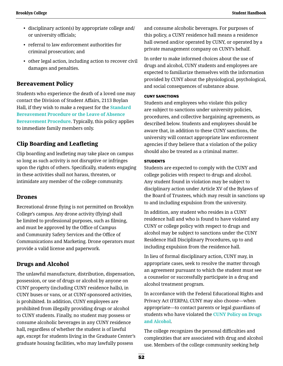- disciplinary action(s) by appropriate college and/ or university officials;
- referral to law enforcement authorities for criminal prosecution; and
- other legal action, including action to recover civil damages and penalties.

### **Bereavement Policy**

Students who experience the death of a loved one may contact the Division of Student Affairs, 2113 Boylan Hall, if they wish to make a request for the **[Standard](http://www.brooklyn.cuny.edu/web/about/initiatives/policies/bereavement.php)  [Bereavement Procedure or the Leave of Absence](http://www.brooklyn.cuny.edu/web/about/initiatives/policies/bereavement.php)  [Bereavement Procedure](http://www.brooklyn.cuny.edu/web/about/initiatives/policies/bereavement.php)**. Typically, this policy applies to immediate family members only.

### **Clip Boarding and Leafleting**

Clip boarding and leafleting may take place on campus so long as such activity is not disruptive or infringes upon the rights of others. Specifically, students engaging in these activities shall not harass, threaten, or intimidate any member of the college community.

### **Drones**

Recreational drone flying is not permitted on Brooklyn College's campus. Any drone activity (flying) shall be limited to professional purposes, such as filming, and must be approved by the Office of Campus and Community Safety Services and the Office of Communications and Marketing. Drone operators must provide a valid license and paperwork.

### **Drugs and Alcohol**

The unlawful manufacture, distribution, dispensation, possession, or use of drugs or alcohol by anyone on CUNY property (including CUNY residence halls), in CUNY buses or vans, or at CUNY-sponsored activities, is prohibited. In addition, CUNY employees are prohibited from illegally providing drugs or alcohol to CUNY students. Finally, no student may possess or consume alcoholic beverages in any CUNY residence hall, regardless of whether the student is of lawful age, except for students living in the Graduate Center's graduate housing facilities, who may lawfully possess

and consume alcoholic beverages. For purposes of this policy, a CUNY residence hall means a residence hall owned and/or operated by CUNY, or operated by a private management company on CUNY's behalf.

In order to make informed choices about the use of drugs and alcohol, CUNY students and employees are expected to familiarize themselves with the information provided by CUNY about the physiological, psychological, and social consequences of substance abuse.

#### CUNY SANCTIONS

Students and employees who violate this policy are subject to sanctions under university policies, procedures, and collective bargaining agreements, as described below. Students and employees should be aware that, in addition to these CUNY sanctions, the university will contact appropriate law enforcement agencies if they believe that a violation of the policy should also be treated as a criminal matter.

#### **STUDENTS**

Students are expected to comply with the CUNY and college policies with respect to drugs and alcohol. Any student found in violation may be subject to disciplinary action under Article XV of the Bylaws of the Board of Trustees, which may result in sanctions up to and including expulsion from the university.

In addition, any student who resides in a CUNY residence hall and who is found to have violated any CUNY or college policy with respect to drugs and alcohol may be subject to sanctions under the CUNY Residence Hall Disciplinary Procedures, up to and including expulsion from the residence hall.

In lieu of formal disciplinary action, CUNY may, in appropriate cases, seek to resolve the matter through an agreement pursuant to which the student must see a counselor or successfully participate in a drug and alcohol treatment program.

In accordance with the Federal Educational Rights and Privacy Act (FERPA), CUNY may also choose—when appropriate—to contact parents or legal guardians of students who have violated the **[CUNY Policy on Drugs](https://www.brooklyn.cuny.edu/web/about/initiatives/policies/education.php)  [and Alcohol](https://www.brooklyn.cuny.edu/web/about/initiatives/policies/education.php)**.

The college recognizes the personal difficulties and complexities that are associated with drug and alcohol use. Members of the college community seeking help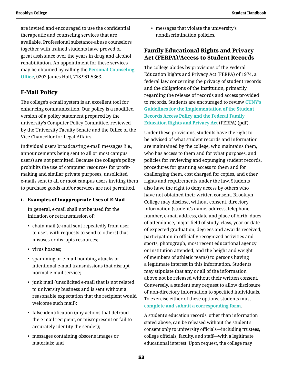are invited and encouraged to use the confidential therapeutic and counseling services that are available. Professional substance-abuse counselors together with trained students have proved of great assistance over the years in drug and alcohol rehabilitation. An appointment for these services may be obtained by calling the **[Personal Counseling](http://www.brooklyn.cuny.edu/web/about/offices/studentaffairs/health-wellness/counseling.php)  [Office](http://www.brooklyn.cuny.edu/web/about/offices/studentaffairs/health-wellness/counseling.php)**, 0203 James Hall, 718.951.5363.

# **E-Mail Policy**

The college's e-mail system is an excellent tool for enhancing communication. Our policy is a modified version of a policy statement prepared by the university's Computer Policy Committee, reviewed by the University Faculty Senate and the Office of the Vice Chancellor for Legal Affairs.

Individual users broadcasting e-mail messages (i.e., announcements being sent to all or most campus users) are not permitted. Because the college's policy prohibits the use of computer resources for profitmaking and similar private purposes, unsolicited e-mails sent to all or most campus users inviting them to purchase goods and/or services are not permitted.

### i. Examples of Inappropriate Uses of E-Mail

In general, e-mail shall not be used for the initiation or retransmission of:

- chain mail (e-mail sent repeatedly from user to user, with requests to send to others) that misuses or disrupts resources;
- virus hoaxes;
- spamming or e-mail bombing attacks or intentional e-mail transmissions that disrupt normal e-mail service;
- junk mail (unsolicited e-mail that is not related to university business and is sent without a reasonable expectation that the recipient would welcome such mail);
- false identification (any actions that defraud the e-mail recipient, or misrepresent or fail to accurately identity the sender);
- messages containing obscene images or materials; and

• messages that violate the university's nondiscrimination policies.

## **Family Educational Rights and Privacy Act (FERPA)/Access to Student Records**

The college abides by provisions of the Federal Education Rights and Privacy Act (FERPA) of 1974, a federal law concerning the privacy of student records and the obligations of the institution, primarily regarding the release of records and access provided to records. Students are encouraged to review **[CUNY's](http://www.cuny.edu/wp-content/uploads/sites/4/page-assets/about/administration/offices/legal-affairs/policies-resources/FERPA-2.pdf)  [Guidelines for the Implementation of the Student](http://www.cuny.edu/wp-content/uploads/sites/4/page-assets/about/administration/offices/legal-affairs/policies-resources/FERPA-2.pdf)  [Records Access Policy and the Federal Family](http://www.cuny.edu/wp-content/uploads/sites/4/page-assets/about/administration/offices/legal-affairs/policies-resources/FERPA-2.pdf)  [Education Rights and Privacy Act](http://www.cuny.edu/wp-content/uploads/sites/4/page-assets/about/administration/offices/legal-affairs/policies-resources/FERPA-2.pdf)** (FERPA) (pdf).

Under these provisions, students have the right to be advised of what student records and information are maintained by the college, who maintains them, who has access to them and for what purposes, and policies for reviewing and expunging student records, procedures for granting access to them and for challenging them, cost charged for copies, and other rights and requirements under the law. Students also have the right to deny access by others who have not obtained their written consent. Brooklyn College may disclose, without consent, directory information (student's name, address, telephone number, e-mail address, date and place of birth, dates of attendance, major field of study, class, year or date of expected graduation, degrees and awards received, participation in officially recognized activities and sports, photograph, most recent educational agency or institution attended, and the height and weight of members of athletic teams) to persons having a legitimate interest in this information. Students may stipulate that any or all of the information above not be released without their written consent. Conversely, a student may request to allow disclosure of non-directory information to specified individuals. To exercise either of these options, students must **[complete and submit a corresponding form](http://www.brooklyn.cuny.edu/web/about/administration/enrollment/registrar/ferpa.php)**.

A student's education records, other than information stated above, can be released without the student's consent only to university officials—including trustees, college officials, faculty, and staff—with a legitimate educational interest. Upon request, the college may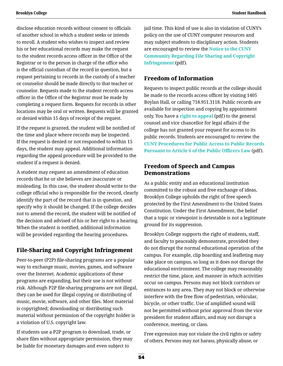**Brooklyn College Student Handbook**

disclose education records without consent to officials of another school in which a student seeks or intends to enroll. A student who wishes to inspect and review his or her educational records may make the request to the student records access officer in the Office of the Registrar or to the person in charge of the office who is the official custodian of the record in question, but a request pertaining to records in the custody of a teacher or counselor should be made directly to that teacher or counselor. Requests made to the student records access officer in the Office of the Registrar must be made by completing a request form. Requests for records in other locations may be oral or written. Requests will be granted or denied within 15 days of receipt of the request.

If the request is granted, the student will be notified of the time and place where records may be inspected. If the request is denied or not responded to within 15 days, the student may appeal. Additional information regarding the appeal procedure will be provided to the student if a request is denied.

A student may request an amendment of education records that he or she believes are inaccurate or misleading. In this case, the student should write to the college official who is responsible for the record, clearly identify the part of the record that is in question, and specify why it should be changed. If the college decides not to amend the record, the student will be notified of the decision and advised of his or her right to a hearing. When the student is notified, additional information will be provided regarding the hearing procedures.

# **File-Sharing and Copyright Infringement**

Peer-to-peer (P2P) file-sharing programs are a popular way to exchange music, movies, games, and software over the Internet. Academic applications of these programs are expanding, but their use is not without risk. Although P2P file-sharing programs are not illegal, they can be used for illegal copying or distributing of music, movie, software, and other files. Most material is copyrighted; downloading or distributing such material without permission of the copyright holder is a violation of U.S. copyright law.

If students use a P2P program to download, trade, or share files without appropriate permission, they may be liable for monetary damages and even subject to

jail time. This kind of use is also in violation of CUNY's policy on the use of CUNY computer resources and may subject students to disciplinary action. Students are encouraged to review the **[Notice to the CUNY](https://www.cuny.edu/wp-content/uploads/sites/4/page-assets/about/administration/offices/student-affairs/policies/FileSharing.pdf)  [Community Regarding File Sharing and Copyright](https://www.cuny.edu/wp-content/uploads/sites/4/page-assets/about/administration/offices/student-affairs/policies/FileSharing.pdf)  [Infringement](https://www.cuny.edu/wp-content/uploads/sites/4/page-assets/about/administration/offices/student-affairs/policies/FileSharing.pdf)** (pdf).

## **Freedom of Information**

Requests to inspect public records at the college should be made to the records access officer by visiting 1405 Boylan Hall, or calling 718.951.3118. Public records are available for inspection and copying by appointment only. You have a **[right to appeal](http://www.brooklyn.cuny.edu/web/abo_initiatives/110901_NYS_FILA_Appeal.pdf)** (pdf) to the general counsel and vice chancellor for legal affairs if the college has not granted your request for access to its public records. Students are encouraged to review the **[CUNY Procedures for Public Access to Public Records](http://www.brooklyn.cuny.edu/web/abo_initiatives/110901_CUNYPublicAccess_Records.pdf)  [Pursuant to Article 6 of the Public Officers Law](http://www.brooklyn.cuny.edu/web/abo_initiatives/110901_CUNYPublicAccess_Records.pdf)** (pdf).

### **Freedom of Speech and Campus Demonstrations**

As a public entity and an educational institution committed to the robust and free exchange of ideas, Brooklyn College upholds the right of free speech protected by the First Amendment to the United States Constitution. Under the First Amendment, the belief that a topic or viewpoint is detestable is not a legitimate ground for its suppression.

Brooklyn College supports the right of students, staff, and faculty to peaceably demonstrate, provided they do not disrupt the normal educational operation of the campus. For example, clip boarding and leafleting may take place on campus, so long as it does not disrupt the educational environment. The college may reasonably restrict the time, place, and manner in which activities occur on campus. Persons may not block corridors or entrances to any area. They may not block or otherwise interfere with the free flow of pedestrian, vehicular, bicycle, or other traffic. Use of amplified sound will not be permitted without prior approval from the vice president for student affairs, and may not disrupt a conference, meeting, or class.

Free expression may not violate the civil rights or safety of others. Persons may not harass, physically abuse, or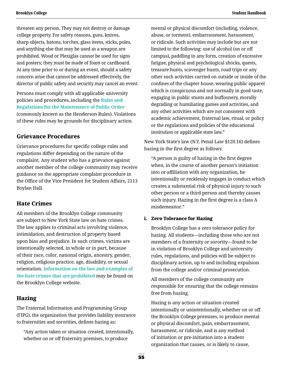threaten any person. They may not destroy or damage college property. For safety reasons, guns, knives, sharp objects, batons, torches, glass items, sticks, poles, and anything else that may be used as a weapon are prohibited. Wood or Plexiglas cannot be used for signs and posters; they must be made of foam or cardboard. At any time prior to or during an event, should a safety concern arise that cannot be addressed effectively, the director of public safety and security may cancel an event.

Persons must comply with all applicable university policies and procedures, including the **[Rules and](https://www.brooklyn.cuny.edu/web/about/initiatives/policies/order.php)  [Regulations for the Maintenance of Public Order](https://www.brooklyn.cuny.edu/web/about/initiatives/policies/order.php)** (commonly known as the Henderson Rules). Violations of these rules may be grounds for disciplinary action.

### **Grievance Procedures**

Grievance procedures for specific college rules and regulations differ depending on the nature of the complaint. Any student who has a grievance against another member of the college community may receive guidance on the appropriate complaint procedure in the Office of the Vice President for Student Affairs, 2113 Boylan Hall.

### **Hate Crimes**

All members of the Brooklyn College community are subject to New York State law on hate crimes. The law applies to criminal acts involving violence, intimidation, and destruction of property based upon bias and prejudice. In such crimes, victims are intentionally selected, in whole or in part, because of their race, color, national origin, ancestry, gender, religion, religious practice, age, disability, or sexual orientation. **[Information on the law and examples of](http://www.brooklyn.cuny.edu/web/about/initiatives/policies/hate.php)  [the hate crimes that are prohibited](http://www.brooklyn.cuny.edu/web/about/initiatives/policies/hate.php)** may be found on the Brooklyn College website.

### **Hazing**

The Fraternal Information and Programming Group (FIPG), the organization that provides liability insurance to fraternities and sororities, defines hazing as:

 "Any action taken or situation created, intentionally, whether on or off fraternity premises, to produce

mental or physical discomfort (including, violence, abuse, or torment), embarrassment, harassment, or ridicule. Such activities may include but are not limited to the following: use of alcohol (on or off campus), paddling in any form, creation of excessive fatigue, physical and psychological shocks, quests, treasure hunts, scavenger hunts, road trips or any other such activities carried on outside or inside of the confines of the chapter house, wearing public apparel which is conspicuous and not normally in good taste, engaging in public stunts and buffoonery, morally degrading or humiliating games and activities, and any other activities which are not consistent with academic achievement, fraternal law, ritual, or policy or the regulations and policies of the educational institution or applicable state law."

New York State's law (N.Y. Penal Law §120.16) defines hazing in the first degree as follows:

"A person is guilty of hazing in the first degree when, in the course of another person's initiation into or affiliation with any organization, he intentionally or recklessly engages in conduct which creates a substantial risk of physical injury to such other person or a third person and thereby causes such injury. Hazing in the first degree is a class A misdemeanor."

### i. Zero Tolerance for Hazing

Brooklyn College has a zero tolerance policy for hazing. All students—including those who are not members of a fraternity or sorority—found to be in violation of Brooklyn College and university rules, regulations, and policies will be subject to disciplinary action, up to and including expulsion from the college and/or criminal prosecution.

All members of the college community are responsible for ensuring that the college remains free from hazing.

Hazing is any action or situation created intentionally or unintentionally, whether on or off the Brooklyn College premises, to produce mental or physical discomfort, pain, embarrassment, harassment, or ridicule, and is any method of initiation or pre-initiation into a student organization that causes, or is likely to cause,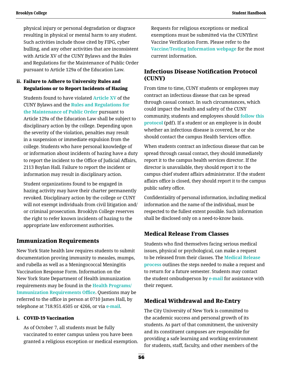physical injury or personal degradation or disgrace resulting in physical or mental harm to any student. Such activities include those cited by FIPG, cyber bulling, and any other activities that are inconsistent with Article XV of the CUNY Bylaws and the Rules and Regulations for the Maintenance of Public Order pursuant to Article 129a of the Education Law.

### ii. Failure to Adhere to University Rules and Regulations or to Report Incidents of Hazing

 Students found to have violated **[Article XV](http://policy.cuny.edu/bylaws/article-xv/)** of the CUNY Bylaws and the **[Rules and Regulations for](http://www.brooklyn.cuny.edu/web/about/initiatives/policies/order.php)  [the Maintenance of Public Order](http://www.brooklyn.cuny.edu/web/about/initiatives/policies/order.php)** pursuant to Article 129a of the Education Law shall be subject to disciplinary action by the college. Depending upon the severity of the violation, penalties may result in a suspension or immediate expulsion from the college. Students who have personal knowledge of or information about incidents of hazing have a duty to report the incident to the Office of Judicial Affairs, 2113 Boylan Hall. Failure to report the incident or information may result in disciplinary action.

Student organizations found to be engaged in hazing activity may have their charter permanently revoked. Disciplinary action by the college or CUNY will not exempt individuals from civil litigation and/ or criminal prosecution. Brooklyn College reserves the right to refer known incidents of hazing to the appropriate law enforcement authorities.

### **Immunization Requirements**

New York State health law requires students to submit documentation proving immunity to measles, mumps, and rubella as well as a Meningococcal Meningitis Vaccination Response Form. Information on the New York State Department of Health immunization requirements may be found in the **[Health Programs/](http://www.brooklyn.cuny.edu/web/about/offices/studentaffairs/health-wellness/healthprograms.php) [Immunization Requirements Office](http://www.brooklyn.cuny.edu/web/about/offices/studentaffairs/health-wellness/healthprograms.php)**. Questions may be referred to the office in person at 0710 James Hall, by telephone at 718.951.4505 or 4266, or via **[e-mail](mailto:hpo%40brooklyn.cuny.edu?subject=)**.

### i. COVID-19 Vaccination

As of October 7, all students must be fully vaccinated to enter campus unless you have been granted a religious exception or medical exemption. Requests for religious exceptions or medical exemptions must be submitted via the CUNYfirst Vaccine Verification Form. Please refer to the **[Vaccine/Testing Information webpage](http://www.brooklyn.cuny.edu/web/about/initiatives/initiatives/return/resources/vaccine.php)** for the most current information.

# **Infectious Disease Notification Protocol (CUNY)**

From time to time, CUNY students or employees may contract an infectious disease that can be spread through casual contact. In such circumstances, which could impact the health and safety of the CUNY community, students and employees should **[follow this](https://www.brooklyn.cuny.edu/web/abo_initiatives/190701_CUNYInfectiousDiseasesProtocol.pdf)  [protocol](https://www.brooklyn.cuny.edu/web/abo_initiatives/190701_CUNYInfectiousDiseasesProtocol.pdf)** (pdf). If a student or an employee is in doubt whether an infectious disease is covered, he or she should contact the campus Health Services office.

When students contract an infectious disease that can be spread through casual contact, they should immediately report it to the campus health services director. If the director is unavailable, they should report it to the campus chief student affairs administrator. If the student affairs office is closed, they should report it to the campus public safety office.

Confidentiality of personal information, including medical information and the name of the individual, must be respected to the fullest extent possible. Such information shall be disclosed only on a need-to-know basis.

### **Medical Release From Classes**

Students who find themselves facing serious medical issues, physical or psychological, can make a request to be released from their classes. The **[Medical Release](http://www.brooklyn.cuny.edu/web/about/offices/studentaffairs/administrative-services/sos.php)  [process](http://www.brooklyn.cuny.edu/web/about/offices/studentaffairs/administrative-services/sos.php)** outlines the steps needed to make a request and to return for a future semester. Students may contact the student ombudsperson by **[e-mail](mailto:studentaffairs%40brooklyn.cuny.edu?subject=)** for assistance with their request.

# **Medical Withdrawal and Re-Entry**

The City University of New York is committed to the academic success and personal growth of its students. As part of that commitment, the university and its constituent campuses are responsible for providing a safe learning and working environment for students, staff, faculty, and other members of the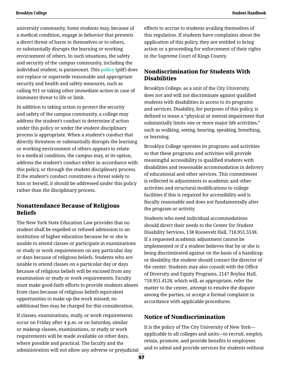university community. Some students may, because of a medical condition, engage in behavior that presents a direct threat of harm to themselves or to others, or substantially disrupts the learning or working environment of others. In such situations, the safety and security of the campus community, including the individual student, is paramount. This **[policy](https://www.cuny.edu/wp-content/uploads/sites/4/page-assets/about/administration/offices/student-affairs/advocacy-referral/MedicalWithdrawalPolFINAL7-07.pdf)** (pdf) does not replace or supersede reasonable and appropriate security and health and safety measures, such as calling 911 or taking other immediate action in case of imminent threat to life or limb.

In addition to taking action to protect the security and safety of the campus community, a college may address the student's conduct to determine if action under this policy or under the student disciplinary process is appropriate. When a student's conduct that directly threatens or substantially disrupts the learning or working environment of others appears to relate to a medical condition, the campus may, at its option, address the student's conduct either in accordance with this policy, or through the student disciplinary process. If the student's conduct constitutes a threat solely to him or herself, it should be addressed under this policy rather than the disciplinary process.

## **Nonattendance Because of Religious Beliefs**

The New York State Education Law provides that no student shall be expelled or refused admission to an institution of higher education because he or she is unable to attend classes or participate in examinations or study or work requirements on any particular day or days because of religious beliefs. Students who are unable to attend classes on a particular day or days because of religious beliefs will be excused from any examination or study or work requirements. Faculty must make good-faith efforts to provide students absent from class because of religious beliefs equivalent opportunities to make up the work missed; no additional fees may be charged for this consideration.

If classes, examinations, study, or work requirements occur on Friday after 4 p.m. or on Saturday, similar or makeup classes, examinations, or study or work requirements will be made available on other days, where possible and practical. The faculty and the administration will not allow any adverse or prejudicial effects to accrue to students availing themselves of this regulation. If students have complaints about the application of this policy, they are entitled to bring action or a proceeding for enforcement of their rights in the Supreme Court of Kings County.

# **Nondiscrimination for Students With Disabilities**

Brooklyn College, as a unit of the City University, does not and will not discriminate against qualified students with disabilities in access to its programs and services. Disability, for purposes of this policy, is defined to mean a "physical or mental impairment that substantially limits one or more major life activities," such as walking, seeing, hearing, speaking, breathing, or learning.

Brooklyn College operates its programs and activities so that these programs and activities will provide meaningful accessibility to qualified students with disabilities and reasonable accommodation in delivery of educational and other services. This commitment is reflected in adjustments to academic and other activities and structural modifications to college facilities if this is required for accessibility and is fiscally reasonable and does not fundamentally alter the program or activity.

Students who need individual accommodations should direct their needs to the Center for Student Disability Services, 138 Roosevelt Hall, 718.951.5538. If a requested academic adjustment cannot be implemented or if a student believes that he or she is being discriminated against on the basis of a handicap or disability, the student should contact the director of the center. Students may also consult with the Office of Diversity and Equity Programs, 2147 Boylan Hall, 718.951.4128, which will, as appropriate, refer the matter to the center, attempt to resolve the dispute among the parties, or accept a formal complaint in accordance with applicable procedures.

# **Notice of Nondiscrimination**

It is the policy of The City University of New York applicable to all colleges and units—to recruit, employ, retain, promote, and provide benefits to employees and to admit and provide services for students without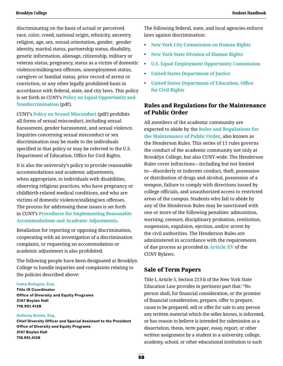discriminating on the basis of actual or perceived race, color, creed, national origin, ethnicity, ancestry, religion, age, sex, sexual orientation, gender, gender identity, marital status, partnership status, disability, genetic information, alienage, citizenship, military or veteran status, pregnancy, status as a victim of domestic violence/stalking/sex offenses, unemployment status, caregiver or familial status, prior record of arrest or conviction, or any other legally prohibited basis in accordance with federal, state, and city laws. This policy is set forth in CUNY's **[Policy on Equal Opportunity and](https://www.cuny.edu/wp-content/uploads/sites/4/page-assets/about/administration/offices/hr/policies-and-procedures/CUNYPolicy-Equal-Opportunity-and-Non-Discrimination-010115-procedures.pdf)  [Nondiscrimination](https://www.cuny.edu/wp-content/uploads/sites/4/page-assets/about/administration/offices/hr/policies-and-procedures/CUNYPolicy-Equal-Opportunity-and-Non-Discrimination-010115-procedures.pdf)** (pdf).

CUNY's **[Policy on Sexual Misconduct](https://www.cuny.edu/wp-content/uploads/sites/4/page-assets/about/administration/offices/legal-affairs/POLICY-ON-SEXUAL-MISCONDUCT-10.1.2015-with-links.pdf)** (pdf) prohibits all forms of sexual misconduct, including sexual harassment, gender harassment, and sexual violence. Inquiries concerning sexual misconduct or sex discrimination may be made to the individuals specified in that policy or may be referred to the U.S. Department of Education, Office for Civil Rights.

It is also the university's policy to provide reasonable accommodations and academic adjustments, when appropriate, to individuals with disabilities, observing religious practices, who have pregnancy or childbirth-related medical conditions, and who are victims of domestic violence/stalking/sex offenses. The process for addressing these issues is set forth in CUNY's **[Procedures for Implementing Reasonable](http://www.cuny.edu/about/administration/offices/legal-affairs/policies-resources/reasonable-accommodations-and-academic-adjustments/)  [Accommodations and Academic Adjustments](http://www.cuny.edu/about/administration/offices/legal-affairs/policies-resources/reasonable-accommodations-and-academic-adjustments/)**.

Retaliation for reporting or opposing discrimination, cooperating with an investigation of a discrimination complaint, or requesting an accommodation or academic adjustment is also prohibited.

The following people have been designated at Brooklyn College to handle inquiries and complaints relating to the policies described above:

#### **[Ivana Bologna, Esq.](mailto:Ivana.Bologna%40brooklyn.cuny.edu?subject=)**

**Title IX Coordinator Office of Diversity and Equity Programs 2147 Boylan Hall 718.951.4128**

#### **[Anthony Brown, Esq.](mailto:Anthony.Brown%40brooklyn.cuny.edu?subject=)**

**Chief Diversity Officer and Special Assistant to the President Office of Diversity and Equity Programs 2147 Boylan Hall 718.951.4128**

The following federal, state, and local agencies enforce laws against discrimination:

- **[New York City Commission on Human Rights](https://www1.nyc.gov/site/cchr/index.page)**
- **[New York State Division of Human Rights](https://dhr.ny.gov/)**
- **[U.S. Equal Employment Opportunity Commission](https://www.eeoc.gov/)**
- **[United States Department of Justice](https://www.justice.gov/)**
- **[United States Department of Education, Office](https://www2.ed.gov/about/offices/list/ocr/index.html)  [for Civil Rights](https://www2.ed.gov/about/offices/list/ocr/index.html)**

### **Rules and Regulations for the Maintenance of Public Order**

All members of the academic community are expected to abide by the **[Rules and Regulations for](http://www.brooklyn.cuny.edu/web/about/initiatives/policies/order.php)  [the Maintenance of Public Order](http://www.brooklyn.cuny.edu/web/about/initiatives/policies/order.php)**, also known as the Henderson Rules. This series of 11 rules governs the conduct of the academic community not only at Brooklyn College, but also CUNY-wide. The Henderson Rules cover infractions—including but not limited to—disorderly or indecent conduct, theft, possession or distribution of drugs and alcohol, possession of a weapon, failure to comply with directions issued by college officials, and unauthorized access to restricted areas of the campus. Students who fail to abide by any of the Henderson Rules may be sanctioned with one or more of the following penalties: admonition, warning, censure, disciplinary probation, restitution, suspension, expulsion, ejection, and/or arrest by the civil authorities. The Henderson Rules are administered in accordance with the requirements of due process as provided in **[Article XV](https://policy.cuny.edu/bylaws/article-xv/)** of the CUNY Bylaws.

#### **Sale of Term Papers**

Title I, Article 5, Section 213-b of the New York State Education Law provides in pertinent part that: "No person shall, for financial consideration, or the promise of financial consideration, prepare, offer to prepare, cause to be prepared, sell or offer for sale to any person any written material which the seller knows, is informed, or has reason to believe is intended for submission as a dissertation, thesis, term paper, essay, report, or other written assignment by a student in a university, college, academy, school, or other educational institution to such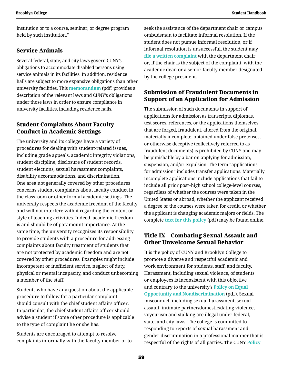institution or to a course, seminar, or degree program held by such institution."

### **Service Animals**

Several federal, state, and city laws govern CUNY's obligations to accommodate disabled persons using service animals in its facilities. In addition, residence halls are subject to more expansive obligations than other university facilities. This **[memorandum](http://site.bcc.cuny.edu/Affirmative-Action/documents/Accomodation_of_Service_Animals.pdf)** (pdf) provides a description of the relevant laws and CUNY's obligations under those laws in order to ensure compliance in university facilities, including residence halls.

### **Student Complaints About Faculty Conduct in Academic Settings**

The university and its colleges have a variety of procedures for dealing with student-related issues, including grade appeals, academic integrity violations, student discipline, disclosure of student records, student elections, sexual harassment complaints, disability accommodations, and discrimination. One area not generally covered by other procedures concerns student complaints about faculty conduct in the classroom or other formal academic settings. The university respects the academic freedom of the faculty and will not interfere with it regarding the content or style of teaching activities. Indeed, academic freedom is and should be of paramount importance. At the same time, the university recognizes its responsibility to provide students with a procedure for addressing complaints about faculty treatment of students that are not protected by academic freedom and are not covered by other procedures. Examples might include incompetent or inefficient service, neglect of duty, physical or mental incapacity, and conduct unbecoming a member of the staff.

Students who have any question about the applicable procedure to follow for a particular complaint should consult with the chief student affairs officer. In particular, the chief student affairs officer should advise a student if some other procedure is applicable to the type of complaint he or she has.

Students are encouraged to attempt to resolve complaints informally with the faculty member or to seek the assistance of the department chair or campus ombudsman to facilitate informal resolution. If the student does not pursue informal resolution, or if informal resolution is unsuccessful, the student may **[file a written complaint](http://www.brooklyn.cuny.edu/web/about/initiatives/policies/conduct.php)** with the department chair or, if the chair is the subject of the complaint, with the academic dean or a senior faculty member designated by the college president.

### **Submission of Fraudulent Documents in Support of an Application for Admission**

The submission of such documents in support of applications for admission as transcripts, diplomas, test scores, references, or the applications themselves that are forged, fraudulent, altered from the original, materially incomplete, obtained under false pretenses, or otherwise deceptive (collectively referred to as fraudulent documents) is prohibited by CUNY and may be punishable by a bar on applying for admission, suspension, and/or expulsion. The term "applications for admission" includes transfer applications. Materially incomplete applications include applications that fail to include all prior post–high school college-level courses, regardless of whether the courses were taken in the United States or abroad, whether the applicant received a degree or the courses were taken for credit, or whether the applicant is changing academic majors or fields. The complete **[text for this policy](https://www.cuny.edu/wp-content/uploads/sites/4/page-assets/about/administration/offices/legal-affairs/advisories/submission-fradulent-docs.pdf)** (pdf) may be found online.

# **Title IX—Combating Sexual Assault and Other Unwelcome Sexual Behavior**

It is the policy of CUNY and Brooklyn College to promote a diverse and respectful academic and work environment for students, staff, and faculty. Harassment, including sexual violence, of students or employees is inconsistent with this objective and contrary to the university's **[Policy on Equal](https://www.cuny.edu/wp-content/uploads/sites/4/page-assets/about/administration/offices/hr/policies-and-procedures/CUNYPolicy-Equal-Opportunity-and-Non-Discrimination-010115-procedures.pdf)  [Opportunity and Nondiscrimination](https://www.cuny.edu/wp-content/uploads/sites/4/page-assets/about/administration/offices/hr/policies-and-procedures/CUNYPolicy-Equal-Opportunity-and-Non-Discrimination-010115-procedures.pdf)** (pdf). Sexual misconduct, including sexual harassment, sexual assault, intimate partner/domestic/dating violence, voyeurism and stalking are illegal under federal, state, and city laws. The college is committed to responding to reports of sexual harassment and gender discrimination in a professional manner that is respectful of the rights of all parties. The CUNY **[Policy](https://www.cuny.edu/wp-content/uploads/sites/4/page-assets/about/administration/offices/legal-affairs/POLICY-ON-SEXUAL-MISCONDUCT-10.1.2015-with-links.pdf)**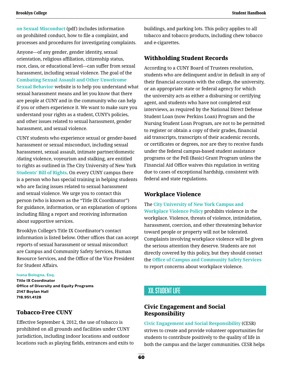<span id="page-63-0"></span>**[on Sexual Misconduct](https://www.cuny.edu/wp-content/uploads/sites/4/page-assets/about/administration/offices/legal-affairs/POLICY-ON-SEXUAL-MISCONDUCT-10.1.2015-with-links.pdf)** (pdf) includes information on prohibited conduct, how to file a complaint, and processes and procedures for investigating complaints.

Anyone—of any gender, gender identity, sexual orientation, religious affiliation, citizenship status, race, class, or educational level—can suffer from sexual harassment, including sexual violence. The goal of the **[Combating Sexual Assault and Other Unwelcome](http://www1.cuny.edu/sites/title-ix/campus/brooklyn-college/)  [Sexual Behavior](http://www1.cuny.edu/sites/title-ix/campus/brooklyn-college/)** website is to help you understand what sexual harassment means and let you know that there are people at CUNY and in the community who can help if you or others experience it. We want to make sure you understand your rights as a student, CUNY's policies, and other issues related to sexual harassment, gender harassment, and sexual violence.

CUNY students who experience sexual or gender-based harassment or sexual misconduct, including sexual harassment, sexual assault, intimate partner/domestic /dating violence, voyeurism and stalking, are entitled to rights as outlined in The City University of New York **[Students' Bill of Rights](http://www1.cuny.edu/sites/title-ix/campus-websites/student-sexual-misconduct-complaints-bill-of-rights/campus/brooklyn-college/)**. On every CUNY campus there is a person who has special training in helping students who are facing issues related to sexual harassment and sexual violence. We urge you to contact this person (who is known as the "Title IX Coordinator") for guidance, information, or an explanation of options including filing a report and receiving information about supportive services.

Brooklyn College's Title IX Coordinator's contact information is listed below. Other offices that can accept reports of sexual harassment or sexual misconduct are Campus and Community Safety Services, Human Resource Services, and the Office of the Vice President for Student Affairs.

#### **[Ivana Bologna, Esq.](mailto:Ivana.Bologna%40brooklyn.cuny.edu?subject=)**

**Title IX Coordinator Office of Diversity and Equity Programs 2147 Boylan Hall 718.951.4128**

### **Tobacco-Free CUNY**

Effective September 4, 2012, the use of tobacco is prohibited on all grounds and facilities under CUNY jurisdiction, including indoor locations and outdoor locations such as playing fields, entrances and exits to buildings, and parking lots. This policy applies to all tobacco and tobacco products, including chew tobacco and e-cigarettes.

### **Withholding Student Records**

According to a CUNY Board of Trustees resolution, students who are delinquent and/or in default in any of their financial accounts with the college, the university, or an appropriate state or federal agency for which the university acts as either a disbursing or certifying agent, and students who have not completed exit interviews, as required by the National Direct Defense Student Loan (now Perkins Loan) Program and the Nursing Student Loan Program, are not to be permitted to register or obtain a copy of their grades, financial aid transcripts, transcripts of their academic records, or certificates or degrees, nor are they to receive funds under the federal campus-based student assistance programs or the Pell (Basic) Grant Program unless the Financial Aid Office waives this regulation in writing due to cases of exceptional hardship, consistent with federal and state regulations.

### **Workplace Violence**

The **[City University of New York Campus and](http://www.brooklyn.cuny.edu/web/about/initiatives/policies/workplace.php)  [Workplace Violence Policy](http://www.brooklyn.cuny.edu/web/about/initiatives/policies/workplace.php)** prohibits violence in the workplace. Violence, threats of violence, intimidation, harassment, coercion, and other threatening behavior toward people or property will not be tolerated. Complaints involving workplace violence will be given the serious attention they deserve. Students are not directly covered by this policy, but they should contact the **[Office of Campus and Community Safety Services](http://www.brooklyn.cuny.edu/web/about/offices/safety.php)** to report concerns about workplace violence.

# XII.Student Life

### **Civic Engagement and Social Responsibility**

**[Civic Engagement and Social Responsibility](http://www.brooklyn.cuny.edu/web/about/offices/studentaffairs/student-support-services/ce.php)** (CESR) strives to create and provide volunteer opportunities for students to contribute positively to the quality of life in both the campus and the larger communities. CESR helps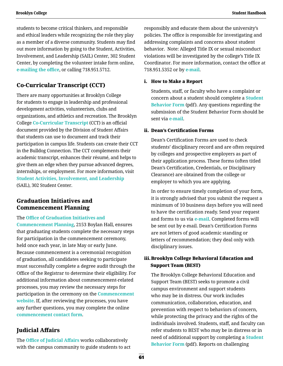students to become critical thinkers, and responsible and ethical leaders while recognizing the role they play as a member of a diverse community. Students may find out more information by going to the Student, Activities, Involvement, and Leadership (SAIL) Center, 302 Student Center, by completing the volunteer intake form online, **[e-mailing the office](mailto:civicengagement%40brooklyn.cuny.edu?subject=)**, or calling 718.951.5712.

# **Co-Curricular Transcript (CCT)**

There are many opportunities at Brooklyn College for students to engage in leadership and professional development activities, volunteerism, clubs and organizations, and athletics and recreation. The Brooklyn College **[Co-Curricular Transcript](http://www.brooklyn.cuny.edu/web/about/offices/studentaffairs/student-support-services/ce/cocurriculartranscript.php)** (CCT) is an official document provided by the Division of Student Affairs that students can use to document and track their participation in campus life. Students can create their CCT in the Bulldog Connection. The CCT complements their academic transcript, enhances their résumé, and helps to give them an edge when they pursue advanced degrees, internships, or employment. For more information, visit **[Student Activities, Involvement, and Leadership](http://www.brooklyn.cuny.edu/web/about/offices/studentaffairs/administrative-services/sail.php)** (SAIL), 302 Student Center.

### **Graduation Initiatives and Commencement Planning**

The **[Office of Graduation Initiatives and](http://www.brooklyn.cuny.edu/web/about/offices/studentaffairs/administrative-services/graduation.php)  [Commencement Planning](http://www.brooklyn.cuny.edu/web/about/offices/studentaffairs/administrative-services/graduation.php)**, 2153 Boylan Hall, ensures that graduating students complete the necessary steps for participation in the commencement ceremony, held once each year, in late May or early June. Because commencement is a ceremonial recognition of graduation, all candidates seeking to participate must successfully complete a degree audit through the Office of the Registrar to determine their eligibility. For additional information about commencement-related processes, you may review the necessary steps for participation in the ceremony on the **[Commencement](http://www.brooklyn.cuny.edu/web/about/offices/studentaffairs/administrative-services/graduation/commencement.php)  [website](http://www.brooklyn.cuny.edu/web/about/offices/studentaffairs/administrative-services/graduation/commencement.php)**. If, after reviewing the processes, you have any further questions, you may complete the online **[commencement contact form](http://www.brooklyn.cuny.edu/web/about/offices/studentaffairs/administrative-services/graduation/commencement/contact.php)**.

# **Judicial Affairs**

The **[Office of Judicial Affairs](http://www.brooklyn.cuny.edu/web/about/offices/studentaffairs/administrative-services/judicialaffairs.php)** works collaboratively with the campus community to guide students to act responsibly and educate them about the university's policies. The office is responsible for investigating and addressing complaints and concerns about student behavior. Note: Alleged Title IX or sexual misconduct violations will be investigated by the college's Title IX Coordinator. For more information, contact the office at 718.951.5352 or by **[e-mail](mailto:studentconduct%40brooklyn.cuny.edu?subject=)**.

#### i. How to Make a Report

Students, staff, or faculty who have a complaint or concern about a student should complete a **[Student](http://www.brooklyn.cuny.edu/web/off_dosa/181017_Student-Behavior-Form.pdf)  [Behavior Form](http://www.brooklyn.cuny.edu/web/off_dosa/181017_Student-Behavior-Form.pdf)** (pdf). Any questions regarding the submission of the Student Behavior Form should be sent via **[e-mail](mailto:studentconduct%40brooklyn.cuny.edu?subject=)**.

#### ii. Dean's Certification Forms

Dean's Certification Forms are used to check students' disciplinary record and are often required by colleges and prospective employers as part of their application process. These forms (often titled Dean's Certification, Credentials, or Disciplinary Clearance) are obtained from the college or employer to which you are applying.

In order to ensure timely completion of your form, it is strongly advised that you submit the request a minimum of 10 business days before you will need to have the certification ready. Send your request and forms to us via **[e-mail](mailto:studentaffairs%40brooklyn.cuny.edu?subject=)**. Completed forms will be sent out by e-mail. Dean's Certification Forms are not letters of good academic standing or letters of recommendation; they deal only with disciplinary issues.

### iii.Brooklyn College Behavioral Education and Support Team (BEST)

The Brooklyn College Behavioral Education and Support Team (BEST) seeks to promote a civil campus environment and support students who may be in distress. Our work includes communication, collaboration, education, and prevention with respect to behaviors of concern, while protecting the privacy and the rights of the individuals involved. Students, staff, and faculty can refer students to BEST who may be in distress or in need of additional support by completing a **[Student](http://www.brooklyn.cuny.edu/web/off_dosa/181017_Student-Behavior-Form.pdf)  [Behavior Form](http://www.brooklyn.cuny.edu/web/off_dosa/181017_Student-Behavior-Form.pdf)** (pdf). Reports on challenging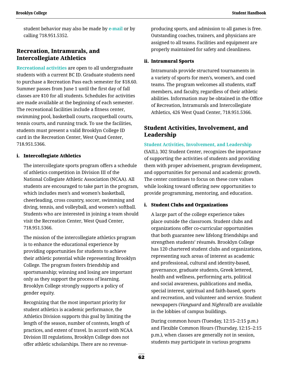student behavior may also be made by **[e-mail](mailto:discipline%40brooklyn.cuny.edu?subject=)** or by calling 718.951.5352.

### **Recreation, Intramurals, and Intercollegiate Athletics**

**[Recreational activities](http://www.brooklyn.cuny.edu/web/athletics.php)** are open to all undergraduate students with a current BC ID. Graduate students need to purchase a Recreation Pass each semester for \$18.60. Summer passes from June 1 until the first day of fall classes are \$10 for all students. Schedules for activities are made available at the beginning of each semester. The recreational facilities include a fitness center, swimming pool, basketball courts, racquetball courts, tennis courts, and running track. To use the facilities, students must present a valid Brooklyn College ID card in the Recreation Center, West Quad Center, 718.951.5366.

### i. Intercollegiate Athletics

The intercollegiate sports program offers a schedule of athletics competition in Division III of the National Collegiate Athletic Association (NCAA). All students are encouraged to take part in the program, which includes men's and women's basketball, cheerleading, cross country, soccer, swimming and diving, tennis, and volleyball, and women's softball. Students who are interested in joining a team should visit the Recreation Center, West Quad Center, 718.951.5366.

The mission of the intercollegiate athletics program is to enhance the educational experience by providing opportunities for students to achieve their athletic potential while representing Brooklyn College. The program fosters friendship and sportsmanship; winning and losing are important only as they support the process of learning. Brooklyn College strongly supports a policy of gender equity.

 Recognizing that the most important priority for student athletics is academic performance, the Athletics Division supports this goal by limiting the length of the season, number of contests, length of practices, and extent of travel. In accord with NCAA Division III regulations, Brooklyn College does not offer athletic scholarships. There are no revenueproducing sports, and admission to all games is free. Outstanding coaches, trainers, and physicians are assigned to all teams. Facilities and equipment are properly maintained for safety and cleanliness.

#### ii. Intramural Sports

Intramurals provide structured tournaments in a variety of sports for men's, women's, and coed teams. The program welcomes all students, staff members, and faculty, regardless of their athletic abilities. Information may be obtained in the Office of Recreation, Intramurals and Intercollegiate Athletics, 426 West Quad Center, 718.951.5366.

### **Student Activities, Involvement, and Leadership**

#### **[Student Activities, Involvement, and Leadership](http://www.brooklyn.cuny.edu/web/about/offices/studentaffairs/administrative-services/sail.php)**

(SAIL), 302 Student Center, recognizes the importance of supporting the activities of students and providing them with proper advisement, program development, and opportunities for personal and academic growth. The center continues to focus on these core values while looking toward offering new opportunities to provide programming, mentoring, and education.

#### i. Student Clubs and Organizations

A large part of the college experience takes place outside the classroom. Student clubs and organizations offer co-curricular opportunities that both guarantee new lifelong friendships and strengthen students' résumés. Brooklyn College has 120 chartered student clubs and organizations, representing such areas of interest as academic and professional, cultural and identity-based, governance, graduate students, Greek lettered, health and wellness, performing arts, political and social awareness, publications and media, special interest, spiritual and faith-based, sports and recreation, and volunteer and service. Student newspapers (*Vanguard* and *Nightcall*) are available in the lobbies of campus buildings.

During common hours (Tuesday, 12:15–2:15 p.m.) and Flexible Common Hours (Thursday, 12:15–2:15 p.m.), when classes are generally not in session, students may participate in various programs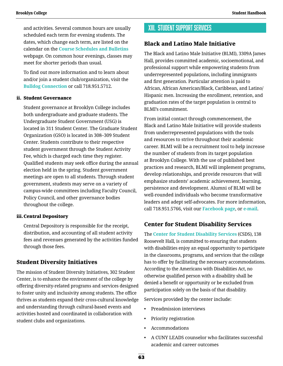and activities. Several common hours are usually scheduled each term for evening students. The dates, which change each term, are listed on the calendar on the **[Course Schedules and Bulletins](http://www.brooklyn.cuny.edu/web/about/administration/enrollment/registrar/bulletins.php)**  webpage. On common hour evenings, classes may meet for shorter periods than usual.

To find out more information and to learn about and/or join a student club/organization, visit the **[Bulldog Connection](https://cunybrooklyn.campuslabs.com/engage/)** or call 718.951.5712.

#### ii. Student Governance

Student governance at Brooklyn College includes both undergraduate and graduate students. The Undergraduate Student Government (USG) is located in 311 Student Center. The Graduate Student Organization (GSO) is located in 308–309 Student Center. Students contribute to their respective student government through the Student Activity Fee, which is charged each time they register. Qualified students may seek office during the annual election held in the spring. Student government meetings are open to all students. Through student government, students may serve on a variety of campus-wide committees including Faculty Council, Policy Council, and other governance bodies throughout the college.

#### iii.Central Depository

Central Depository is responsible for the receipt, distribution, and accounting of all student activity fees and revenues generated by the activities funded through those fees.

### **Student Diversity Initiatives**

The mission of Student Diversity Initiatives, 302 Student Center, is to enhance the environment of the college by offering diversity-related programs and services designed to foster unity and inclusivity among students. The office thrives as students expand their cross-cultural knowledge and understanding through cultural-based events and activities hosted and coordinated in collaboration with student clubs and organizations.

# XIII. Student Support Services

### **Black and Latino Male Initiative**

The Black and Latino Male Initiative (BLMI), 3309A James Hall, provides committed academic, socioemotional, and professional support while empowering students from underrepresented populations, including immigrants and first generation. Particular attention is paid to African, African American/Black, Caribbean, and Latino/ Hispanic men. Increasing the enrollment, retention, and graduation rates of the target population is central to BLMI's commitment.

From initial contact through commencement, the Black and Latino Male Initiative will provide students from underrepresented populations with the tools and resources to strive throughout their academic career. BLMI will be a recruitment tool to help increase the number of students from its target population at Brooklyn College. With the use of published best practices and research, BLMI will implement programs, develop relationships, and provide resources that will emphasize students' academic achievement, learning, persistence and development. Alumni of BLMI will be well-rounded individuals who become transformative leaders and adept self-advocates. For more information, call 718.951.5766, visit our **[Facebook page](https://www.facebook.com/bc.blmi/)**, or **[e-mail](mailto:blmi%40brooklyn.cuny.edu?subject=)**.

### **Center for Student Disability Services**

The **[Center for Student Disability Services](https://www.brooklyn.cuny.edu/web/about/offices/studentaffairs/student-support-services/disability.php)** (CSDS), 138 Roosevelt Hall, is committed to ensuring that students with disabilities enjoy an equal opportunity to participate in the classrooms, programs, and services that the college has to offer by facilitating the necessary accommodations. According to the Americans with Disabilities Act, no otherwise qualified person with a disability shall be denied a benefit or opportunity or be excluded from participation solely on the basis of that disability.

Services provided by the center include:

- Preadmission interviews
- Priority registration
- Accommodations
- A CUNY LEADS counselor who facilitates successful academic and career outcomes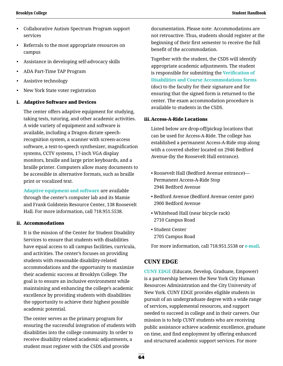- Collaborative Autism Spectrum Program support services
- Referrals to the most appropriate resources on campus
- Assistance in developing self-advocacy skills
- ADA Part-Time TAP Program
- Assistive technology
- New York State voter registration

#### i. Adaptive Software and Devices

The center offers adaptive equipment for studying, taking tests, tutoring, and other academic activities. A wide variety of equipment and software is available, including a Dragon dictate speechrecognition system, a scanner with screen-access software, a text-to-speech synthesizer, magnification systems, CCTV systems, 17-inch VGA display monitors, braille and large print keyboards, and a braille printer. Computers allow many documents to be accessible in alternative formats, such as braille print or vocalized text.

 **[Adaptive equipment and software](https://www.brooklyn.cuny.edu/web/about/offices/studentaffairs/student-support-services/disability/devices.php)** are available through the center's computer lab and its Mamie and Frank Goldstein Resource Center, 138 Roosevelt Hall. For more information, call 718.951.5538.

#### ii. Accommodations

It is the mission of the Center for Student Disability Services to ensure that students with disabilities have equal access to all campus facilities, curricula, and activities. The center's focuses on providing students with reasonable disability-related accommodations and the opportunity to maximize their academic success at Brooklyn College. The goal is to ensure an inclusive environment while maintaining and enhancing the college's academic excellence by providing students with disabilities the opportunity to achieve their highest possible academic potential.

The center serves as the primary program for ensuring the successful integration of students with disabilities into the college community. In order to receive disability related academic adjustments, a student must register with the CSDS and provide

documentation. Please note: Accommodations are not retroactive. Thus, students should register at the beginning of their first semester to receive the full benefit of the accommodation.

Together with the student, the CSDS will identify appropriate academic adjustments. The student is responsible for submitting the **[Verification of](http://www.brooklyn.cuny.edu/web/off_dosa/Center_for_Student_Disability_Services_Acc._Form.docx)  [Disabilities and Course Accommodations forms](http://www.brooklyn.cuny.edu/web/off_dosa/Center_for_Student_Disability_Services_Acc._Form.docx)**  (doc) to the faculty for their signature and for ensuring that the signed form is returned to the center. The exam accommodation procedure is available to students in the CSDS.

#### iii.Access-A-Ride Locations

Listed below are drop-off/pickup locations that can be used for Access-A-Ride. The college has established a permanent Access-A-Ride stop along with a covered shelter located on 2946 Bedford Avenue (by the Roosevelt Hall entrance).

- Roosevelt Hall (Bedford Avenue entrance)— Permanent Access-A-Ride Stop 2946 Bedford Avenue
- Bedford Avenue (Bedford Avenue center gate) 2900 Bedford Avenue
- Whitehead Hall (near bicycle rack) 2710 Campus Road
- Student Center 2705 Campus Road

For more information, call 718.951.5538 or **[e-mail](mailto:csds%40brooklyn.cuny.edu?subject=)**.

### **CUNY EDGE**

**[CUNY EDGE](http://www.brooklyn.cuny.edu/web/about/offices/studentaffairs/student-support-services/cuny-edge.php)** (Educate, Develop, Graduate, Empower) is a partnership between the New York City Human Resources Administration and the City University of New York. CUNY EDGE provides eligible students in pursuit of an undergraduate degree with a wide range of services, supplemental resources, and support needed to succeed in college and in their careers. Our mission is to help CUNY students who are receiving public assistance achieve academic excellence, graduate on time, and find employment by offering enhanced and structured academic support services. For more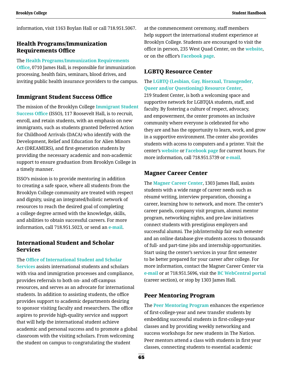information, visit 1163 Boylan Hall or call 718.951.5067.

### **Health Programs/Immunization Requirements Office**

The **[Health Programs/Immunization Requirements](http://www.brooklyn.cuny.edu/web/about/offices/studentaffairs/health-wellness/healthprograms.php)  [Office](http://www.brooklyn.cuny.edu/web/about/offices/studentaffairs/health-wellness/healthprograms.php)**, 0710 James Hall, is responsible for immunization processing, health fairs, seminars, blood drives, and inviting public health insurance providers to the campus.

### **Immigrant Student Success Office**

The mission of the Brooklyn College **[Immigrant Student](http://www.brooklyn.cuny.edu/web/about/offices/studentaffairs/student-support-services/isso.php)  [Success Office](http://www.brooklyn.cuny.edu/web/about/offices/studentaffairs/student-support-services/isso.php)** (ISSO), 117 Roosevelt Hall, is to recruit, enroll, and retain students, with an emphasis on new immigrants, such as students granted Deferred Action for Childhood Arrivals (DACA) who identify with the Development, Relief and Education for Alien Minors Act (DREAMERS), and first-generation students by providing the necessary academic and non-academic support to ensure graduation from Brooklyn College in a timely manner.

ISSO's mission is to provide mentoring in addition to creating a safe space, where all students from the Brooklyn College community are treated with respect and dignity, using an integrated/holistic network of resources to reach the desired goal of completing a college degree armed with the knowledge, skills, and abilities to obtain successful careers. For more information, call 718.951.5023, or send an **[e-mail](mailto:jperez%40brooklyn.cuny.edu?subject=)**.

### **International Student and Scholar Services**

The **[Office of International Student and Scholar](http://www.brooklyn.cuny.edu/web/about/offices/iss.php)  [Services](http://www.brooklyn.cuny.edu/web/about/offices/iss.php)** assists international students and scholars with visa and immigration processes and compliance, provides referrals to both on- and off-campus resources, and serves as an advocate for international students. In addition to assisting students, the office provides support to academic departments desiring to sponsor visiting faculty and researchers. The office aspires to provide high-quality service and support that will help the international student achieve academic and personal success and to promote a global classroom with the visiting scholars. From welcoming the student on campus to congratulating the student

at the commencement ceremony, staff members help support the international student experience at Brooklyn College. Students are encouraged to visit the office in person, 235 West Quad Center, on the **[website](http://www.brooklyn.cuny.edu/web/about/offices/iss.php)**, or on the office's **[Facebook page](https://www.facebook.com/CUNYBCISS)**.

### **LGBTQ Resource Center**

The **[LGBTQ \(Lesbian, Gay, Bisexual, Transgender,](http://www.brooklyn.cuny.edu/web/academics/centers/lgbtqcenter.php?utm_source=Website&utm_medium=LGBTQ&utm_campaign=LGBTQResourceCenter)  [Queer and/or Questioning\) Resource Center](http://www.brooklyn.cuny.edu/web/academics/centers/lgbtqcenter.php?utm_source=Website&utm_medium=LGBTQ&utm_campaign=LGBTQResourceCenter)**, 219 Student Center, is both a welcoming space and supportive network for LGBTQIA students, staff, and faculty. By fostering a culture of respect, advocacy, and empowerment, the center promotes an inclusive community where everyone is celebrated for who they are and has the opportunity to learn, work, and grow in a supportive environment. The center also provides students with access to computers and a printer. Visit the center's **[website](http://www.brooklyn.cuny.edu/web/academics/centers/lgbtqcenter.php?utm_source=Website&utm_medium=LGBTQ&utm_campaign=LGBTQResourceCenter)** or **[Facebook page](https://www.facebook.com/LGBTQCenter.BC/)** for current hours. For more information, call 718.951.5739 or **[e-mail](mailto:lgbtqcenter%40brooklyn.cuny.edu?subject=)**.

### **Magner Career Center**

The **[Magner Career Center](http://www.brooklyn.cuny.edu/web/academics/centers/magner.php?utm_source=Website&utm_medium=MagnerCenter&utm_campaign=MagnerCenterCareerRedirect)**, 1303 James Hall, assists students with a wide range of career needs such as résumé writing, interview preparation, choosing a career, learning how to network, and more. The center's career panels, company visit program, alumni mentor program, networking nights, and pre-law initiatives connect students with prestigious employers and successful alumni. The job/internship fair each semester and an online database give students access to thousands of full- and part-time jobs and internship opportunities. Start using the center's services in your first semester to be better prepared for your career after college. For more information, contact the Magner Career Center via **[e-mail](mailto:careernews%40brooklyn.cuny.edu?subject=)** or at 718.951.5696, visit the **[BC WebCentral portal](https://portal.brooklyn.edu/uPortal/f/welcome/normal/render.uP)** (career section), or stop by 1303 James Hall.

### **Peer Mentoring Program**

The **[Peer Mentoring Program](http://www.brooklyn.cuny.edu/web/about/offices/caass/fcy/peermentor.php)** enhances the experience of first-college-year and new transfer students by embedding successful students in first-college-year classes and by providing weekly networking and success workshops for new students in The Nation. Peer mentors attend a class with students in first year classes, connecting students to essential academic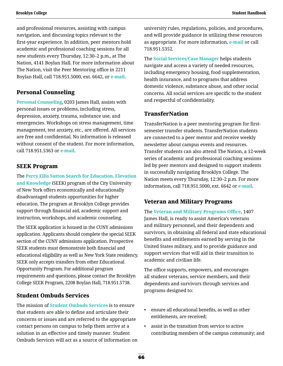and professional resources, assisting with campus navigation, and discussing topics relevant to the first-year experience. In addition, peer mentors hold academic and professional coaching sessions for all new students every Thursday, 12:30–2 p.m., at The Nation, 4141 Boylan Hall. For more information about The Nation, visit the Peer Mentoring office in 2211 Boylan Hall, call 718.951.5000, ext. 6642, or **[e-mail](mailto:peermentoring%40brooklyn.cuny.edu?subject=)**.

### **Personal Counseling**

**[Personal Counseling](http://www.brooklyn.cuny.edu/web/about/offices/studentaffairs/health-wellness/counseling.php)**, 0203 James Hall, assists with personal issues or problems, including stress, depression, anxiety, trauma, substance use, and emergencies. Workshops on stress management, time management, test anxiety, etc., are offered. All services are free and confidential. No information is released without consent of the student. For more information, call 718.951.5363 or **[e-mail](mailto:BCPersonalCounseling%40gmail.com?subject=)**.

### **SEEK Program**

The **[Percy Ellis Sutton Search for Education, Elevation](http://www.brooklyn.cuny.edu/web/about/administration/enrollment/seek.php)  [and Knowledge](http://www.brooklyn.cuny.edu/web/about/administration/enrollment/seek.php)** (SEEK) program of the City University of New York offers economically and educationally disadvantaged students opportunities for higher education. The program at Brooklyn College provides support through financial aid, academic support and instruction, workshops, and academic counseling.

The SEEK application is housed in the CUNY admissions application. Applicants should complete the special SEEK section of the CUNY admissions application. Prospective SEEK students must demonstrate both financial and educational eligibility as well as New York State residency. SEEK only accepts transfers from other Educational Opportunity Program. For additional program requirements and questions, please contact the Brooklyn College SEEK Program, 2208 Boylan Hall, 718.951.5738.

### **Student Ombuds Services**

The mission of **[Student Ombuds Services](http://www.brooklyn.cuny.edu/web/about/offices/studentaffairs/administrative-services/sos.php)** is to ensure that students are able to define and articulate their concerns or issues and are referred to the appropriate contact persons on campus to help them arrive at a solution in an effective and timely manner. Student Ombuds Services will act as a source of information on university rules, regulations, policies, and procedures, and will provide guidance in utilizing these resources as appropriate. For more information, **[e-mail](mailto:Studentaffairs%40brooklyn.cuny.edu?subject=)** or call 718.951.5352.

The **[Social Services/Case Manager](http://www.brooklyn.cuny.edu/web/about/offices/studentaffairs/student-support-services/social-services.php)** helps students navigate and access a variety of needed resources, including emergency housing, food supplementation, health insurance, and to programs that address domestic violence, substance abuse, and other social concerns. All social services are specific to the student and respectful of confidentiality.

### **TransferNation**

TransferNation is a peer mentoring program for firstsemester transfer students. TransferNation students are connected to a peer mentor and receive weekly newsletter about campus events and resources. Transfer students can also attend The Nation, a 12-week series of academic and professional coaching sessions led by peer mentors and designed to support students in successfully navigating Brooklyn College. The Nation meets every Thursday, 12:30–2 p.m. For more information, call 718.951.5000, ext. 6642 or **[e-mail](mailto:peermentoring%40brooklyn.cuny.edu?subject=)**.

### **Veteran and Military Programs**

The **[Veteran and Military Programs Office](https://www.brooklyn.cuny.edu/web/about/offices/studentaffairs/student-support-services/veterans.php)**, 1407 James Hall, is ready to assist America's veterans and military personnel, and their dependents and survivors, in obtaining all federal and state educational benefits and entitlements earned by serving in the United States military, and to provide guidance and support services that will aid in their transition to academic and civilian life.

The office supports, empowers, and encourages all student veterans, service members, and their dependents and survivors through services and programs designed to:

- ensure all educational benefits, as well as other entitlements, are received;
- assist in the transition from service to active contributing members of the campus community; and